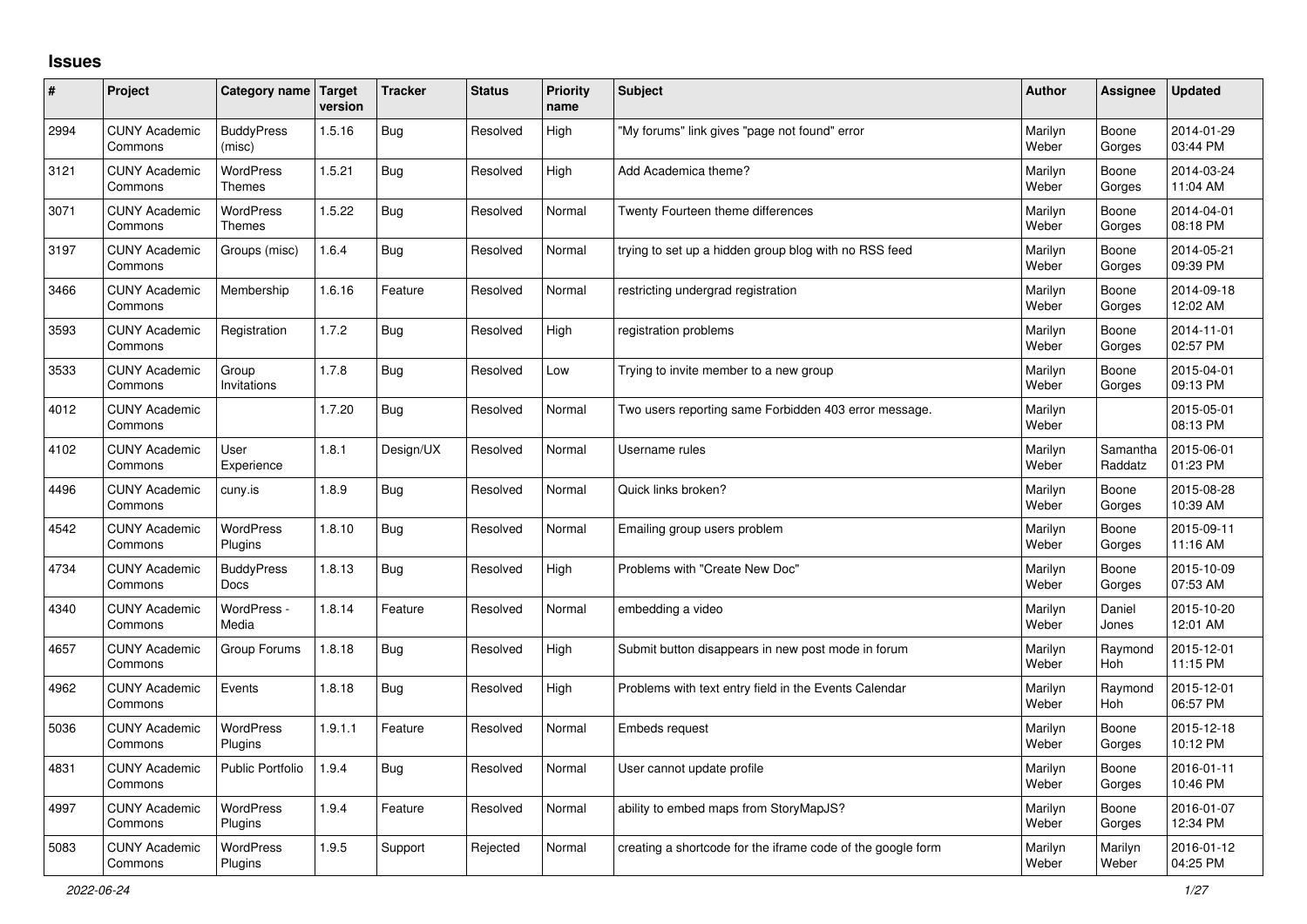## **Issues**

| #    | Project                         | Category name Target              | version | <b>Tracker</b> | <b>Status</b> | <b>Priority</b><br>name | <b>Subject</b>                                              | <b>Author</b>    | Assignee              | <b>Updated</b>         |
|------|---------------------------------|-----------------------------------|---------|----------------|---------------|-------------------------|-------------------------------------------------------------|------------------|-----------------------|------------------------|
| 2994 | <b>CUNY Academic</b><br>Commons | <b>BuddyPress</b><br>(misc)       | 1.5.16  | Bug            | Resolved      | High                    | "My forums" link gives "page not found" error               | Marilyn<br>Weber | Boone<br>Gorges       | 2014-01-29<br>03:44 PM |
| 3121 | <b>CUNY Academic</b><br>Commons | WordPress<br><b>Themes</b>        | 1.5.21  | Bug            | Resolved      | High                    | Add Academica theme?                                        | Marilyn<br>Weber | Boone<br>Gorges       | 2014-03-24<br>11:04 AM |
| 3071 | <b>CUNY Academic</b><br>Commons | <b>WordPress</b><br><b>Themes</b> | 1.5.22  | Bug            | Resolved      | Normal                  | Twenty Fourteen theme differences                           | Marilyn<br>Weber | Boone<br>Gorges       | 2014-04-01<br>08:18 PM |
| 3197 | <b>CUNY Academic</b><br>Commons | Groups (misc)                     | 1.6.4   | <b>Bug</b>     | Resolved      | Normal                  | trying to set up a hidden group blog with no RSS feed       | Marilyn<br>Weber | Boone<br>Gorges       | 2014-05-21<br>09:39 PM |
| 3466 | <b>CUNY Academic</b><br>Commons | Membership                        | 1.6.16  | Feature        | Resolved      | Normal                  | restricting undergrad registration                          | Marilyn<br>Weber | Boone<br>Gorges       | 2014-09-18<br>12:02 AM |
| 3593 | <b>CUNY Academic</b><br>Commons | Registration                      | 1.7.2   | Bug            | Resolved      | High                    | registration problems                                       | Marilyn<br>Weber | Boone<br>Gorges       | 2014-11-01<br>02:57 PM |
| 3533 | <b>CUNY Academic</b><br>Commons | Group<br>Invitations              | 1.7.8   | Bug            | Resolved      | Low                     | Trying to invite member to a new group                      | Marilyn<br>Weber | Boone<br>Gorges       | 2015-04-01<br>09:13 PM |
| 4012 | <b>CUNY Academic</b><br>Commons |                                   | 1.7.20  | <b>Bug</b>     | Resolved      | Normal                  | Two users reporting same Forbidden 403 error message.       | Marilyn<br>Weber |                       | 2015-05-01<br>08:13 PM |
| 4102 | <b>CUNY Academic</b><br>Commons | User<br>Experience                | 1.8.1   | Design/UX      | Resolved      | Normal                  | Username rules                                              | Marilyn<br>Weber | Samantha<br>Raddatz   | 2015-06-01<br>01:23 PM |
| 4496 | <b>CUNY Academic</b><br>Commons | cuny.is                           | 1.8.9   | Bug            | Resolved      | Normal                  | Quick links broken?                                         | Marilyn<br>Weber | Boone<br>Gorges       | 2015-08-28<br>10:39 AM |
| 4542 | <b>CUNY Academic</b><br>Commons | <b>WordPress</b><br>Plugins       | 1.8.10  | Bug            | Resolved      | Normal                  | Emailing group users problem                                | Marilyn<br>Weber | Boone<br>Gorges       | 2015-09-11<br>11:16 AM |
| 4734 | <b>CUNY Academic</b><br>Commons | <b>BuddyPress</b><br><b>Docs</b>  | 1.8.13  | <b>Bug</b>     | Resolved      | High                    | Problems with "Create New Doc"                              | Marilyn<br>Weber | Boone<br>Gorges       | 2015-10-09<br>07:53 AM |
| 4340 | <b>CUNY Academic</b><br>Commons | WordPress -<br>Media              | 1.8.14  | Feature        | Resolved      | Normal                  | embedding a video                                           | Marilyn<br>Weber | Daniel<br>Jones       | 2015-10-20<br>12:01 AM |
| 4657 | <b>CUNY Academic</b><br>Commons | Group Forums                      | 1.8.18  | Bug            | Resolved      | High                    | Submit button disappears in new post mode in forum          | Marilyn<br>Weber | Raymond<br>Hoh        | 2015-12-01<br>11:15 PM |
| 4962 | <b>CUNY Academic</b><br>Commons | Events                            | 1.8.18  | <b>Bug</b>     | Resolved      | High                    | Problems with text entry field in the Events Calendar       | Marilyn<br>Weber | Raymond<br><b>Hoh</b> | 2015-12-01<br>06:57 PM |
| 5036 | <b>CUNY Academic</b><br>Commons | <b>WordPress</b><br>Plugins       | 1.9.1.1 | Feature        | Resolved      | Normal                  | <b>Embeds request</b>                                       | Marilyn<br>Weber | Boone<br>Gorges       | 2015-12-18<br>10:12 PM |
| 4831 | <b>CUNY Academic</b><br>Commons | <b>Public Portfolio</b>           | 1.9.4   | <b>Bug</b>     | Resolved      | Normal                  | User cannot update profile                                  | Marilyn<br>Weber | Boone<br>Gorges       | 2016-01-11<br>10:46 PM |
| 4997 | <b>CUNY Academic</b><br>Commons | WordPress<br>Plugins              | 1.9.4   | Feature        | Resolved      | Normal                  | ability to embed maps from StoryMapJS?                      | Marilyn<br>Weber | Boone<br>Gorges       | 2016-01-07<br>12:34 PM |
| 5083 | <b>CUNY Academic</b><br>Commons | <b>WordPress</b><br>Plugins       | 1.9.5   | Support        | Rejected      | Normal                  | creating a shortcode for the iframe code of the google form | Marilyn<br>Weber | Marilyn<br>Weber      | 2016-01-12<br>04:25 PM |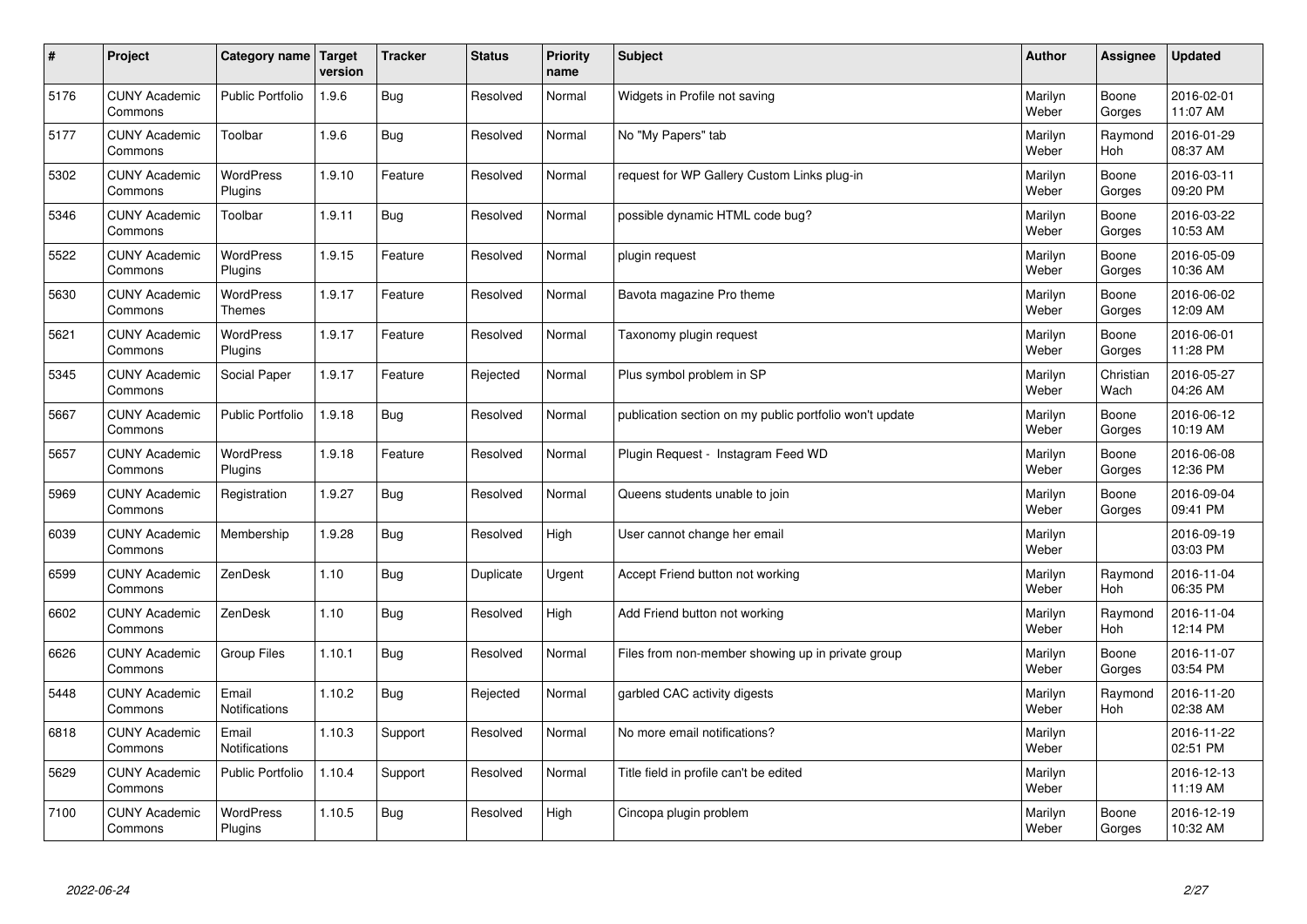| $\sharp$ | Project                         | Category name   Target        | version | <b>Tracker</b> | <b>Status</b> | <b>Priority</b><br>name | <b>Subject</b>                                          | <b>Author</b>    | Assignee              | <b>Updated</b>         |
|----------|---------------------------------|-------------------------------|---------|----------------|---------------|-------------------------|---------------------------------------------------------|------------------|-----------------------|------------------------|
| 5176     | <b>CUNY Academic</b><br>Commons | <b>Public Portfolio</b>       | 1.9.6   | Bug            | Resolved      | Normal                  | Widgets in Profile not saving                           | Marilyn<br>Weber | Boone<br>Gorges       | 2016-02-01<br>11:07 AM |
| 5177     | <b>CUNY Academic</b><br>Commons | Toolbar                       | 1.9.6   | Bug            | Resolved      | Normal                  | No "My Papers" tab                                      | Marilyn<br>Weber | Raymond<br><b>Hoh</b> | 2016-01-29<br>08:37 AM |
| 5302     | <b>CUNY Academic</b><br>Commons | <b>WordPress</b><br>Plugins   | 1.9.10  | Feature        | Resolved      | Normal                  | request for WP Gallery Custom Links plug-in             | Marilyn<br>Weber | Boone<br>Gorges       | 2016-03-11<br>09:20 PM |
| 5346     | <b>CUNY Academic</b><br>Commons | Toolbar                       | 1.9.11  | Bug            | Resolved      | Normal                  | possible dynamic HTML code bug?                         | Marilyn<br>Weber | Boone<br>Gorges       | 2016-03-22<br>10:53 AM |
| 5522     | <b>CUNY Academic</b><br>Commons | <b>WordPress</b><br>Plugins   | 1.9.15  | Feature        | Resolved      | Normal                  | plugin request                                          | Marilyn<br>Weber | Boone<br>Gorges       | 2016-05-09<br>10:36 AM |
| 5630     | <b>CUNY Academic</b><br>Commons | WordPress<br><b>Themes</b>    | 1.9.17  | Feature        | Resolved      | Normal                  | Bavota magazine Pro theme                               | Marilyn<br>Weber | Boone<br>Gorges       | 2016-06-02<br>12:09 AM |
| 5621     | <b>CUNY Academic</b><br>Commons | WordPress<br>Plugins          | 1.9.17  | Feature        | Resolved      | Normal                  | Taxonomy plugin request                                 | Marilyn<br>Weber | Boone<br>Gorges       | 2016-06-01<br>11:28 PM |
| 5345     | <b>CUNY Academic</b><br>Commons | Social Paper                  | 1.9.17  | Feature        | Rejected      | Normal                  | Plus symbol problem in SP                               | Marilyn<br>Weber | Christian<br>Wach     | 2016-05-27<br>04:26 AM |
| 5667     | <b>CUNY Academic</b><br>Commons | <b>Public Portfolio</b>       | 1.9.18  | Bug            | Resolved      | Normal                  | publication section on my public portfolio won't update | Marilyn<br>Weber | Boone<br>Gorges       | 2016-06-12<br>10:19 AM |
| 5657     | <b>CUNY Academic</b><br>Commons | WordPress<br>Plugins          | 1.9.18  | Feature        | Resolved      | Normal                  | Plugin Request - Instagram Feed WD                      | Marilyn<br>Weber | Boone<br>Gorges       | 2016-06-08<br>12:36 PM |
| 5969     | <b>CUNY Academic</b><br>Commons | Registration                  | 1.9.27  | <b>Bug</b>     | Resolved      | Normal                  | Queens students unable to join                          | Marilyn<br>Weber | Boone<br>Gorges       | 2016-09-04<br>09:41 PM |
| 6039     | <b>CUNY Academic</b><br>Commons | Membership                    | 1.9.28  | Bug            | Resolved      | High                    | User cannot change her email                            | Marilyn<br>Weber |                       | 2016-09-19<br>03:03 PM |
| 6599     | <b>CUNY Academic</b><br>Commons | ZenDesk                       | 1.10    | Bug            | Duplicate     | Urgent                  | Accept Friend button not working                        | Marilyn<br>Weber | Raymond<br>Hoh        | 2016-11-04<br>06:35 PM |
| 6602     | <b>CUNY Academic</b><br>Commons | ZenDesk                       | 1.10    | Bug            | Resolved      | High                    | Add Friend button not working                           | Marilyn<br>Weber | Raymond<br><b>Hoh</b> | 2016-11-04<br>12:14 PM |
| 6626     | <b>CUNY Academic</b><br>Commons | Group Files                   | 1.10.1  | <b>Bug</b>     | Resolved      | Normal                  | Files from non-member showing up in private group       | Marilyn<br>Weber | Boone<br>Gorges       | 2016-11-07<br>03:54 PM |
| 5448     | <b>CUNY Academic</b><br>Commons | Email<br>Notifications        | 1.10.2  | <b>Bug</b>     | Rejected      | Normal                  | garbled CAC activity digests                            | Marilyn<br>Weber | Raymond<br><b>Hoh</b> | 2016-11-20<br>02:38 AM |
| 6818     | <b>CUNY Academic</b><br>Commons | Email<br><b>Notifications</b> | 1.10.3  | Support        | Resolved      | Normal                  | No more email notifications?                            | Marilyn<br>Weber |                       | 2016-11-22<br>02:51 PM |
| 5629     | <b>CUNY Academic</b><br>Commons | <b>Public Portfolio</b>       | 1.10.4  | Support        | Resolved      | Normal                  | Title field in profile can't be edited                  | Marilyn<br>Weber |                       | 2016-12-13<br>11:19 AM |
| 7100     | <b>CUNY Academic</b><br>Commons | <b>WordPress</b><br>Plugins   | 1.10.5  | Bug            | Resolved      | High                    | Cincopa plugin problem                                  | Marilyn<br>Weber | Boone<br>Gorges       | 2016-12-19<br>10:32 AM |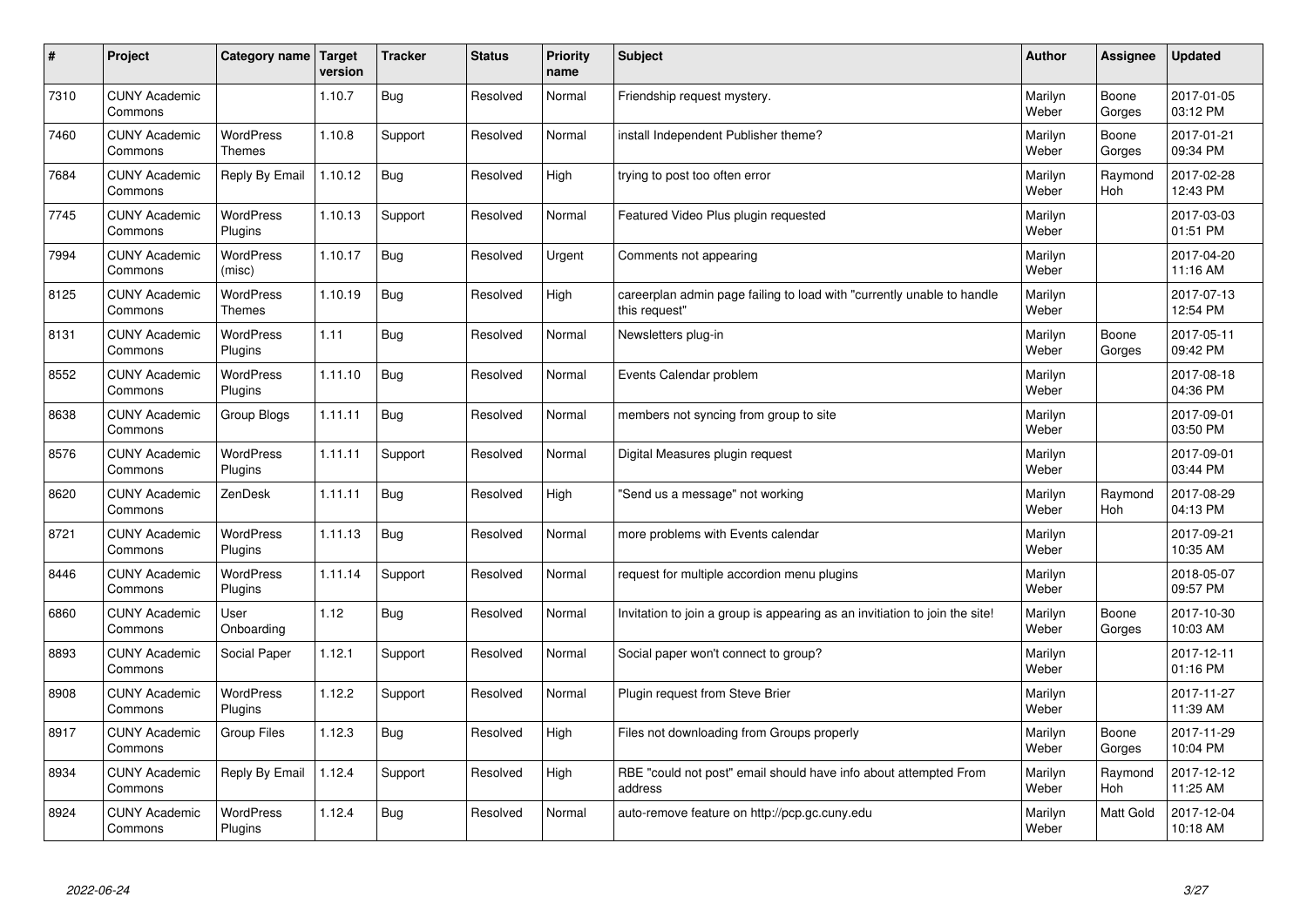| $\vert$ # | Project                         | Category name                     | <b>Target</b><br>version | <b>Tracker</b> | <b>Status</b> | <b>Priority</b><br>name | <b>Subject</b>                                                                          | <b>Author</b>    | <b>Assignee</b>       | <b>Updated</b>         |
|-----------|---------------------------------|-----------------------------------|--------------------------|----------------|---------------|-------------------------|-----------------------------------------------------------------------------------------|------------------|-----------------------|------------------------|
| 7310      | <b>CUNY Academic</b><br>Commons |                                   | 1.10.7                   | Bug            | Resolved      | Normal                  | Friendship request mystery.                                                             | Marilyn<br>Weber | Boone<br>Gorges       | 2017-01-05<br>03:12 PM |
| 7460      | <b>CUNY Academic</b><br>Commons | <b>WordPress</b><br><b>Themes</b> | 1.10.8                   | Support        | Resolved      | Normal                  | install Independent Publisher theme?                                                    | Marilyn<br>Weber | Boone<br>Gorges       | 2017-01-21<br>09:34 PM |
| 7684      | <b>CUNY Academic</b><br>Commons | Reply By Email                    | 1.10.12                  | <b>Bug</b>     | Resolved      | High                    | trying to post too often error                                                          | Marilyn<br>Weber | Raymond<br><b>Hoh</b> | 2017-02-28<br>12:43 PM |
| 7745      | <b>CUNY Academic</b><br>Commons | <b>WordPress</b><br>Plugins       | 1.10.13                  | Support        | Resolved      | Normal                  | Featured Video Plus plugin requested                                                    | Marilyn<br>Weber |                       | 2017-03-03<br>01:51 PM |
| 7994      | <b>CUNY Academic</b><br>Commons | <b>WordPress</b><br>(misc)        | 1.10.17                  | Bug            | Resolved      | Urgent                  | Comments not appearing                                                                  | Marilyn<br>Weber |                       | 2017-04-20<br>11:16 AM |
| 8125      | <b>CUNY Academic</b><br>Commons | <b>WordPress</b><br><b>Themes</b> | 1.10.19                  | Bug            | Resolved      | High                    | careerplan admin page failing to load with "currently unable to handle<br>this request" | Marilyn<br>Weber |                       | 2017-07-13<br>12:54 PM |
| 8131      | <b>CUNY Academic</b><br>Commons | WordPress<br>Plugins              | 1.11                     | Bug            | Resolved      | Normal                  | Newsletters plug-in                                                                     | Marilyn<br>Weber | Boone<br>Gorges       | 2017-05-11<br>09:42 PM |
| 8552      | <b>CUNY Academic</b><br>Commons | WordPress<br>Plugins              | 1.11.10                  | Bug            | Resolved      | Normal                  | Events Calendar problem                                                                 | Marilyn<br>Weber |                       | 2017-08-18<br>04:36 PM |
| 8638      | <b>CUNY Academic</b><br>Commons | Group Blogs                       | 1.11.11                  | Bug            | Resolved      | Normal                  | members not syncing from group to site                                                  | Marilyn<br>Weber |                       | 2017-09-01<br>03:50 PM |
| 8576      | <b>CUNY Academic</b><br>Commons | WordPress<br>Plugins              | 1.11.11                  | Support        | Resolved      | Normal                  | Digital Measures plugin request                                                         | Marilyn<br>Weber |                       | 2017-09-01<br>03:44 PM |
| 8620      | <b>CUNY Academic</b><br>Commons | ZenDesk                           | 1.11.11                  | Bug            | Resolved      | High                    | Send us a message" not working                                                          | Marilyn<br>Weber | Raymond<br>Hoh        | 2017-08-29<br>04:13 PM |
| 8721      | <b>CUNY Academic</b><br>Commons | WordPress<br>Plugins              | 1.11.13                  | <b>Bug</b>     | Resolved      | Normal                  | more problems with Events calendar                                                      | Marilyn<br>Weber |                       | 2017-09-21<br>10:35 AM |
| 8446      | <b>CUNY Academic</b><br>Commons | <b>WordPress</b><br>Plugins       | 1.11.14                  | Support        | Resolved      | Normal                  | request for multiple accordion menu plugins                                             | Marilyn<br>Weber |                       | 2018-05-07<br>09:57 PM |
| 6860      | <b>CUNY Academic</b><br>Commons | User<br>Onboarding                | 1.12                     | Bug            | Resolved      | Normal                  | Invitation to join a group is appearing as an invitiation to join the site!             | Marilyn<br>Weber | Boone<br>Gorges       | 2017-10-30<br>10:03 AM |
| 8893      | <b>CUNY Academic</b><br>Commons | Social Paper                      | 1.12.1                   | Support        | Resolved      | Normal                  | Social paper won't connect to group?                                                    | Marilyn<br>Weber |                       | 2017-12-11<br>01:16 PM |
| 8908      | <b>CUNY Academic</b><br>Commons | WordPress<br>Plugins              | 1.12.2                   | Support        | Resolved      | Normal                  | Plugin request from Steve Brier                                                         | Marilyn<br>Weber |                       | 2017-11-27<br>11:39 AM |
| 8917      | <b>CUNY Academic</b><br>Commons | <b>Group Files</b>                | 1.12.3                   | Bug            | Resolved      | High                    | Files not downloading from Groups properly                                              | Marilyn<br>Weber | Boone<br>Gorges       | 2017-11-29<br>10:04 PM |
| 8934      | <b>CUNY Academic</b><br>Commons | Reply By Email                    | 1.12.4                   | Support        | Resolved      | High                    | RBE "could not post" email should have info about attempted From<br>address             | Marilyn<br>Weber | Raymond<br><b>Hoh</b> | 2017-12-12<br>11:25 AM |
| 8924      | <b>CUNY Academic</b><br>Commons | <b>WordPress</b><br>Plugins       | 1.12.4                   | Bug            | Resolved      | Normal                  | auto-remove feature on http://pcp.gc.cuny.edu                                           | Marilyn<br>Weber | <b>Matt Gold</b>      | 2017-12-04<br>10:18 AM |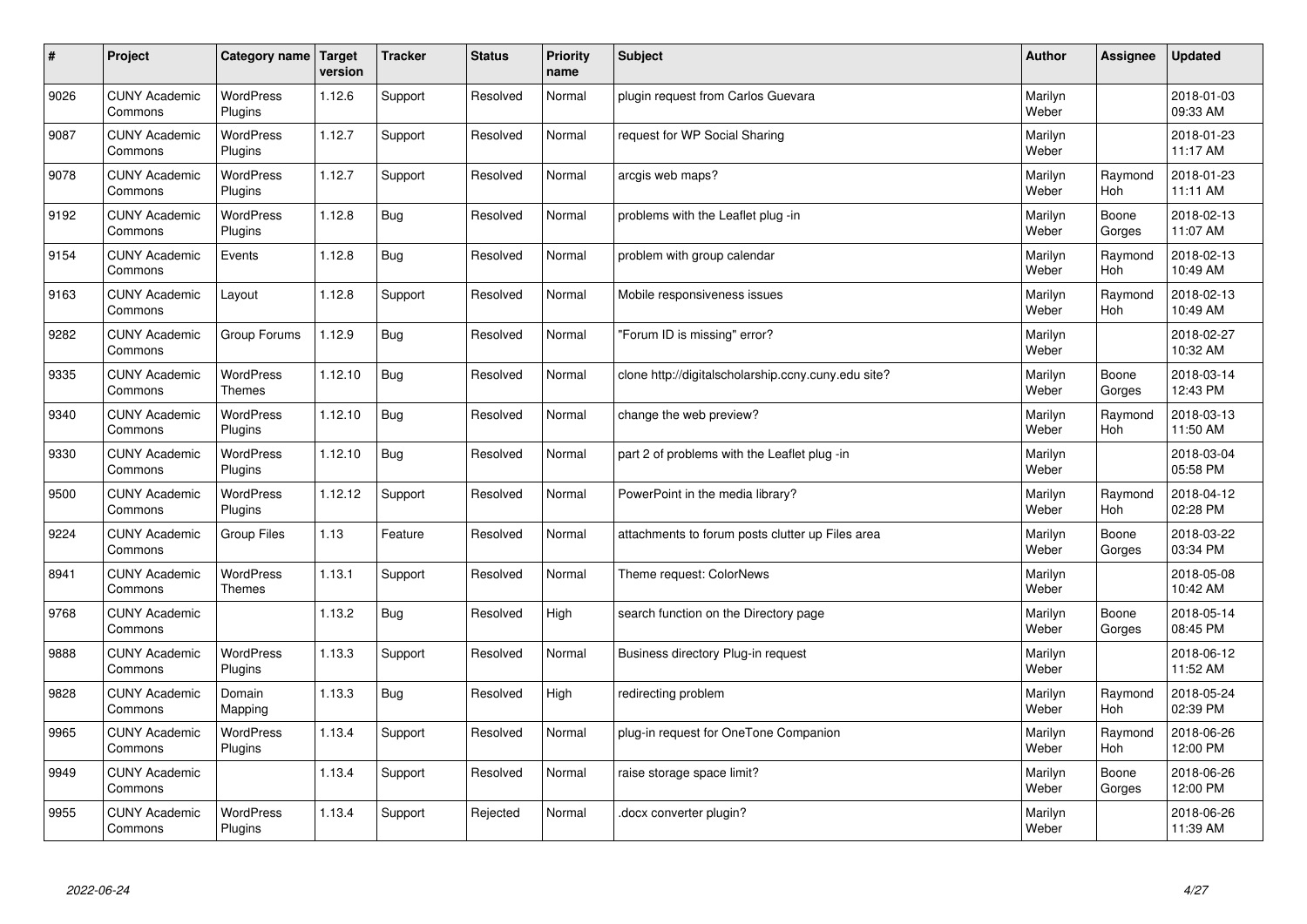| $\sharp$ | Project                         | Category name   Target            | version | <b>Tracker</b> | <b>Status</b> | <b>Priority</b><br>name | <b>Subject</b>                                      | <b>Author</b>    | Assignee              | <b>Updated</b>         |
|----------|---------------------------------|-----------------------------------|---------|----------------|---------------|-------------------------|-----------------------------------------------------|------------------|-----------------------|------------------------|
| 9026     | <b>CUNY Academic</b><br>Commons | <b>WordPress</b><br>Plugins       | 1.12.6  | Support        | Resolved      | Normal                  | plugin request from Carlos Guevara                  | Marilyn<br>Weber |                       | 2018-01-03<br>09:33 AM |
| 9087     | <b>CUNY Academic</b><br>Commons | <b>WordPress</b><br>Plugins       | 1.12.7  | Support        | Resolved      | Normal                  | request for WP Social Sharing                       | Marilyn<br>Weber |                       | 2018-01-23<br>11:17 AM |
| 9078     | <b>CUNY Academic</b><br>Commons | <b>WordPress</b><br>Plugins       | 1.12.7  | Support        | Resolved      | Normal                  | arcgis web maps?                                    | Marilyn<br>Weber | Raymond<br>Hoh        | 2018-01-23<br>11:11 AM |
| 9192     | <b>CUNY Academic</b><br>Commons | <b>WordPress</b><br>Plugins       | 1.12.8  | <b>Bug</b>     | Resolved      | Normal                  | problems with the Leaflet plug -in                  | Marilyn<br>Weber | Boone<br>Gorges       | 2018-02-13<br>11:07 AM |
| 9154     | <b>CUNY Academic</b><br>Commons | Events                            | 1.12.8  | <b>Bug</b>     | Resolved      | Normal                  | problem with group calendar                         | Marilyn<br>Weber | Raymond<br><b>Hoh</b> | 2018-02-13<br>10:49 AM |
| 9163     | <b>CUNY Academic</b><br>Commons | Layout                            | 1.12.8  | Support        | Resolved      | Normal                  | Mobile responsiveness issues                        | Marilyn<br>Weber | Raymond<br>Hoh        | 2018-02-13<br>10:49 AM |
| 9282     | <b>CUNY Academic</b><br>Commons | Group Forums                      | 1.12.9  | Bug            | Resolved      | Normal                  | 'Forum ID is missing" error?                        | Marilyn<br>Weber |                       | 2018-02-27<br>10:32 AM |
| 9335     | <b>CUNY Academic</b><br>Commons | WordPress<br><b>Themes</b>        | 1.12.10 | Bug            | Resolved      | Normal                  | clone http://digitalscholarship.ccny.cuny.edu site? | Marilyn<br>Weber | Boone<br>Gorges       | 2018-03-14<br>12:43 PM |
| 9340     | <b>CUNY Academic</b><br>Commons | WordPress<br>Plugins              | 1.12.10 | Bug            | Resolved      | Normal                  | change the web preview?                             | Marilyn<br>Weber | Raymond<br>Hoh        | 2018-03-13<br>11:50 AM |
| 9330     | <b>CUNY Academic</b><br>Commons | WordPress<br>Plugins              | 1.12.10 | <b>Bug</b>     | Resolved      | Normal                  | part 2 of problems with the Leaflet plug -in        | Marilyn<br>Weber |                       | 2018-03-04<br>05:58 PM |
| 9500     | <b>CUNY Academic</b><br>Commons | <b>WordPress</b><br>Plugins       | 1.12.12 | Support        | Resolved      | Normal                  | PowerPoint in the media library?                    | Marilyn<br>Weber | Raymond<br>Hoh        | 2018-04-12<br>02:28 PM |
| 9224     | <b>CUNY Academic</b><br>Commons | <b>Group Files</b>                | 1.13    | Feature        | Resolved      | Normal                  | attachments to forum posts clutter up Files area    | Marilyn<br>Weber | Boone<br>Gorges       | 2018-03-22<br>03:34 PM |
| 8941     | <b>CUNY Academic</b><br>Commons | <b>WordPress</b><br><b>Themes</b> | 1.13.1  | Support        | Resolved      | Normal                  | Theme request: ColorNews                            | Marilyn<br>Weber |                       | 2018-05-08<br>10:42 AM |
| 9768     | <b>CUNY Academic</b><br>Commons |                                   | 1.13.2  | Bug            | Resolved      | High                    | search function on the Directory page               | Marilyn<br>Weber | Boone<br>Gorges       | 2018-05-14<br>08:45 PM |
| 9888     | <b>CUNY Academic</b><br>Commons | WordPress<br>Plugins              | 1.13.3  | Support        | Resolved      | Normal                  | Business directory Plug-in request                  | Marilyn<br>Weber |                       | 2018-06-12<br>11:52 AM |
| 9828     | <b>CUNY Academic</b><br>Commons | Domain<br>Mapping                 | 1.13.3  | Bug            | Resolved      | High                    | redirecting problem                                 | Marilyn<br>Weber | Raymond<br><b>Hoh</b> | 2018-05-24<br>02:39 PM |
| 9965     | <b>CUNY Academic</b><br>Commons | WordPress<br>Plugins              | 1.13.4  | Support        | Resolved      | Normal                  | plug-in request for OneTone Companion               | Marilyn<br>Weber | Raymond<br><b>Hoh</b> | 2018-06-26<br>12:00 PM |
| 9949     | <b>CUNY Academic</b><br>Commons |                                   | 1.13.4  | Support        | Resolved      | Normal                  | raise storage space limit?                          | Marilyn<br>Weber | Boone<br>Gorges       | 2018-06-26<br>12:00 PM |
| 9955     | <b>CUNY Academic</b><br>Commons | <b>WordPress</b><br>Plugins       | 1.13.4  | Support        | Rejected      | Normal                  | docx converter plugin?                              | Marilyn<br>Weber |                       | 2018-06-26<br>11:39 AM |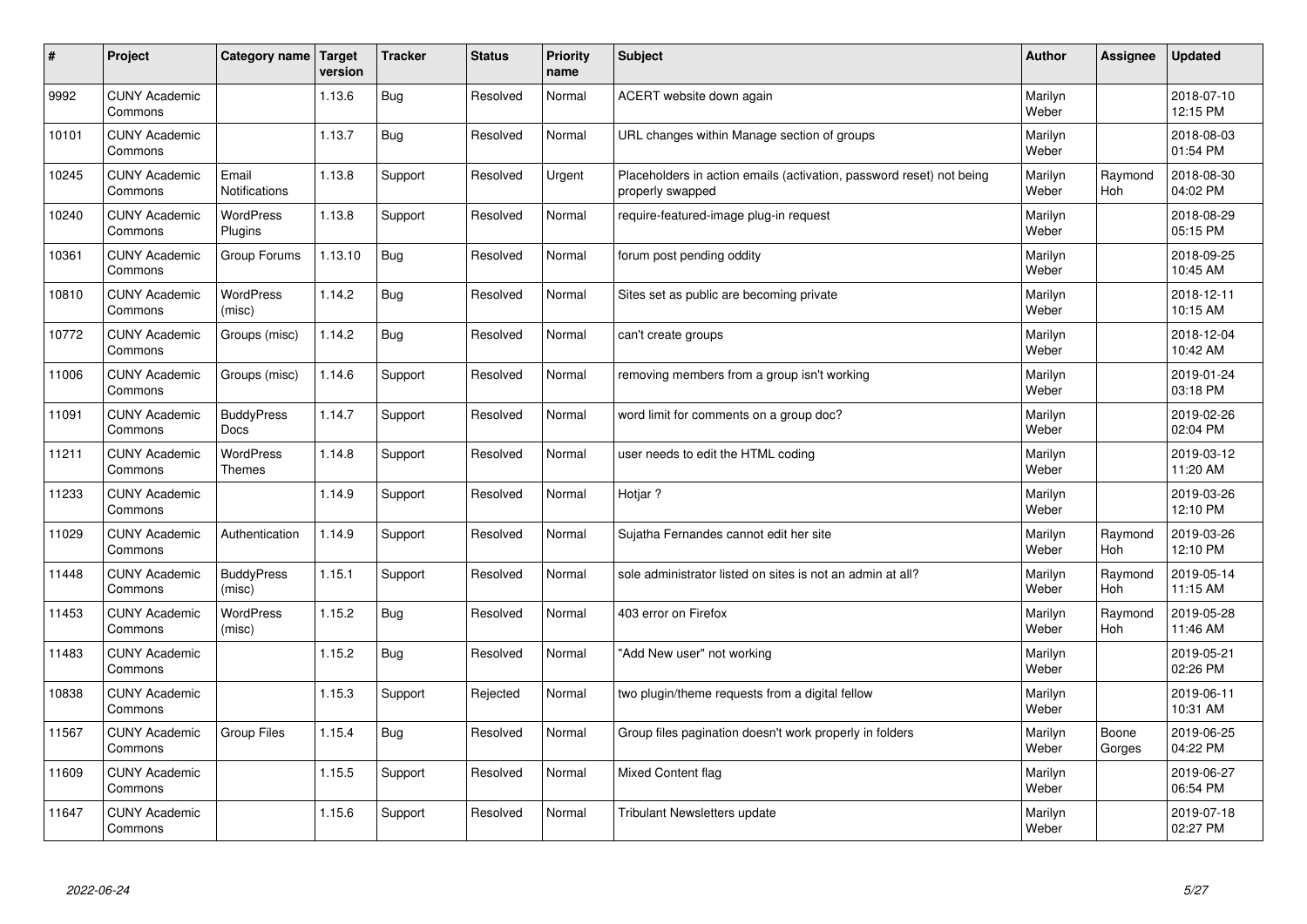| #     | Project                         | Category name   Target            | version | <b>Tracker</b> | <b>Status</b> | <b>Priority</b><br>name | <b>Subject</b>                                                                           | <b>Author</b>    | Assignee        | <b>Updated</b>         |
|-------|---------------------------------|-----------------------------------|---------|----------------|---------------|-------------------------|------------------------------------------------------------------------------------------|------------------|-----------------|------------------------|
| 9992  | <b>CUNY Academic</b><br>Commons |                                   | 1.13.6  | <b>Bug</b>     | Resolved      | Normal                  | ACERT website down again                                                                 | Marilyn<br>Weber |                 | 2018-07-10<br>12:15 PM |
| 10101 | <b>CUNY Academic</b><br>Commons |                                   | 1.13.7  | <b>Bug</b>     | Resolved      | Normal                  | URL changes within Manage section of groups                                              | Marilyn<br>Weber |                 | 2018-08-03<br>01:54 PM |
| 10245 | <b>CUNY Academic</b><br>Commons | Email<br><b>Notifications</b>     | 1.13.8  | Support        | Resolved      | Urgent                  | Placeholders in action emails (activation, password reset) not being<br>properly swapped | Marilyn<br>Weber | Raymond<br>Hoh  | 2018-08-30<br>04:02 PM |
| 10240 | <b>CUNY Academic</b><br>Commons | <b>WordPress</b><br>Plugins       | 1.13.8  | Support        | Resolved      | Normal                  | require-featured-image plug-in request                                                   | Marilyn<br>Weber |                 | 2018-08-29<br>05:15 PM |
| 10361 | <b>CUNY Academic</b><br>Commons | Group Forums                      | 1.13.10 | <b>Bug</b>     | Resolved      | Normal                  | forum post pending oddity                                                                | Marilyn<br>Weber |                 | 2018-09-25<br>10:45 AM |
| 10810 | <b>CUNY Academic</b><br>Commons | <b>WordPress</b><br>(misc)        | 1.14.2  | <b>Bug</b>     | Resolved      | Normal                  | Sites set as public are becoming private                                                 | Marilyn<br>Weber |                 | 2018-12-11<br>10:15 AM |
| 10772 | <b>CUNY Academic</b><br>Commons | Groups (misc)                     | 1.14.2  | Bug            | Resolved      | Normal                  | can't create groups                                                                      | Marilyn<br>Weber |                 | 2018-12-04<br>10:42 AM |
| 11006 | <b>CUNY Academic</b><br>Commons | Groups (misc)                     | 1.14.6  | Support        | Resolved      | Normal                  | removing members from a group isn't working                                              | Marilyn<br>Weber |                 | 2019-01-24<br>03:18 PM |
| 11091 | <b>CUNY Academic</b><br>Commons | <b>BuddyPress</b><br>Docs         | 1.14.7  | Support        | Resolved      | Normal                  | word limit for comments on a group doc?                                                  | Marilyn<br>Weber |                 | 2019-02-26<br>02:04 PM |
| 11211 | <b>CUNY Academic</b><br>Commons | <b>WordPress</b><br><b>Themes</b> | 1.14.8  | Support        | Resolved      | Normal                  | user needs to edit the HTML coding                                                       | Marilyn<br>Weber |                 | 2019-03-12<br>11:20 AM |
| 11233 | <b>CUNY Academic</b><br>Commons |                                   | 1.14.9  | Support        | Resolved      | Normal                  | Hotjar?                                                                                  | Marilyn<br>Weber |                 | 2019-03-26<br>12:10 PM |
| 11029 | <b>CUNY Academic</b><br>Commons | Authentication                    | 1.14.9  | Support        | Resolved      | Normal                  | Sujatha Fernandes cannot edit her site                                                   | Marilyn<br>Weber | Raymond<br>Hoh  | 2019-03-26<br>12:10 PM |
| 11448 | <b>CUNY Academic</b><br>Commons | <b>BuddyPress</b><br>(misc)       | 1.15.1  | Support        | Resolved      | Normal                  | sole administrator listed on sites is not an admin at all?                               | Marilyn<br>Weber | Raymond<br>Hoh  | 2019-05-14<br>11:15 AM |
| 11453 | <b>CUNY Academic</b><br>Commons | WordPress<br>(misc)               | 1.15.2  | <b>Bug</b>     | Resolved      | Normal                  | 403 error on Firefox                                                                     | Marilyn<br>Weber | Raymond<br>Hoh  | 2019-05-28<br>11:46 AM |
| 11483 | <b>CUNY Academic</b><br>Commons |                                   | 1.15.2  | <b>Bug</b>     | Resolved      | Normal                  | 'Add New user" not working                                                               | Marilyn<br>Weber |                 | 2019-05-21<br>02:26 PM |
| 10838 | <b>CUNY Academic</b><br>Commons |                                   | 1.15.3  | Support        | Rejected      | Normal                  | two plugin/theme requests from a digital fellow                                          | Marilyn<br>Weber |                 | 2019-06-11<br>10:31 AM |
| 11567 | <b>CUNY Academic</b><br>Commons | <b>Group Files</b>                | 1.15.4  | Bug            | Resolved      | Normal                  | Group files pagination doesn't work properly in folders                                  | Marilyn<br>Weber | Boone<br>Gorges | 2019-06-25<br>04:22 PM |
| 11609 | <b>CUNY Academic</b><br>Commons |                                   | 1.15.5  | Support        | Resolved      | Normal                  | Mixed Content flag                                                                       | Marilyn<br>Weber |                 | 2019-06-27<br>06:54 PM |
| 11647 | <b>CUNY Academic</b><br>Commons |                                   | 1.15.6  | Support        | Resolved      | Normal                  | Tribulant Newsletters update                                                             | Marilyn<br>Weber |                 | 2019-07-18<br>02:27 PM |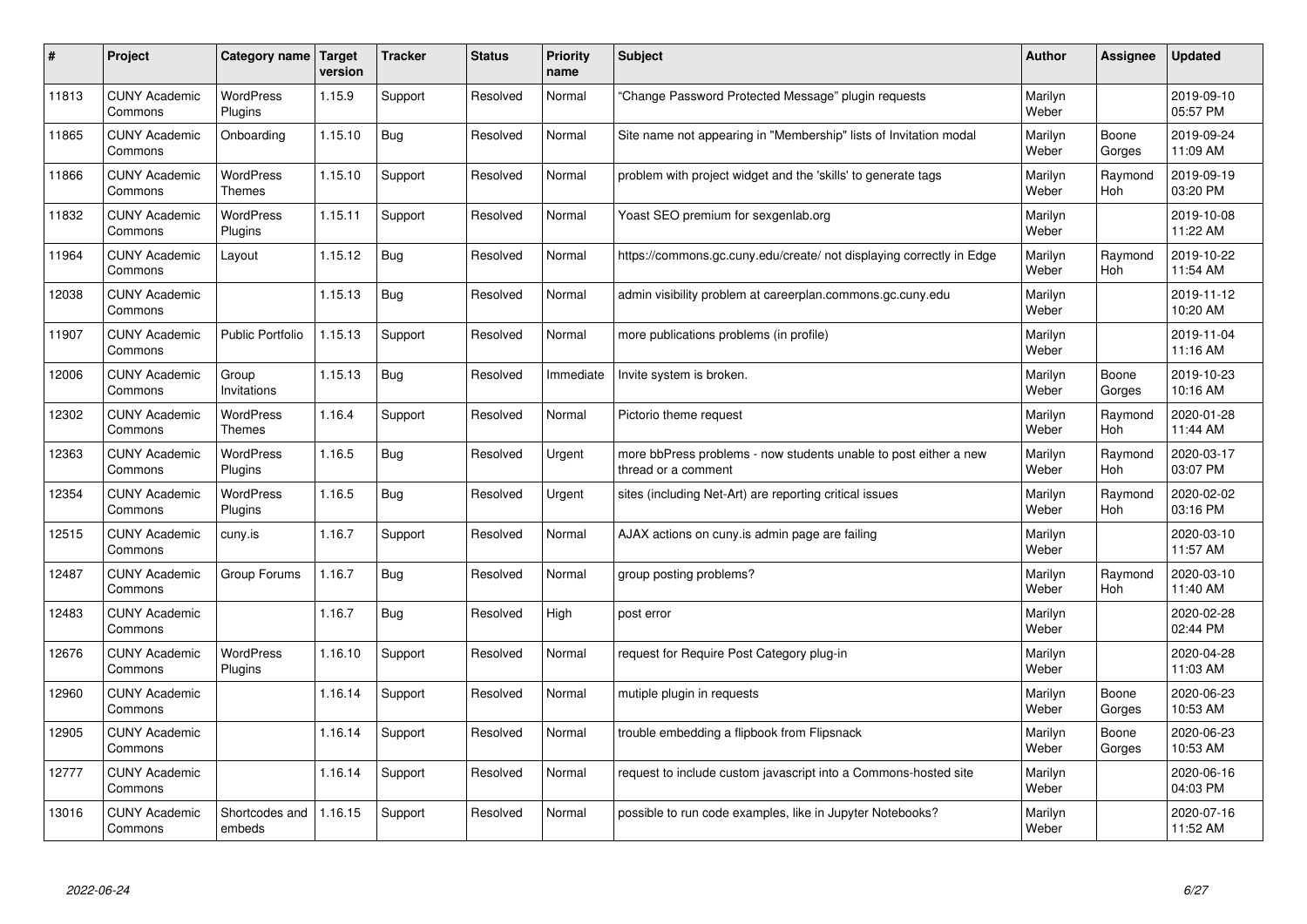| #     | Project                         | Category name   Target            | version | <b>Tracker</b> | <b>Status</b> | <b>Priority</b><br>name | <b>Subject</b>                                                                          | <b>Author</b>    | Assignee              | <b>Updated</b>         |
|-------|---------------------------------|-----------------------------------|---------|----------------|---------------|-------------------------|-----------------------------------------------------------------------------------------|------------------|-----------------------|------------------------|
| 11813 | <b>CUNY Academic</b><br>Commons | <b>WordPress</b><br>Plugins       | 1.15.9  | Support        | Resolved      | Normal                  | 'Change Password Protected Message" plugin requests                                     | Marilyn<br>Weber |                       | 2019-09-10<br>05:57 PM |
| 11865 | <b>CUNY Academic</b><br>Commons | Onboarding                        | 1.15.10 | Bug            | Resolved      | Normal                  | Site name not appearing in "Membership" lists of Invitation modal                       | Marilyn<br>Weber | Boone<br>Gorges       | 2019-09-24<br>11:09 AM |
| 11866 | <b>CUNY Academic</b><br>Commons | <b>WordPress</b><br><b>Themes</b> | 1.15.10 | Support        | Resolved      | Normal                  | problem with project widget and the 'skills' to generate tags                           | Marilyn<br>Weber | Raymond<br><b>Hoh</b> | 2019-09-19<br>03:20 PM |
| 11832 | <b>CUNY Academic</b><br>Commons | <b>WordPress</b><br>Plugins       | 1.15.11 | Support        | Resolved      | Normal                  | Yoast SEO premium for sexgenlab.org                                                     | Marilyn<br>Weber |                       | 2019-10-08<br>11:22 AM |
| 11964 | <b>CUNY Academic</b><br>Commons | Layout                            | 1.15.12 | Bug            | Resolved      | Normal                  | https://commons.gc.cuny.edu/create/ not displaying correctly in Edge                    | Marilyn<br>Weber | Raymond<br>Hoh        | 2019-10-22<br>11:54 AM |
| 12038 | <b>CUNY Academic</b><br>Commons |                                   | 1.15.13 | Bug            | Resolved      | Normal                  | admin visibility problem at careerplan.commons.gc.cuny.edu                              | Marilyn<br>Weber |                       | 2019-11-12<br>10:20 AM |
| 11907 | <b>CUNY Academic</b><br>Commons | <b>Public Portfolio</b>           | 1.15.13 | Support        | Resolved      | Normal                  | more publications problems (in profile)                                                 | Marilyn<br>Weber |                       | 2019-11-04<br>11:16 AM |
| 12006 | <b>CUNY Academic</b><br>Commons | Group<br>Invitations              | 1.15.13 | <b>Bug</b>     | Resolved      | Immediate               | Invite system is broken.                                                                | Marilyn<br>Weber | Boone<br>Gorges       | 2019-10-23<br>10:16 AM |
| 12302 | <b>CUNY Academic</b><br>Commons | <b>WordPress</b><br><b>Themes</b> | 1.16.4  | Support        | Resolved      | Normal                  | Pictorio theme request                                                                  | Marilyn<br>Weber | Raymond<br><b>Hoh</b> | 2020-01-28<br>11:44 AM |
| 12363 | <b>CUNY Academic</b><br>Commons | WordPress<br>Plugins              | 1.16.5  | Bug            | Resolved      | Urgent                  | more bbPress problems - now students unable to post either a new<br>thread or a comment | Marilyn<br>Weber | Raymond<br><b>Hoh</b> | 2020-03-17<br>03:07 PM |
| 12354 | <b>CUNY Academic</b><br>Commons | WordPress<br>Plugins              | 1.16.5  | <b>Bug</b>     | Resolved      | Urgent                  | sites (including Net-Art) are reporting critical issues                                 | Marilyn<br>Weber | Raymond<br>Hoh        | 2020-02-02<br>03:16 PM |
| 12515 | <b>CUNY Academic</b><br>Commons | cuny.is                           | 1.16.7  | Support        | Resolved      | Normal                  | AJAX actions on cuny is admin page are failing                                          | Marilyn<br>Weber |                       | 2020-03-10<br>11:57 AM |
| 12487 | <b>CUNY Academic</b><br>Commons | Group Forums                      | 1.16.7  | Bug            | Resolved      | Normal                  | group posting problems?                                                                 | Marilyn<br>Weber | Raymond<br>Hoh        | 2020-03-10<br>11:40 AM |
| 12483 | <b>CUNY Academic</b><br>Commons |                                   | 1.16.7  | Bug            | Resolved      | High                    | post error                                                                              | Marilyn<br>Weber |                       | 2020-02-28<br>02:44 PM |
| 12676 | <b>CUNY Academic</b><br>Commons | <b>WordPress</b><br>Plugins       | 1.16.10 | Support        | Resolved      | Normal                  | request for Require Post Category plug-in                                               | Marilyn<br>Weber |                       | 2020-04-28<br>11:03 AM |
| 12960 | <b>CUNY Academic</b><br>Commons |                                   | 1.16.14 | Support        | Resolved      | Normal                  | mutiple plugin in requests                                                              | Marilyn<br>Weber | Boone<br>Gorges       | 2020-06-23<br>10:53 AM |
| 12905 | <b>CUNY Academic</b><br>Commons |                                   | 1.16.14 | Support        | Resolved      | Normal                  | trouble embedding a flipbook from Flipsnack                                             | Marilyn<br>Weber | Boone<br>Gorges       | 2020-06-23<br>10:53 AM |
| 12777 | <b>CUNY Academic</b><br>Commons |                                   | 1.16.14 | Support        | Resolved      | Normal                  | request to include custom javascript into a Commons-hosted site                         | Marilyn<br>Weber |                       | 2020-06-16<br>04:03 PM |
| 13016 | <b>CUNY Academic</b><br>Commons | Shortcodes and<br>embeds          | 1.16.15 | Support        | Resolved      | Normal                  | possible to run code examples, like in Jupyter Notebooks?                               | Marilyn<br>Weber |                       | 2020-07-16<br>11:52 AM |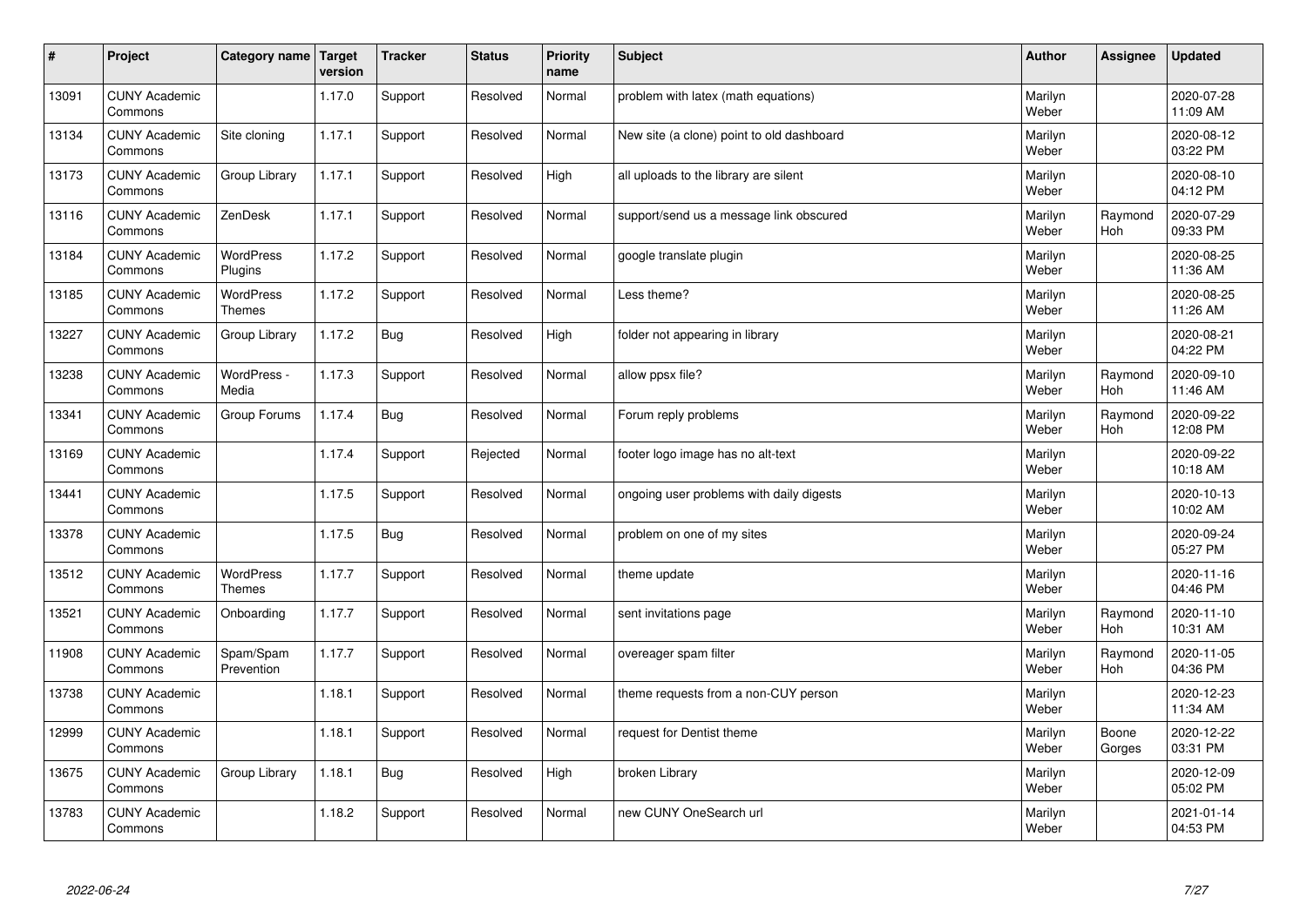| $\sharp$ | Project                         | Category name   Target            | version | <b>Tracker</b> | <b>Status</b> | <b>Priority</b><br>name | <b>Subject</b>                            | <b>Author</b>    | Assignee              | <b>Updated</b>         |
|----------|---------------------------------|-----------------------------------|---------|----------------|---------------|-------------------------|-------------------------------------------|------------------|-----------------------|------------------------|
| 13091    | <b>CUNY Academic</b><br>Commons |                                   | 1.17.0  | Support        | Resolved      | Normal                  | problem with latex (math equations)       | Marilyn<br>Weber |                       | 2020-07-28<br>11:09 AM |
| 13134    | <b>CUNY Academic</b><br>Commons | Site cloning                      | 1.17.1  | Support        | Resolved      | Normal                  | New site (a clone) point to old dashboard | Marilyn<br>Weber |                       | 2020-08-12<br>03:22 PM |
| 13173    | <b>CUNY Academic</b><br>Commons | Group Library                     | 1.17.1  | Support        | Resolved      | High                    | all uploads to the library are silent     | Marilyn<br>Weber |                       | 2020-08-10<br>04:12 PM |
| 13116    | <b>CUNY Academic</b><br>Commons | ZenDesk                           | 1.17.1  | Support        | Resolved      | Normal                  | support/send us a message link obscured   | Marilyn<br>Weber | Raymond<br>Hoh        | 2020-07-29<br>09:33 PM |
| 13184    | <b>CUNY Academic</b><br>Commons | <b>WordPress</b><br>Plugins       | 1.17.2  | Support        | Resolved      | Normal                  | google translate plugin                   | Marilyn<br>Weber |                       | 2020-08-25<br>11:36 AM |
| 13185    | <b>CUNY Academic</b><br>Commons | <b>WordPress</b><br><b>Themes</b> | 1.17.2  | Support        | Resolved      | Normal                  | Less theme?                               | Marilyn<br>Weber |                       | 2020-08-25<br>11:26 AM |
| 13227    | <b>CUNY Academic</b><br>Commons | Group Library                     | 1.17.2  | Bug            | Resolved      | High                    | folder not appearing in library           | Marilyn<br>Weber |                       | 2020-08-21<br>04:22 PM |
| 13238    | <b>CUNY Academic</b><br>Commons | WordPress -<br>Media              | 1.17.3  | Support        | Resolved      | Normal                  | allow ppsx file?                          | Marilyn<br>Weber | Raymond<br>Hoh        | 2020-09-10<br>11:46 AM |
| 13341    | <b>CUNY Academic</b><br>Commons | Group Forums                      | 1.17.4  | Bug            | Resolved      | Normal                  | Forum reply problems                      | Marilyn<br>Weber | Raymond<br>Hoh        | 2020-09-22<br>12:08 PM |
| 13169    | <b>CUNY Academic</b><br>Commons |                                   | 1.17.4  | Support        | Rejected      | Normal                  | footer logo image has no alt-text         | Marilyn<br>Weber |                       | 2020-09-22<br>10:18 AM |
| 13441    | <b>CUNY Academic</b><br>Commons |                                   | 1.17.5  | Support        | Resolved      | Normal                  | ongoing user problems with daily digests  | Marilyn<br>Weber |                       | 2020-10-13<br>10:02 AM |
| 13378    | <b>CUNY Academic</b><br>Commons |                                   | 1.17.5  | Bug            | Resolved      | Normal                  | problem on one of my sites                | Marilyn<br>Weber |                       | 2020-09-24<br>05:27 PM |
| 13512    | <b>CUNY Academic</b><br>Commons | <b>WordPress</b><br><b>Themes</b> | 1.17.7  | Support        | Resolved      | Normal                  | theme update                              | Marilyn<br>Weber |                       | 2020-11-16<br>04:46 PM |
| 13521    | <b>CUNY Academic</b><br>Commons | Onboarding                        | 1.17.7  | Support        | Resolved      | Normal                  | sent invitations page                     | Marilyn<br>Weber | Raymond<br><b>Hoh</b> | 2020-11-10<br>10:31 AM |
| 11908    | <b>CUNY Academic</b><br>Commons | Spam/Spam<br>Prevention           | 1.17.7  | Support        | Resolved      | Normal                  | overeager spam filter                     | Marilyn<br>Weber | Raymond<br><b>Hoh</b> | 2020-11-05<br>04:36 PM |
| 13738    | <b>CUNY Academic</b><br>Commons |                                   | 1.18.1  | Support        | Resolved      | Normal                  | theme requests from a non-CUY person      | Marilyn<br>Weber |                       | 2020-12-23<br>11:34 AM |
| 12999    | <b>CUNY Academic</b><br>Commons |                                   | 1.18.1  | Support        | Resolved      | Normal                  | request for Dentist theme                 | Marilyn<br>Weber | Boone<br>Gorges       | 2020-12-22<br>03:31 PM |
| 13675    | <b>CUNY Academic</b><br>Commons | Group Library                     | 1.18.1  | Bug            | Resolved      | High                    | broken Library                            | Marilyn<br>Weber |                       | 2020-12-09<br>05:02 PM |
| 13783    | <b>CUNY Academic</b><br>Commons |                                   | 1.18.2  | Support        | Resolved      | Normal                  | new CUNY OneSearch url                    | Marilyn<br>Weber |                       | 2021-01-14<br>04:53 PM |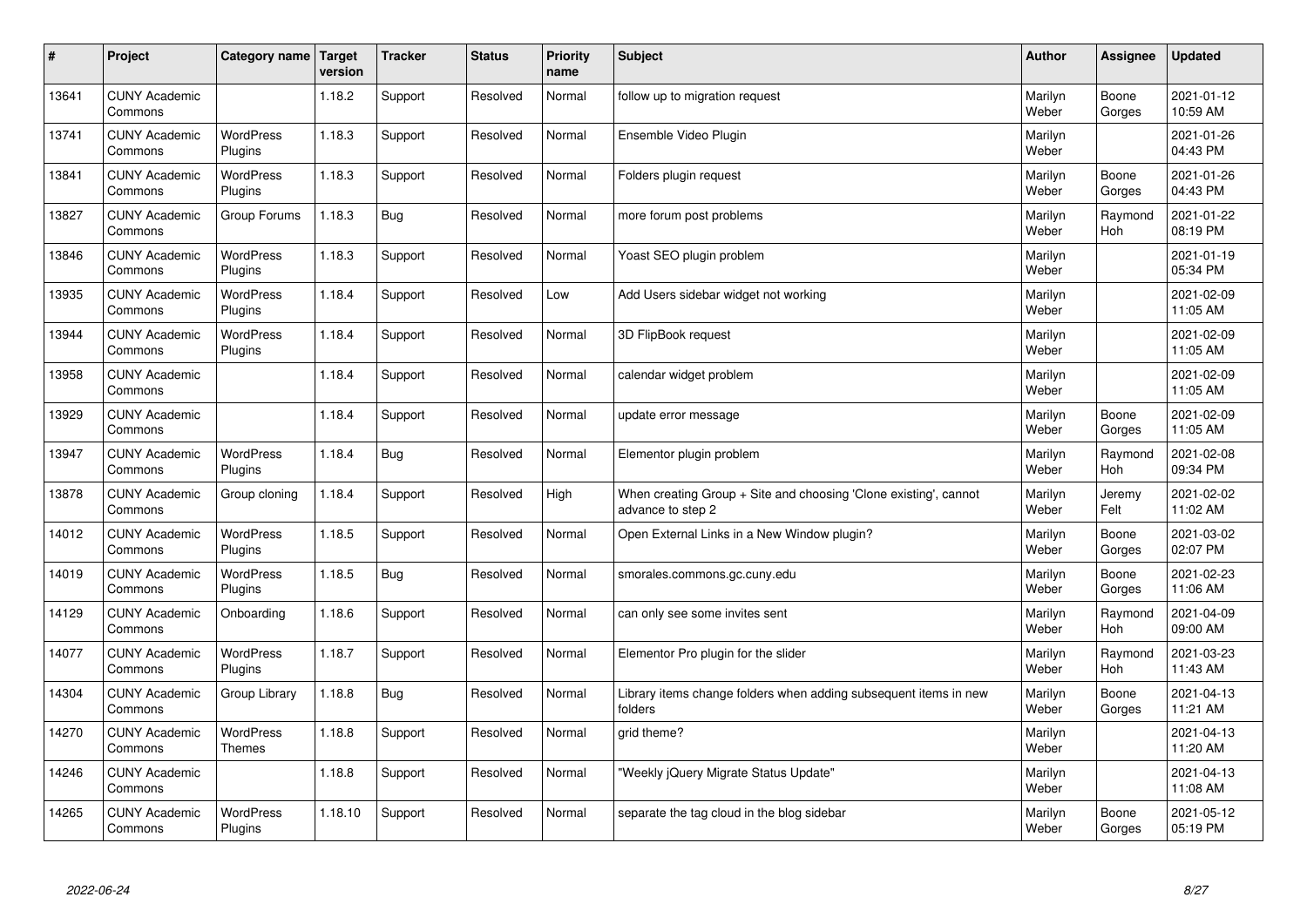| $\sharp$ | Project                         | Category name   Target      | version | <b>Tracker</b> | <b>Status</b> | <b>Priority</b><br>name | <b>Subject</b>                                                                          | <b>Author</b>    | Assignee              | <b>Updated</b>         |
|----------|---------------------------------|-----------------------------|---------|----------------|---------------|-------------------------|-----------------------------------------------------------------------------------------|------------------|-----------------------|------------------------|
| 13641    | <b>CUNY Academic</b><br>Commons |                             | 1.18.2  | Support        | Resolved      | Normal                  | follow up to migration request                                                          | Marilyn<br>Weber | Boone<br>Gorges       | 2021-01-12<br>10:59 AM |
| 13741    | <b>CUNY Academic</b><br>Commons | <b>WordPress</b><br>Plugins | 1.18.3  | Support        | Resolved      | Normal                  | Ensemble Video Plugin                                                                   | Marilyn<br>Weber |                       | 2021-01-26<br>04:43 PM |
| 13841    | <b>CUNY Academic</b><br>Commons | <b>WordPress</b><br>Plugins | 1.18.3  | Support        | Resolved      | Normal                  | Folders plugin request                                                                  | Marilyn<br>Weber | Boone<br>Gorges       | 2021-01-26<br>04:43 PM |
| 13827    | <b>CUNY Academic</b><br>Commons | Group Forums                | 1.18.3  | <b>Bug</b>     | Resolved      | Normal                  | more forum post problems                                                                | Marilyn<br>Weber | Raymond<br>Hoh        | 2021-01-22<br>08:19 PM |
| 13846    | <b>CUNY Academic</b><br>Commons | <b>WordPress</b><br>Plugins | 1.18.3  | Support        | Resolved      | Normal                  | Yoast SEO plugin problem                                                                | Marilyn<br>Weber |                       | 2021-01-19<br>05:34 PM |
| 13935    | <b>CUNY Academic</b><br>Commons | <b>WordPress</b><br>Plugins | 1.18.4  | Support        | Resolved      | Low                     | Add Users sidebar widget not working                                                    | Marilyn<br>Weber |                       | 2021-02-09<br>11:05 AM |
| 13944    | <b>CUNY Academic</b><br>Commons | <b>WordPress</b><br>Plugins | 1.18.4  | Support        | Resolved      | Normal                  | 3D FlipBook request                                                                     | Marilyn<br>Weber |                       | 2021-02-09<br>11:05 AM |
| 13958    | <b>CUNY Academic</b><br>Commons |                             | 1.18.4  | Support        | Resolved      | Normal                  | calendar widget problem                                                                 | Marilyn<br>Weber |                       | 2021-02-09<br>11:05 AM |
| 13929    | <b>CUNY Academic</b><br>Commons |                             | 1.18.4  | Support        | Resolved      | Normal                  | update error message                                                                    | Marilyn<br>Weber | Boone<br>Gorges       | 2021-02-09<br>11:05 AM |
| 13947    | <b>CUNY Academic</b><br>Commons | <b>WordPress</b><br>Plugins | 1.18.4  | Bug            | Resolved      | Normal                  | Elementor plugin problem                                                                | Marilyn<br>Weber | Raymond<br><b>Hoh</b> | 2021-02-08<br>09:34 PM |
| 13878    | <b>CUNY Academic</b><br>Commons | Group cloning               | 1.18.4  | Support        | Resolved      | High                    | When creating Group $+$ Site and choosing 'Clone existing', cannot<br>advance to step 2 | Marilyn<br>Weber | Jeremy<br>Felt        | 2021-02-02<br>11:02 AM |
| 14012    | <b>CUNY Academic</b><br>Commons | WordPress<br>Plugins        | 1.18.5  | Support        | Resolved      | Normal                  | Open External Links in a New Window plugin?                                             | Marilyn<br>Weber | Boone<br>Gorges       | 2021-03-02<br>02:07 PM |
| 14019    | <b>CUNY Academic</b><br>Commons | <b>WordPress</b><br>Plugins | 1.18.5  | Bug            | Resolved      | Normal                  | smorales.commons.gc.cuny.edu                                                            | Marilyn<br>Weber | Boone<br>Gorges       | 2021-02-23<br>11:06 AM |
| 14129    | <b>CUNY Academic</b><br>Commons | Onboarding                  | 1.18.6  | Support        | Resolved      | Normal                  | can only see some invites sent                                                          | Marilyn<br>Weber | Raymond<br><b>Hoh</b> | 2021-04-09<br>09:00 AM |
| 14077    | <b>CUNY Academic</b><br>Commons | WordPress<br>Plugins        | 1.18.7  | Support        | Resolved      | Normal                  | Elementor Pro plugin for the slider                                                     | Marilyn<br>Weber | Raymond<br>Hoh        | 2021-03-23<br>11:43 AM |
| 14304    | <b>CUNY Academic</b><br>Commons | Group Library               | 1.18.8  | Bug            | Resolved      | Normal                  | Library items change folders when adding subsequent items in new<br>folders             | Marilyn<br>Weber | Boone<br>Gorges       | 2021-04-13<br>11:21 AM |
| 14270    | <b>CUNY Academic</b><br>Commons | WordPress<br>Themes         | 1.18.8  | Support        | Resolved      | Normal                  | grid theme?                                                                             | Marilyn<br>Weber |                       | 2021-04-13<br>11:20 AM |
| 14246    | <b>CUNY Academic</b><br>Commons |                             | 1.18.8  | Support        | Resolved      | Normal                  | 'Weekly jQuery Migrate Status Update"                                                   | Marilyn<br>Weber |                       | 2021-04-13<br>11:08 AM |
| 14265    | <b>CUNY Academic</b><br>Commons | <b>WordPress</b><br>Plugins | 1.18.10 | Support        | Resolved      | Normal                  | separate the tag cloud in the blog sidebar                                              | Marilyn<br>Weber | Boone<br>Gorges       | 2021-05-12<br>05:19 PM |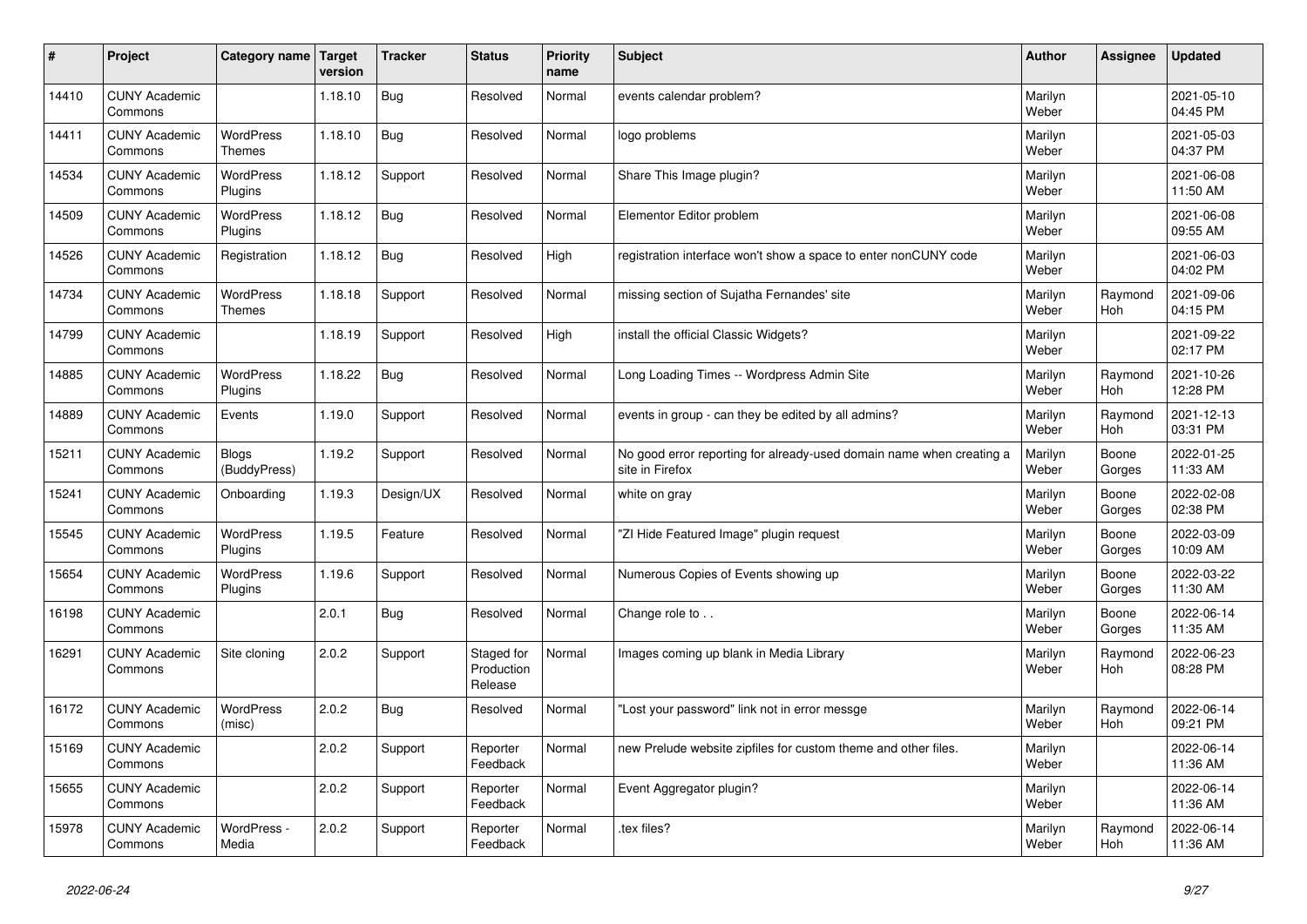| #     | Project                         | Category name   Target            | version | <b>Tracker</b> | <b>Status</b>                       | <b>Priority</b><br>name | <b>Subject</b>                                                                          | <b>Author</b>    | Assignee              | <b>Updated</b>         |
|-------|---------------------------------|-----------------------------------|---------|----------------|-------------------------------------|-------------------------|-----------------------------------------------------------------------------------------|------------------|-----------------------|------------------------|
| 14410 | <b>CUNY Academic</b><br>Commons |                                   | 1.18.10 | Bug            | Resolved                            | Normal                  | events calendar problem?                                                                | Marilyn<br>Weber |                       | 2021-05-10<br>04:45 PM |
| 14411 | <b>CUNY Academic</b><br>Commons | <b>WordPress</b><br><b>Themes</b> | 1.18.10 | Bug            | Resolved                            | Normal                  | logo problems                                                                           | Marilyn<br>Weber |                       | 2021-05-03<br>04:37 PM |
| 14534 | <b>CUNY Academic</b><br>Commons | <b>WordPress</b><br>Plugins       | 1.18.12 | Support        | Resolved                            | Normal                  | Share This Image plugin?                                                                | Marilyn<br>Weber |                       | 2021-06-08<br>11:50 AM |
| 14509 | <b>CUNY Academic</b><br>Commons | <b>WordPress</b><br>Plugins       | 1.18.12 | Bug            | Resolved                            | Normal                  | Elementor Editor problem                                                                | Marilyn<br>Weber |                       | 2021-06-08<br>09:55 AM |
| 14526 | <b>CUNY Academic</b><br>Commons | Registration                      | 1.18.12 | Bug            | Resolved                            | High                    | registration interface won't show a space to enter nonCUNY code                         | Marilyn<br>Weber |                       | 2021-06-03<br>04:02 PM |
| 14734 | <b>CUNY Academic</b><br>Commons | <b>WordPress</b><br><b>Themes</b> | 1.18.18 | Support        | Resolved                            | Normal                  | missing section of Sujatha Fernandes' site                                              | Marilyn<br>Weber | Raymond<br><b>Hoh</b> | 2021-09-06<br>04:15 PM |
| 14799 | <b>CUNY Academic</b><br>Commons |                                   | 1.18.19 | Support        | Resolved                            | High                    | install the official Classic Widgets?                                                   | Marilyn<br>Weber |                       | 2021-09-22<br>02:17 PM |
| 14885 | <b>CUNY Academic</b><br>Commons | <b>WordPress</b><br>Plugins       | 1.18.22 | Bug            | Resolved                            | Normal                  | Long Loading Times -- Wordpress Admin Site                                              | Marilyn<br>Weber | Raymond<br>Hoh        | 2021-10-26<br>12:28 PM |
| 14889 | <b>CUNY Academic</b><br>Commons | Events                            | 1.19.0  | Support        | Resolved                            | Normal                  | events in group - can they be edited by all admins?                                     | Marilyn<br>Weber | Raymond<br><b>Hoh</b> | 2021-12-13<br>03:31 PM |
| 15211 | <b>CUNY Academic</b><br>Commons | <b>Blogs</b><br>(BuddyPress)      | 1.19.2  | Support        | Resolved                            | Normal                  | No good error reporting for already-used domain name when creating a<br>site in Firefox | Marilyn<br>Weber | Boone<br>Gorges       | 2022-01-25<br>11:33 AM |
| 15241 | <b>CUNY Academic</b><br>Commons | Onboarding                        | 1.19.3  | Design/UX      | Resolved                            | Normal                  | white on gray                                                                           | Marilyn<br>Weber | Boone<br>Gorges       | 2022-02-08<br>02:38 PM |
| 15545 | <b>CUNY Academic</b><br>Commons | WordPress<br>Plugins              | 1.19.5  | Feature        | Resolved                            | Normal                  | 'ZI Hide Featured Image" plugin request                                                 | Marilyn<br>Weber | Boone<br>Gorges       | 2022-03-09<br>10:09 AM |
| 15654 | <b>CUNY Academic</b><br>Commons | <b>WordPress</b><br>Plugins       | 1.19.6  | Support        | Resolved                            | Normal                  | Numerous Copies of Events showing up                                                    | Marilyn<br>Weber | Boone<br>Gorges       | 2022-03-22<br>11:30 AM |
| 16198 | <b>CUNY Academic</b><br>Commons |                                   | 2.0.1   | <b>Bug</b>     | Resolved                            | Normal                  | Change role to                                                                          | Marilyn<br>Weber | Boone<br>Gorges       | 2022-06-14<br>11:35 AM |
| 16291 | <b>CUNY Academic</b><br>Commons | Site cloning                      | 2.0.2   | Support        | Staged for<br>Production<br>Release | Normal                  | Images coming up blank in Media Library                                                 | Marilyn<br>Weber | Raymond<br><b>Hoh</b> | 2022-06-23<br>08:28 PM |
| 16172 | <b>CUNY Academic</b><br>Commons | WordPress<br>(misc)               | 2.0.2   | <b>Bug</b>     | Resolved                            | Normal                  | 'Lost your password" link not in error messge                                           | Marilyn<br>Weber | Raymond<br><b>Hoh</b> | 2022-06-14<br>09:21 PM |
| 15169 | <b>CUNY Academic</b><br>Commons |                                   | 2.0.2   | Support        | Reporter<br>Feedback                | Normal                  | new Prelude website zipfiles for custom theme and other files.                          | Marilyn<br>Weber |                       | 2022-06-14<br>11:36 AM |
| 15655 | <b>CUNY Academic</b><br>Commons |                                   | 2.0.2   | Support        | Reporter<br>Feedback                | Normal                  | Event Aggregator plugin?                                                                | Marilyn<br>Weber |                       | 2022-06-14<br>11:36 AM |
| 15978 | <b>CUNY Academic</b><br>Commons | WordPress -<br>Media              | 2.0.2   | Support        | Reporter<br>Feedback                | Normal                  | .tex files?                                                                             | Marilyn<br>Weber | Raymond<br>Hoh        | 2022-06-14<br>11:36 AM |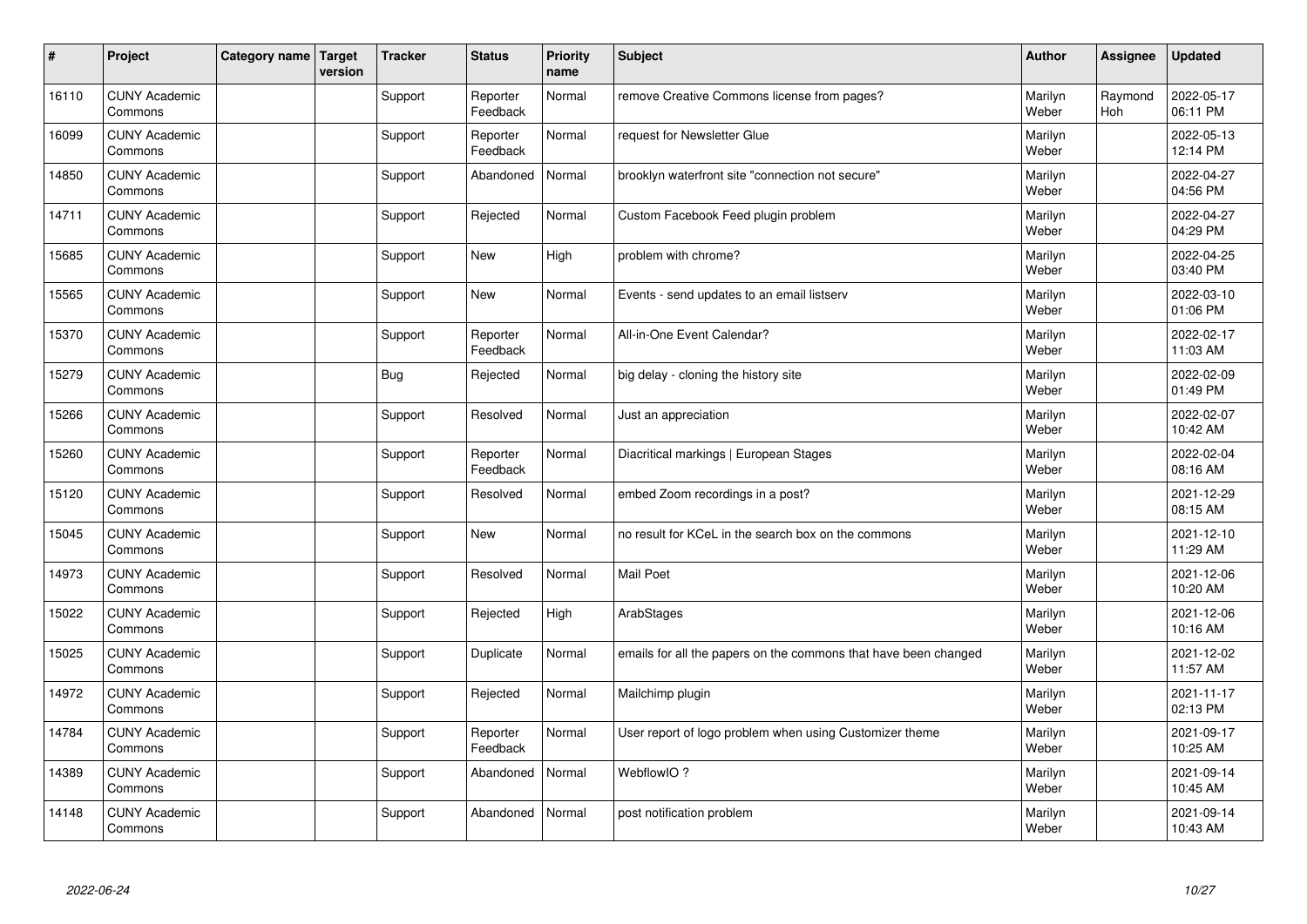| $\vert$ # | Project                         | Category name   Target | version | <b>Tracker</b> | <b>Status</b>        | <b>Priority</b><br>name | <b>Subject</b>                                                  | <b>Author</b>    | Assignee       | <b>Updated</b>         |
|-----------|---------------------------------|------------------------|---------|----------------|----------------------|-------------------------|-----------------------------------------------------------------|------------------|----------------|------------------------|
| 16110     | <b>CUNY Academic</b><br>Commons |                        |         | Support        | Reporter<br>Feedback | Normal                  | remove Creative Commons license from pages?                     | Marilyn<br>Weber | Raymond<br>Hoh | 2022-05-17<br>06:11 PM |
| 16099     | <b>CUNY Academic</b><br>Commons |                        |         | Support        | Reporter<br>Feedback | Normal                  | request for Newsletter Glue                                     | Marilyn<br>Weber |                | 2022-05-13<br>12:14 PM |
| 14850     | <b>CUNY Academic</b><br>Commons |                        |         | Support        | Abandoned            | Normal                  | brooklyn waterfront site "connection not secure"                | Marilyn<br>Weber |                | 2022-04-27<br>04:56 PM |
| 14711     | <b>CUNY Academic</b><br>Commons |                        |         | Support        | Rejected             | Normal                  | Custom Facebook Feed plugin problem                             | Marilyn<br>Weber |                | 2022-04-27<br>04:29 PM |
| 15685     | <b>CUNY Academic</b><br>Commons |                        |         | Support        | <b>New</b>           | High                    | problem with chrome?                                            | Marilyn<br>Weber |                | 2022-04-25<br>03:40 PM |
| 15565     | <b>CUNY Academic</b><br>Commons |                        |         | Support        | <b>New</b>           | Normal                  | Events - send updates to an email listserv                      | Marilyn<br>Weber |                | 2022-03-10<br>01:06 PM |
| 15370     | <b>CUNY Academic</b><br>Commons |                        |         | Support        | Reporter<br>Feedback | Normal                  | All-in-One Event Calendar?                                      | Marilyn<br>Weber |                | 2022-02-17<br>11:03 AM |
| 15279     | <b>CUNY Academic</b><br>Commons |                        |         | <b>Bug</b>     | Rejected             | Normal                  | big delay - cloning the history site                            | Marilyn<br>Weber |                | 2022-02-09<br>01:49 PM |
| 15266     | <b>CUNY Academic</b><br>Commons |                        |         | Support        | Resolved             | Normal                  | Just an appreciation                                            | Marilyn<br>Weber |                | 2022-02-07<br>10:42 AM |
| 15260     | <b>CUNY Academic</b><br>Commons |                        |         | Support        | Reporter<br>Feedback | Normal                  | Diacritical markings   European Stages                          | Marilyn<br>Weber |                | 2022-02-04<br>08:16 AM |
| 15120     | <b>CUNY Academic</b><br>Commons |                        |         | Support        | Resolved             | Normal                  | embed Zoom recordings in a post?                                | Marilyn<br>Weber |                | 2021-12-29<br>08:15 AM |
| 15045     | <b>CUNY Academic</b><br>Commons |                        |         | Support        | <b>New</b>           | Normal                  | no result for KCeL in the search box on the commons             | Marilyn<br>Weber |                | 2021-12-10<br>11:29 AM |
| 14973     | <b>CUNY Academic</b><br>Commons |                        |         | Support        | Resolved             | Normal                  | <b>Mail Poet</b>                                                | Marilyn<br>Weber |                | 2021-12-06<br>10:20 AM |
| 15022     | <b>CUNY Academic</b><br>Commons |                        |         | Support        | Rejected             | High                    | ArabStages                                                      | Marilyn<br>Weber |                | 2021-12-06<br>10:16 AM |
| 15025     | <b>CUNY Academic</b><br>Commons |                        |         | Support        | Duplicate            | Normal                  | emails for all the papers on the commons that have been changed | Marilyn<br>Weber |                | 2021-12-02<br>11:57 AM |
| 14972     | <b>CUNY Academic</b><br>Commons |                        |         | Support        | Rejected             | Normal                  | Mailchimp plugin                                                | Marilyn<br>Weber |                | 2021-11-17<br>02:13 PM |
| 14784     | <b>CUNY Academic</b><br>Commons |                        |         | Support        | Reporter<br>Feedback | Normal                  | User report of logo problem when using Customizer theme         | Marilyn<br>Weber |                | 2021-09-17<br>10:25 AM |
| 14389     | <b>CUNY Academic</b><br>Commons |                        |         | Support        | Abandoned            | Normal                  | WebflowIO?                                                      | Marilyn<br>Weber |                | 2021-09-14<br>10:45 AM |
| 14148     | <b>CUNY Academic</b><br>Commons |                        |         | Support        | Abandoned            | Normal                  | post notification problem                                       | Marilyn<br>Weber |                | 2021-09-14<br>10:43 AM |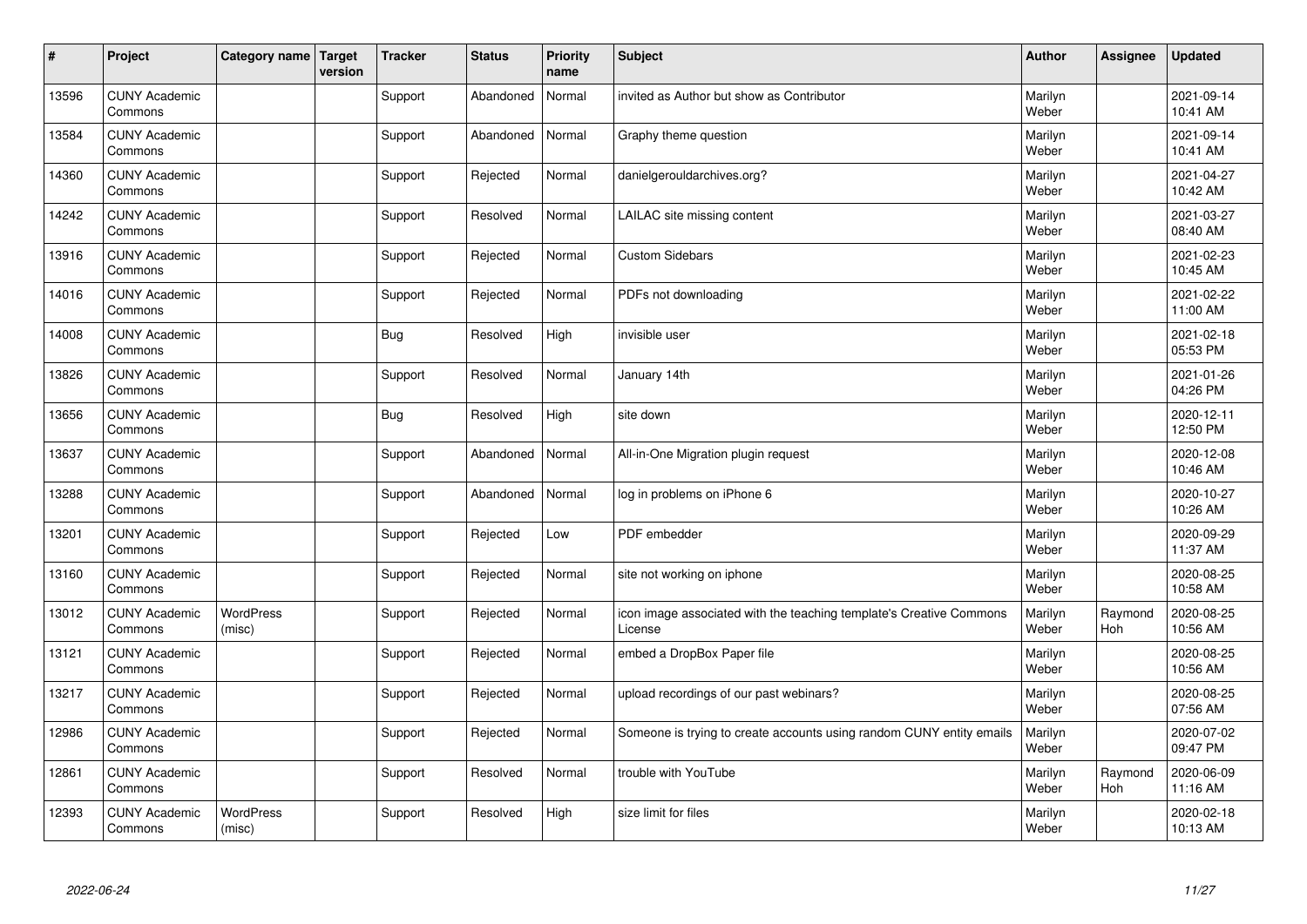| #     | Project                         | Category name   Target     | version | <b>Tracker</b> | <b>Status</b> | <b>Priority</b><br>name | <b>Subject</b>                                                                 | <b>Author</b>    | Assignee              | <b>Updated</b>         |
|-------|---------------------------------|----------------------------|---------|----------------|---------------|-------------------------|--------------------------------------------------------------------------------|------------------|-----------------------|------------------------|
| 13596 | <b>CUNY Academic</b><br>Commons |                            |         | Support        | Abandoned     | Normal                  | invited as Author but show as Contributor                                      | Marilyn<br>Weber |                       | 2021-09-14<br>10:41 AM |
| 13584 | <b>CUNY Academic</b><br>Commons |                            |         | Support        | Abandoned     | Normal                  | Graphy theme question                                                          | Marilyn<br>Weber |                       | 2021-09-14<br>10:41 AM |
| 14360 | <b>CUNY Academic</b><br>Commons |                            |         | Support        | Rejected      | Normal                  | danielgerouldarchives.org?                                                     | Marilyn<br>Weber |                       | 2021-04-27<br>10:42 AM |
| 14242 | <b>CUNY Academic</b><br>Commons |                            |         | Support        | Resolved      | Normal                  | LAILAC site missing content                                                    | Marilyn<br>Weber |                       | 2021-03-27<br>08:40 AM |
| 13916 | <b>CUNY Academic</b><br>Commons |                            |         | Support        | Rejected      | Normal                  | <b>Custom Sidebars</b>                                                         | Marilyn<br>Weber |                       | 2021-02-23<br>10:45 AM |
| 14016 | <b>CUNY Academic</b><br>Commons |                            |         | Support        | Rejected      | Normal                  | PDFs not downloading                                                           | Marilyn<br>Weber |                       | 2021-02-22<br>11:00 AM |
| 14008 | <b>CUNY Academic</b><br>Commons |                            |         | <b>Bug</b>     | Resolved      | High                    | invisible user                                                                 | Marilyn<br>Weber |                       | 2021-02-18<br>05:53 PM |
| 13826 | <b>CUNY Academic</b><br>Commons |                            |         | Support        | Resolved      | Normal                  | January 14th                                                                   | Marilyn<br>Weber |                       | 2021-01-26<br>04:26 PM |
| 13656 | <b>CUNY Academic</b><br>Commons |                            |         | Bug            | Resolved      | High                    | site down                                                                      | Marilyn<br>Weber |                       | 2020-12-11<br>12:50 PM |
| 13637 | <b>CUNY Academic</b><br>Commons |                            |         | Support        | Abandoned     | Normal                  | All-in-One Migration plugin request                                            | Marilyn<br>Weber |                       | 2020-12-08<br>10:46 AM |
| 13288 | <b>CUNY Academic</b><br>Commons |                            |         | Support        | Abandoned     | Normal                  | log in problems on iPhone 6                                                    | Marilyn<br>Weber |                       | 2020-10-27<br>10:26 AM |
| 13201 | <b>CUNY Academic</b><br>Commons |                            |         | Support        | Rejected      | Low                     | PDF embedder                                                                   | Marilyn<br>Weber |                       | 2020-09-29<br>11:37 AM |
| 13160 | <b>CUNY Academic</b><br>Commons |                            |         | Support        | Rejected      | Normal                  | site not working on iphone                                                     | Marilyn<br>Weber |                       | 2020-08-25<br>10:58 AM |
| 13012 | <b>CUNY Academic</b><br>Commons | <b>WordPress</b><br>(misc) |         | Support        | Rejected      | Normal                  | icon image associated with the teaching template's Creative Commons<br>License | Marilyn<br>Weber | Raymond<br>Hoh        | 2020-08-25<br>10:56 AM |
| 13121 | <b>CUNY Academic</b><br>Commons |                            |         | Support        | Rejected      | Normal                  | embed a DropBox Paper file                                                     | Marilyn<br>Weber |                       | 2020-08-25<br>10:56 AM |
| 13217 | <b>CUNY Academic</b><br>Commons |                            |         | Support        | Rejected      | Normal                  | upload recordings of our past webinars?                                        | Marilyn<br>Weber |                       | 2020-08-25<br>07:56 AM |
| 12986 | <b>CUNY Academic</b><br>Commons |                            |         | Support        | Rejected      | Normal                  | Someone is trying to create accounts using random CUNY entity emails           | Marilyn<br>Weber |                       | 2020-07-02<br>09:47 PM |
| 12861 | <b>CUNY Academic</b><br>Commons |                            |         | Support        | Resolved      | Normal                  | trouble with YouTube                                                           | Marilyn<br>Weber | Raymond<br><b>Hoh</b> | 2020-06-09<br>11:16 AM |
| 12393 | <b>CUNY Academic</b><br>Commons | <b>WordPress</b><br>(misc) |         | Support        | Resolved      | High                    | size limit for files                                                           | Marilyn<br>Weber |                       | 2020-02-18<br>10:13 AM |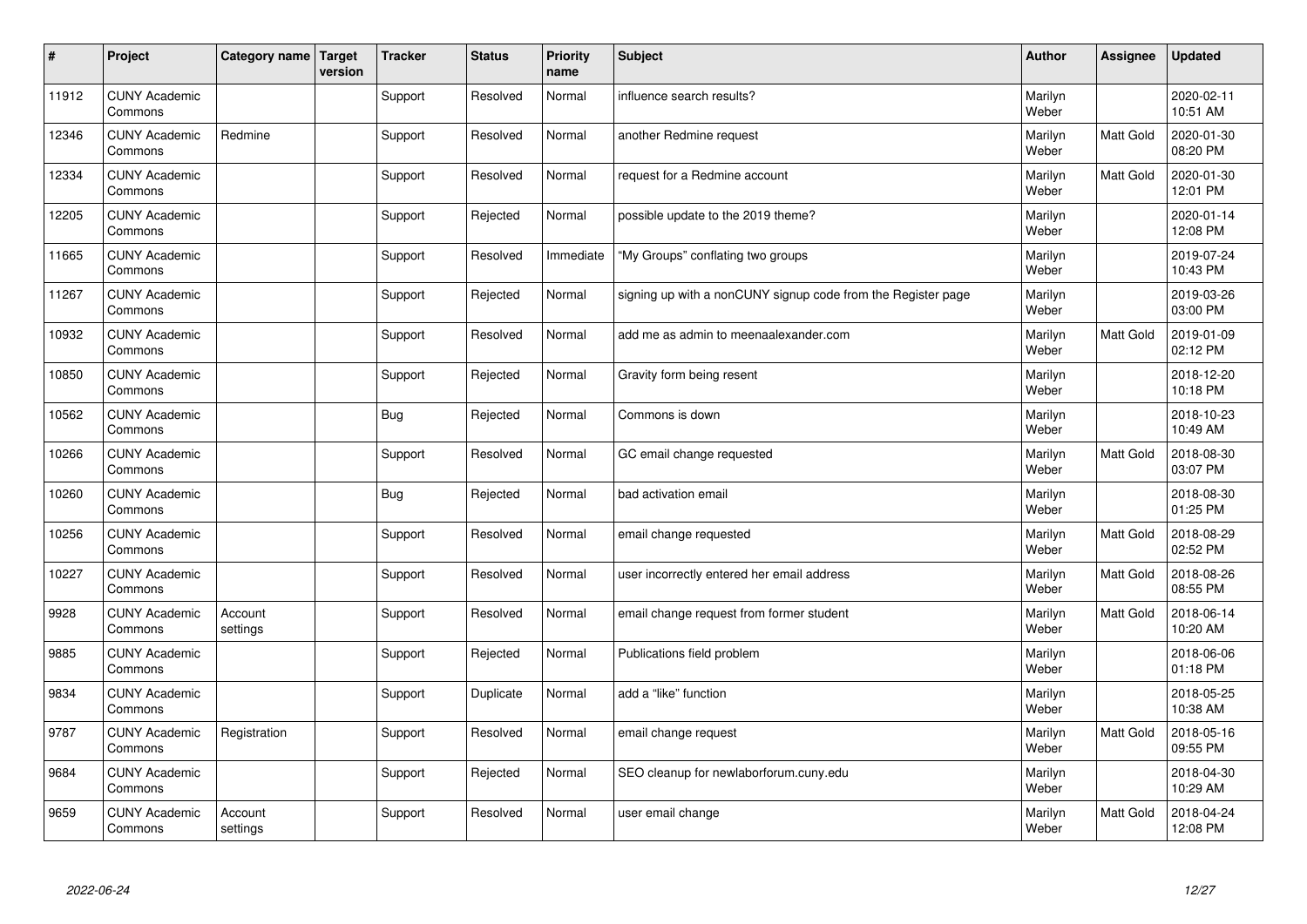| $\vert$ # | Project                         | Category name   Target | version | <b>Tracker</b> | <b>Status</b> | <b>Priority</b><br>name | <b>Subject</b>                                               | <b>Author</b>    | <b>Assignee</b>  | <b>Updated</b>         |
|-----------|---------------------------------|------------------------|---------|----------------|---------------|-------------------------|--------------------------------------------------------------|------------------|------------------|------------------------|
| 11912     | <b>CUNY Academic</b><br>Commons |                        |         | Support        | Resolved      | Normal                  | influence search results?                                    | Marilyn<br>Weber |                  | 2020-02-11<br>10:51 AM |
| 12346     | <b>CUNY Academic</b><br>Commons | Redmine                |         | Support        | Resolved      | Normal                  | another Redmine request                                      | Marilyn<br>Weber | <b>Matt Gold</b> | 2020-01-30<br>08:20 PM |
| 12334     | <b>CUNY Academic</b><br>Commons |                        |         | Support        | Resolved      | Normal                  | request for a Redmine account                                | Marilyn<br>Weber | Matt Gold        | 2020-01-30<br>12:01 PM |
| 12205     | <b>CUNY Academic</b><br>Commons |                        |         | Support        | Rejected      | Normal                  | possible update to the 2019 theme?                           | Marilyn<br>Weber |                  | 2020-01-14<br>12:08 PM |
| 11665     | <b>CUNY Academic</b><br>Commons |                        |         | Support        | Resolved      | Immediate               | "My Groups" conflating two groups                            | Marilyn<br>Weber |                  | 2019-07-24<br>10:43 PM |
| 11267     | <b>CUNY Academic</b><br>Commons |                        |         | Support        | Rejected      | Normal                  | signing up with a nonCUNY signup code from the Register page | Marilyn<br>Weber |                  | 2019-03-26<br>03:00 PM |
| 10932     | <b>CUNY Academic</b><br>Commons |                        |         | Support        | Resolved      | Normal                  | add me as admin to meenaalexander.com                        | Marilyn<br>Weber | <b>Matt Gold</b> | 2019-01-09<br>02:12 PM |
| 10850     | <b>CUNY Academic</b><br>Commons |                        |         | Support        | Rejected      | Normal                  | Gravity form being resent                                    | Marilyn<br>Weber |                  | 2018-12-20<br>10:18 PM |
| 10562     | <b>CUNY Academic</b><br>Commons |                        |         | Bug            | Rejected      | Normal                  | Commons is down                                              | Marilyn<br>Weber |                  | 2018-10-23<br>10:49 AM |
| 10266     | <b>CUNY Academic</b><br>Commons |                        |         | Support        | Resolved      | Normal                  | GC email change requested                                    | Marilyn<br>Weber | <b>Matt Gold</b> | 2018-08-30<br>03:07 PM |
| 10260     | <b>CUNY Academic</b><br>Commons |                        |         | <b>Bug</b>     | Rejected      | Normal                  | bad activation email                                         | Marilyn<br>Weber |                  | 2018-08-30<br>01:25 PM |
| 10256     | <b>CUNY Academic</b><br>Commons |                        |         | Support        | Resolved      | Normal                  | email change requested                                       | Marilyn<br>Weber | Matt Gold        | 2018-08-29<br>02:52 PM |
| 10227     | <b>CUNY Academic</b><br>Commons |                        |         | Support        | Resolved      | Normal                  | user incorrectly entered her email address                   | Marilyn<br>Weber | <b>Matt Gold</b> | 2018-08-26<br>08:55 PM |
| 9928      | <b>CUNY Academic</b><br>Commons | Account<br>settings    |         | Support        | Resolved      | Normal                  | email change request from former student                     | Marilyn<br>Weber | <b>Matt Gold</b> | 2018-06-14<br>10:20 AM |
| 9885      | <b>CUNY Academic</b><br>Commons |                        |         | Support        | Rejected      | Normal                  | Publications field problem                                   | Marilyn<br>Weber |                  | 2018-06-06<br>01:18 PM |
| 9834      | <b>CUNY Academic</b><br>Commons |                        |         | Support        | Duplicate     | Normal                  | add a "like" function                                        | Marilyn<br>Weber |                  | 2018-05-25<br>10:38 AM |
| 9787      | <b>CUNY Academic</b><br>Commons | Registration           |         | Support        | Resolved      | Normal                  | email change request                                         | Marilyn<br>Weber | <b>Matt Gold</b> | 2018-05-16<br>09:55 PM |
| 9684      | <b>CUNY Academic</b><br>Commons |                        |         | Support        | Rejected      | Normal                  | SEO cleanup for newlaborforum.cuny.edu                       | Marilyn<br>Weber |                  | 2018-04-30<br>10:29 AM |
| 9659      | <b>CUNY Academic</b><br>Commons | Account<br>settings    |         | Support        | Resolved      | Normal                  | user email change                                            | Marilyn<br>Weber | <b>Matt Gold</b> | 2018-04-24<br>12:08 PM |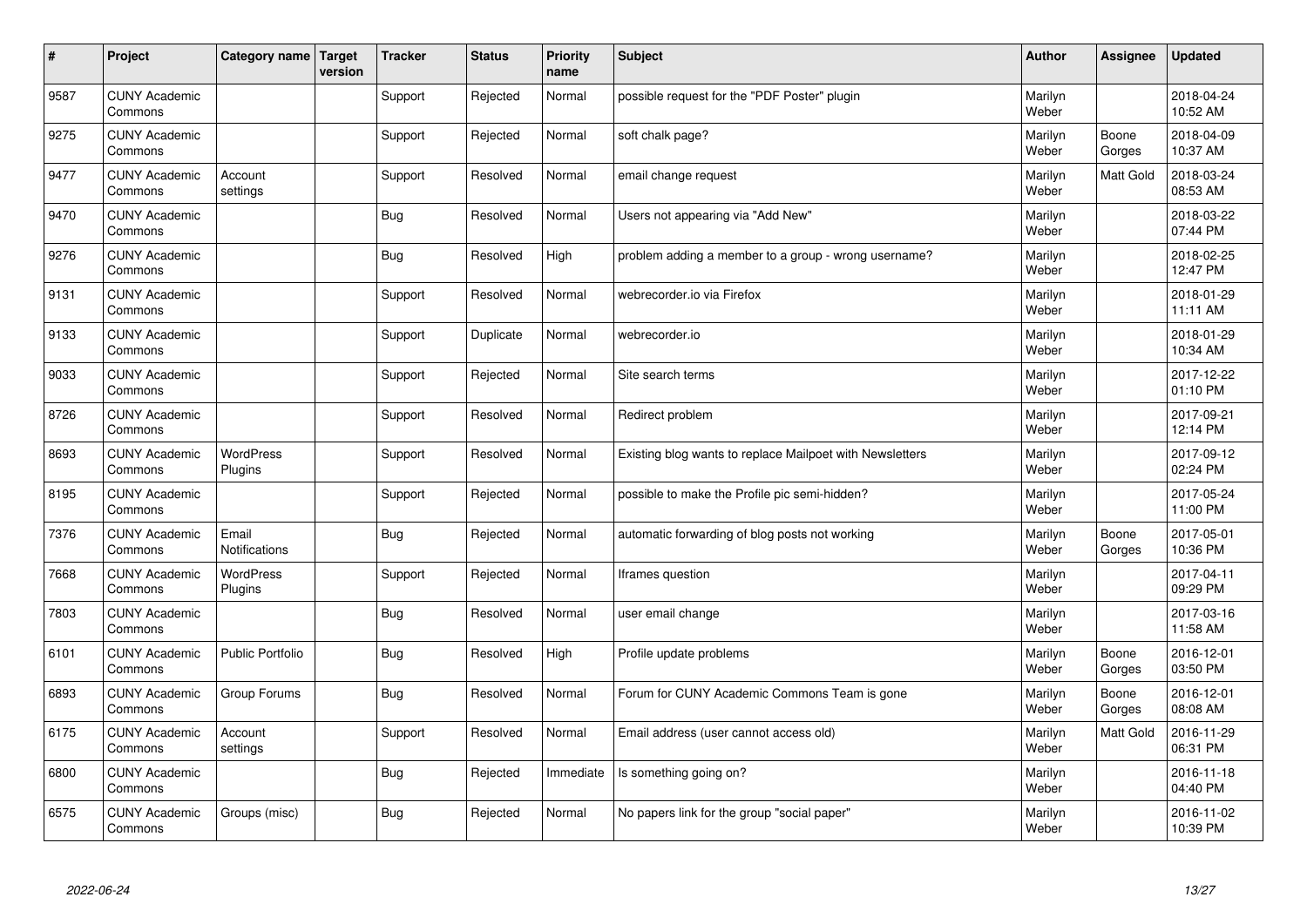| $\vert$ # | Project                         | Category name Target          | version | <b>Tracker</b> | <b>Status</b> | <b>Priority</b><br>name | <b>Subject</b>                                           | <b>Author</b>    | <b>Assignee</b>  | <b>Updated</b>         |
|-----------|---------------------------------|-------------------------------|---------|----------------|---------------|-------------------------|----------------------------------------------------------|------------------|------------------|------------------------|
| 9587      | <b>CUNY Academic</b><br>Commons |                               |         | Support        | Rejected      | Normal                  | possible request for the "PDF Poster" plugin             | Marilyn<br>Weber |                  | 2018-04-24<br>10:52 AM |
| 9275      | <b>CUNY Academic</b><br>Commons |                               |         | Support        | Rejected      | Normal                  | soft chalk page?                                         | Marilyn<br>Weber | Boone<br>Gorges  | 2018-04-09<br>10:37 AM |
| 9477      | <b>CUNY Academic</b><br>Commons | Account<br>settings           |         | Support        | Resolved      | Normal                  | email change request                                     | Marilyn<br>Weber | <b>Matt Gold</b> | 2018-03-24<br>08:53 AM |
| 9470      | <b>CUNY Academic</b><br>Commons |                               |         | Bug            | Resolved      | Normal                  | Users not appearing via "Add New"                        | Marilyn<br>Weber |                  | 2018-03-22<br>07:44 PM |
| 9276      | <b>CUNY Academic</b><br>Commons |                               |         | Bug            | Resolved      | High                    | problem adding a member to a group - wrong username?     | Marilyn<br>Weber |                  | 2018-02-25<br>12:47 PM |
| 9131      | <b>CUNY Academic</b><br>Commons |                               |         | Support        | Resolved      | Normal                  | webrecorder.io via Firefox                               | Marilyn<br>Weber |                  | 2018-01-29<br>11:11 AM |
| 9133      | <b>CUNY Academic</b><br>Commons |                               |         | Support        | Duplicate     | Normal                  | webrecorder.io                                           | Marilyn<br>Weber |                  | 2018-01-29<br>10:34 AM |
| 9033      | <b>CUNY Academic</b><br>Commons |                               |         | Support        | Rejected      | Normal                  | Site search terms                                        | Marilyn<br>Weber |                  | 2017-12-22<br>01:10 PM |
| 8726      | <b>CUNY Academic</b><br>Commons |                               |         | Support        | Resolved      | Normal                  | Redirect problem                                         | Marilyn<br>Weber |                  | 2017-09-21<br>12:14 PM |
| 8693      | <b>CUNY Academic</b><br>Commons | WordPress<br>Plugins          |         | Support        | Resolved      | Normal                  | Existing blog wants to replace Mailpoet with Newsletters | Marilyn<br>Weber |                  | 2017-09-12<br>02:24 PM |
| 8195      | <b>CUNY Academic</b><br>Commons |                               |         | Support        | Rejected      | Normal                  | possible to make the Profile pic semi-hidden?            | Marilyn<br>Weber |                  | 2017-05-24<br>11:00 PM |
| 7376      | <b>CUNY Academic</b><br>Commons | Email<br><b>Notifications</b> |         | Bug            | Rejected      | Normal                  | automatic forwarding of blog posts not working           | Marilyn<br>Weber | Boone<br>Gorges  | 2017-05-01<br>10:36 PM |
| 7668      | <b>CUNY Academic</b><br>Commons | WordPress<br>Plugins          |         | Support        | Rejected      | Normal                  | Iframes question                                         | Marilyn<br>Weber |                  | 2017-04-11<br>09:29 PM |
| 7803      | <b>CUNY Academic</b><br>Commons |                               |         | <b>Bug</b>     | Resolved      | Normal                  | user email change                                        | Marilyn<br>Weber |                  | 2017-03-16<br>11:58 AM |
| 6101      | <b>CUNY Academic</b><br>Commons | <b>Public Portfolio</b>       |         | <b>Bug</b>     | Resolved      | High                    | Profile update problems                                  | Marilyn<br>Weber | Boone<br>Gorges  | 2016-12-01<br>03:50 PM |
| 6893      | <b>CUNY Academic</b><br>Commons | Group Forums                  |         | Bug            | Resolved      | Normal                  | Forum for CUNY Academic Commons Team is gone             | Marilyn<br>Weber | Boone<br>Gorges  | 2016-12-01<br>08:08 AM |
| 6175      | <b>CUNY Academic</b><br>Commons | Account<br>settings           |         | Support        | Resolved      | Normal                  | Email address (user cannot access old)                   | Marilyn<br>Weber | Matt Gold        | 2016-11-29<br>06:31 PM |
| 6800      | <b>CUNY Academic</b><br>Commons |                               |         | Bug            | Rejected      | Immediate               | Is something going on?                                   | Marilyn<br>Weber |                  | 2016-11-18<br>04:40 PM |
| 6575      | <b>CUNY Academic</b><br>Commons | Groups (misc)                 |         | Bug            | Rejected      | Normal                  | No papers link for the group "social paper"              | Marilyn<br>Weber |                  | 2016-11-02<br>10:39 PM |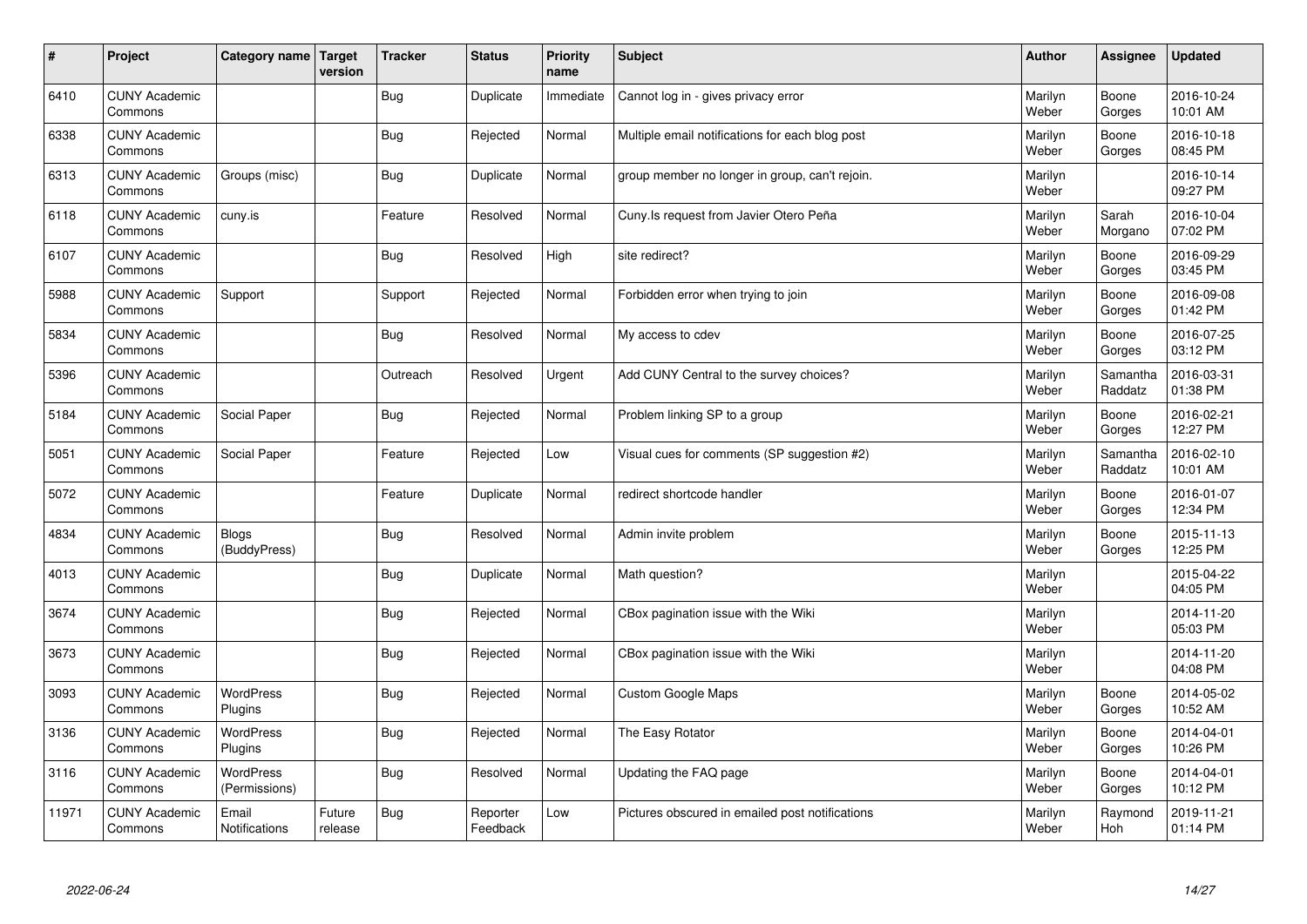| $\sharp$ | Project                         | Category name   Target       | version           | <b>Tracker</b> | <b>Status</b>        | <b>Priority</b><br>name | <b>Subject</b>                                  | <b>Author</b>    | Assignee            | Updated                |
|----------|---------------------------------|------------------------------|-------------------|----------------|----------------------|-------------------------|-------------------------------------------------|------------------|---------------------|------------------------|
| 6410     | <b>CUNY Academic</b><br>Commons |                              |                   | Bug            | Duplicate            | Immediate               | Cannot log in - gives privacy error             | Marilyn<br>Weber | Boone<br>Gorges     | 2016-10-24<br>10:01 AM |
| 6338     | <b>CUNY Academic</b><br>Commons |                              |                   | Bug            | Rejected             | Normal                  | Multiple email notifications for each blog post | Marilyn<br>Weber | Boone<br>Gorges     | 2016-10-18<br>08:45 PM |
| 6313     | <b>CUNY Academic</b><br>Commons | Groups (misc)                |                   | Bug            | Duplicate            | Normal                  | group member no longer in group, can't rejoin.  | Marilyn<br>Weber |                     | 2016-10-14<br>09:27 PM |
| 6118     | <b>CUNY Academic</b><br>Commons | cuny.is                      |                   | Feature        | Resolved             | Normal                  | Cuny.Is request from Javier Otero Peña          | Marilyn<br>Weber | Sarah<br>Morgano    | 2016-10-04<br>07:02 PM |
| 6107     | <b>CUNY Academic</b><br>Commons |                              |                   | <b>Bug</b>     | Resolved             | High                    | site redirect?                                  | Marilyn<br>Weber | Boone<br>Gorges     | 2016-09-29<br>03:45 PM |
| 5988     | <b>CUNY Academic</b><br>Commons | Support                      |                   | Support        | Rejected             | Normal                  | Forbidden error when trying to join             | Marilyn<br>Weber | Boone<br>Gorges     | 2016-09-08<br>01:42 PM |
| 5834     | <b>CUNY Academic</b><br>Commons |                              |                   | Bug            | Resolved             | Normal                  | My access to cdev                               | Marilyn<br>Weber | Boone<br>Gorges     | 2016-07-25<br>03:12 PM |
| 5396     | <b>CUNY Academic</b><br>Commons |                              |                   | Outreach       | Resolved             | Urgent                  | Add CUNY Central to the survey choices?         | Marilyn<br>Weber | Samantha<br>Raddatz | 2016-03-31<br>01:38 PM |
| 5184     | <b>CUNY Academic</b><br>Commons | Social Paper                 |                   | <b>Bug</b>     | Rejected             | Normal                  | Problem linking SP to a group                   | Marilyn<br>Weber | Boone<br>Gorges     | 2016-02-21<br>12:27 PM |
| 5051     | <b>CUNY Academic</b><br>Commons | Social Paper                 |                   | Feature        | Rejected             | Low                     | Visual cues for comments (SP suggestion #2)     | Marilyn<br>Weber | Samantha<br>Raddatz | 2016-02-10<br>10:01 AM |
| 5072     | <b>CUNY Academic</b><br>Commons |                              |                   | Feature        | Duplicate            | Normal                  | redirect shortcode handler                      | Marilyn<br>Weber | Boone<br>Gorges     | 2016-01-07<br>12:34 PM |
| 4834     | <b>CUNY Academic</b><br>Commons | <b>Blogs</b><br>(BuddyPress) |                   | <b>Bug</b>     | Resolved             | Normal                  | Admin invite problem                            | Marilyn<br>Weber | Boone<br>Gorges     | 2015-11-13<br>12:25 PM |
| 4013     | <b>CUNY Academic</b><br>Commons |                              |                   | <b>Bug</b>     | Duplicate            | Normal                  | Math question?                                  | Marilyn<br>Weber |                     | 2015-04-22<br>04:05 PM |
| 3674     | <b>CUNY Academic</b><br>Commons |                              |                   | Bug            | Rejected             | Normal                  | CBox pagination issue with the Wiki             | Marilyn<br>Weber |                     | 2014-11-20<br>05:03 PM |
| 3673     | <b>CUNY Academic</b><br>Commons |                              |                   | <b>Bug</b>     | Rejected             | Normal                  | CBox pagination issue with the Wiki             | Marilyn<br>Weber |                     | 2014-11-20<br>04:08 PM |
| 3093     | <b>CUNY Academic</b><br>Commons | <b>WordPress</b><br>Plugins  |                   | <b>Bug</b>     | Rejected             | Normal                  | <b>Custom Google Maps</b>                       | Marilyn<br>Weber | Boone<br>Gorges     | 2014-05-02<br>10:52 AM |
| 3136     | <b>CUNY Academic</b><br>Commons | <b>WordPress</b><br>Plugins  |                   | Bug            | Rejected             | Normal                  | The Easy Rotator                                | Marilyn<br>Weber | Boone<br>Gorges     | 2014-04-01<br>10:26 PM |
| 3116     | <b>CUNY Academic</b><br>Commons | WordPress<br>(Permissions)   |                   | Bug            | Resolved             | Normal                  | Updating the FAQ page                           | Marilyn<br>Weber | Boone<br>Gorges     | 2014-04-01<br>10:12 PM |
| 11971    | <b>CUNY Academic</b><br>Commons | Email<br>Notifications       | Future<br>release | <b>Bug</b>     | Reporter<br>Feedback | Low                     | Pictures obscured in emailed post notifications | Marilyn<br>Weber | Raymond<br>Hoh      | 2019-11-21<br>01:14 PM |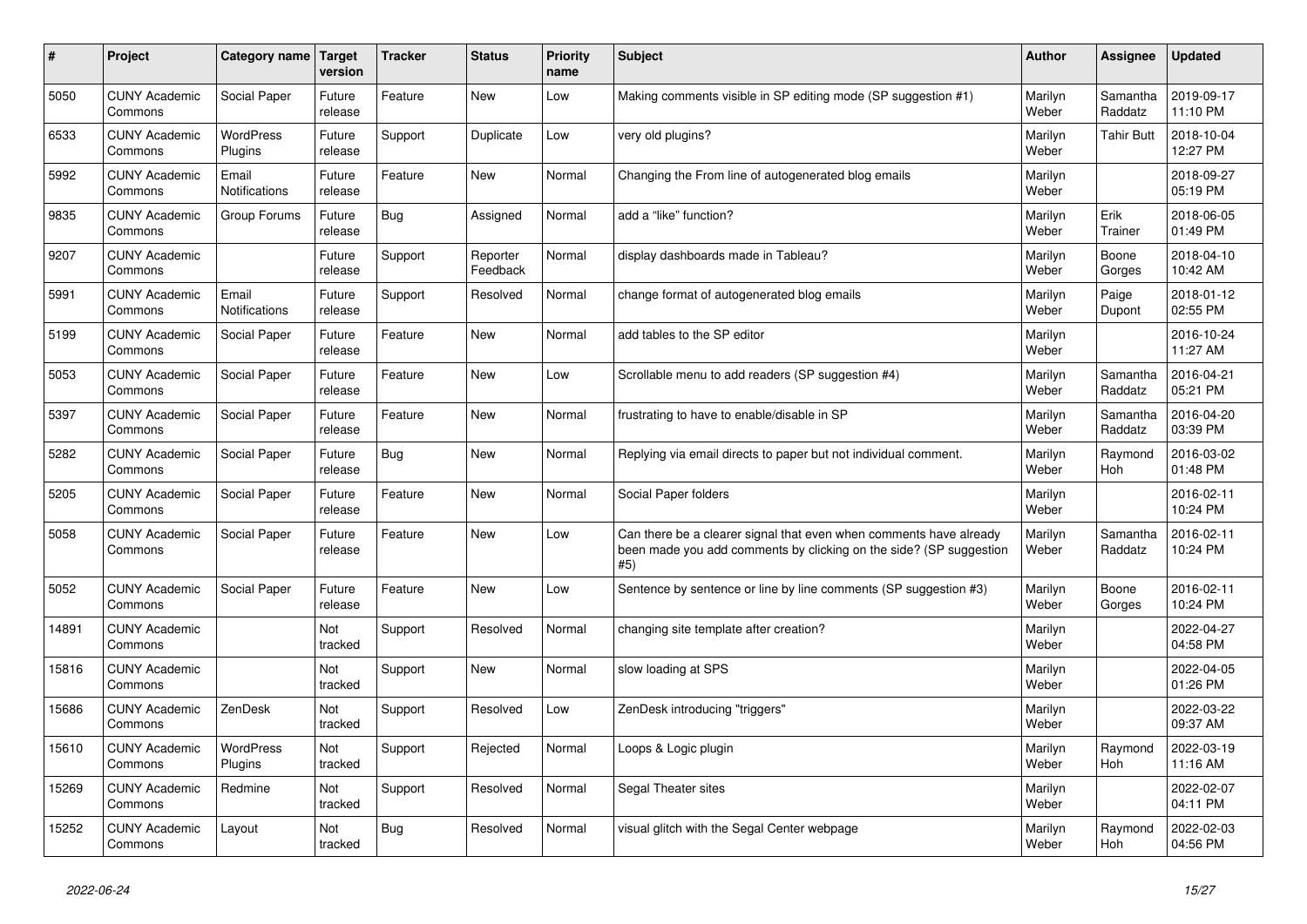| #     | Project                         | Category name          | <b>Target</b><br>version | <b>Tracker</b> | <b>Status</b>        | <b>Priority</b><br>name | Subject                                                                                                                                         | Author           | Assignee            | <b>Updated</b>         |
|-------|---------------------------------|------------------------|--------------------------|----------------|----------------------|-------------------------|-------------------------------------------------------------------------------------------------------------------------------------------------|------------------|---------------------|------------------------|
| 5050  | <b>CUNY Academic</b><br>Commons | Social Paper           | Future<br>release        | Feature        | New                  | Low                     | Making comments visible in SP editing mode (SP suggestion #1)                                                                                   | Marilyn<br>Weber | Samantha<br>Raddatz | 2019-09-17<br>11:10 PM |
| 6533  | <b>CUNY Academic</b><br>Commons | WordPress<br>Plugins   | Future<br>release        | Support        | Duplicate            | Low                     | very old plugins?                                                                                                                               | Marilyn<br>Weber | <b>Tahir Butt</b>   | 2018-10-04<br>12:27 PM |
| 5992  | <b>CUNY Academic</b><br>Commons | Email<br>Notifications | Future<br>release        | Feature        | New                  | Normal                  | Changing the From line of autogenerated blog emails                                                                                             | Marilyn<br>Weber |                     | 2018-09-27<br>05:19 PM |
| 9835  | <b>CUNY Academic</b><br>Commons | Group Forums           | Future<br>release        | Bug            | Assigned             | Normal                  | add a "like" function?                                                                                                                          | Marilyn<br>Weber | Erik<br>Trainer     | 2018-06-05<br>01:49 PM |
| 9207  | <b>CUNY Academic</b><br>Commons |                        | Future<br>release        | Support        | Reporter<br>Feedback | Normal                  | display dashboards made in Tableau?                                                                                                             | Marilyn<br>Weber | Boone<br>Gorges     | 2018-04-10<br>10:42 AM |
| 5991  | <b>CUNY Academic</b><br>Commons | Email<br>Notifications | Future<br>release        | Support        | Resolved             | Normal                  | change format of autogenerated blog emails                                                                                                      | Marilyn<br>Weber | Paige<br>Dupont     | 2018-01-12<br>02:55 PM |
| 5199  | <b>CUNY Academic</b><br>Commons | Social Paper           | Future<br>release        | Feature        | <b>New</b>           | Normal                  | add tables to the SP editor                                                                                                                     | Marilyn<br>Weber |                     | 2016-10-24<br>11:27 AM |
| 5053  | <b>CUNY Academic</b><br>Commons | Social Paper           | Future<br>release        | Feature        | New                  | Low                     | Scrollable menu to add readers (SP suggestion #4)                                                                                               | Marilyn<br>Weber | Samantha<br>Raddatz | 2016-04-21<br>05:21 PM |
| 5397  | <b>CUNY Academic</b><br>Commons | Social Paper           | Future<br>release        | Feature        | New                  | Normal                  | frustrating to have to enable/disable in SP                                                                                                     | Marilyn<br>Weber | Samantha<br>Raddatz | 2016-04-20<br>03:39 PM |
| 5282  | <b>CUNY Academic</b><br>Commons | Social Paper           | Future<br>release        | Bug            | New                  | Normal                  | Replying via email directs to paper but not individual comment.                                                                                 | Marilyn<br>Weber | Raymond<br>Hoh      | 2016-03-02<br>01:48 PM |
| 5205  | <b>CUNY Academic</b><br>Commons | Social Paper           | Future<br>release        | Feature        | New                  | Normal                  | Social Paper folders                                                                                                                            | Marilyn<br>Weber |                     | 2016-02-11<br>10:24 PM |
| 5058  | <b>CUNY Academic</b><br>Commons | Social Paper           | Future<br>release        | Feature        | <b>New</b>           | Low                     | Can there be a clearer signal that even when comments have already<br>been made you add comments by clicking on the side? (SP suggestion<br>#5) | Marilyn<br>Weber | Samantha<br>Raddatz | 2016-02-11<br>10:24 PM |
| 5052  | <b>CUNY Academic</b><br>Commons | Social Paper           | Future<br>release        | Feature        | New                  | Low                     | Sentence by sentence or line by line comments (SP suggestion #3)                                                                                | Marilyn<br>Weber | Boone<br>Gorges     | 2016-02-11<br>10:24 PM |
| 14891 | <b>CUNY Academic</b><br>Commons |                        | Not<br>tracked           | Support        | Resolved             | Normal                  | changing site template after creation?                                                                                                          | Marilyn<br>Weber |                     | 2022-04-27<br>04:58 PM |
| 15816 | <b>CUNY Academic</b><br>Commons |                        | Not<br>tracked           | Support        | <b>New</b>           | Normal                  | slow loading at SPS                                                                                                                             | Marilyn<br>Weber |                     | 2022-04-05<br>01:26 PM |
| 15686 | <b>CUNY Academic</b><br>Commons | ZenDesk                | Not<br>tracked           | Support        | Resolved             | Low                     | ZenDesk introducing "triggers"                                                                                                                  | Marilyn<br>Weber |                     | 2022-03-22<br>09:37 AM |
| 15610 | <b>CUNY Academic</b><br>Commons | WordPress<br>Plugins   | Not<br>tracked           | Support        | Rejected             | Normal                  | Loops & Logic plugin                                                                                                                            | Marilyn<br>Weber | Raymond<br>Hoh      | 2022-03-19<br>11:16 AM |
| 15269 | <b>CUNY Academic</b><br>Commons | Redmine                | Not<br>tracked           | Support        | Resolved             | Normal                  | Segal Theater sites                                                                                                                             | Marilyn<br>Weber |                     | 2022-02-07<br>04:11 PM |
| 15252 | <b>CUNY Academic</b><br>Commons | Layout                 | Not<br>tracked           | Bug            | Resolved             | Normal                  | visual glitch with the Segal Center webpage                                                                                                     | Marilyn<br>Weber | Raymond<br>Hoh      | 2022-02-03<br>04:56 PM |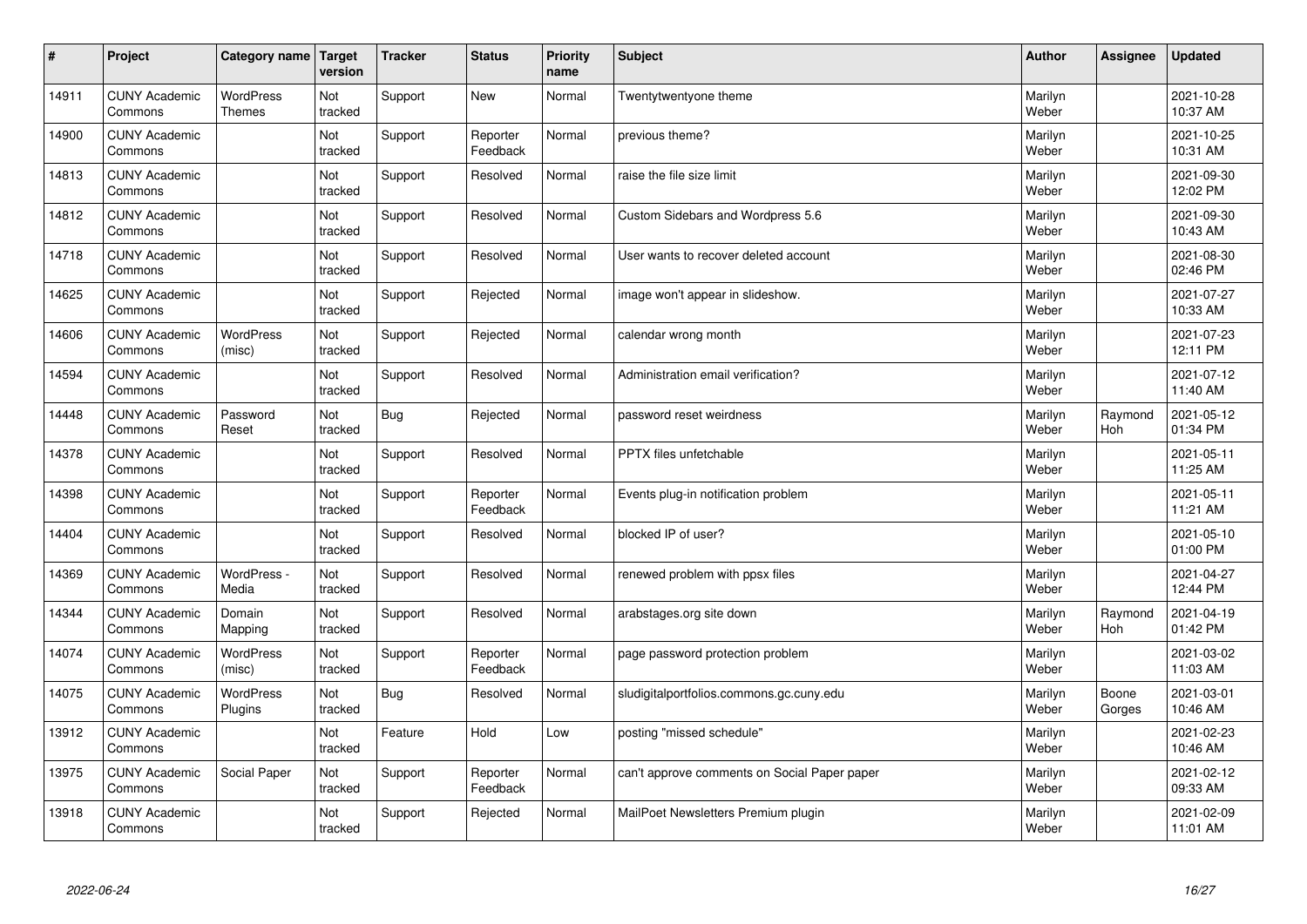| #     | Project                         | Category name               | Target<br>version | <b>Tracker</b> | <b>Status</b>        | <b>Priority</b><br>name | <b>Subject</b>                               | <b>Author</b>    | Assignee              | <b>Updated</b>         |
|-------|---------------------------------|-----------------------------|-------------------|----------------|----------------------|-------------------------|----------------------------------------------|------------------|-----------------------|------------------------|
| 14911 | <b>CUNY Academic</b><br>Commons | <b>WordPress</b><br>Themes  | Not<br>tracked    | Support        | <b>New</b>           | Normal                  | Twentytwentyone theme                        | Marilyn<br>Weber |                       | 2021-10-28<br>10:37 AM |
| 14900 | <b>CUNY Academic</b><br>Commons |                             | Not<br>tracked    | Support        | Reporter<br>Feedback | Normal                  | previous theme?                              | Marilyn<br>Weber |                       | 2021-10-25<br>10:31 AM |
| 14813 | <b>CUNY Academic</b><br>Commons |                             | Not<br>tracked    | Support        | Resolved             | Normal                  | raise the file size limit                    | Marilyn<br>Weber |                       | 2021-09-30<br>12:02 PM |
| 14812 | <b>CUNY Academic</b><br>Commons |                             | Not<br>tracked    | Support        | Resolved             | Normal                  | Custom Sidebars and Wordpress 5.6            | Marilyn<br>Weber |                       | 2021-09-30<br>10:43 AM |
| 14718 | <b>CUNY Academic</b><br>Commons |                             | Not<br>tracked    | Support        | Resolved             | Normal                  | User wants to recover deleted account        | Marilyn<br>Weber |                       | 2021-08-30<br>02:46 PM |
| 14625 | <b>CUNY Academic</b><br>Commons |                             | Not<br>tracked    | Support        | Rejected             | Normal                  | image won't appear in slideshow.             | Marilyn<br>Weber |                       | 2021-07-27<br>10:33 AM |
| 14606 | <b>CUNY Academic</b><br>Commons | <b>WordPress</b><br>(misc)  | Not<br>tracked    | Support        | Rejected             | Normal                  | calendar wrong month                         | Marilyn<br>Weber |                       | 2021-07-23<br>12:11 PM |
| 14594 | <b>CUNY Academic</b><br>Commons |                             | Not<br>tracked    | Support        | Resolved             | Normal                  | Administration email verification?           | Marilyn<br>Weber |                       | 2021-07-12<br>11:40 AM |
| 14448 | <b>CUNY Academic</b><br>Commons | Password<br>Reset           | Not<br>tracked    | Bug            | Rejected             | Normal                  | password reset weirdness                     | Marilyn<br>Weber | Raymond<br><b>Hoh</b> | 2021-05-12<br>01:34 PM |
| 14378 | <b>CUNY Academic</b><br>Commons |                             | Not<br>tracked    | Support        | Resolved             | Normal                  | PPTX files unfetchable                       | Marilyn<br>Weber |                       | 2021-05-11<br>11:25 AM |
| 14398 | <b>CUNY Academic</b><br>Commons |                             | Not<br>tracked    | Support        | Reporter<br>Feedback | Normal                  | Events plug-in notification problem          | Marilyn<br>Weber |                       | 2021-05-11<br>11:21 AM |
| 14404 | <b>CUNY Academic</b><br>Commons |                             | Not<br>tracked    | Support        | Resolved             | Normal                  | blocked IP of user?                          | Marilyn<br>Weber |                       | 2021-05-10<br>01:00 PM |
| 14369 | <b>CUNY Academic</b><br>Commons | WordPress -<br>Media        | Not<br>tracked    | Support        | Resolved             | Normal                  | renewed problem with ppsx files              | Marilyn<br>Weber |                       | 2021-04-27<br>12:44 PM |
| 14344 | <b>CUNY Academic</b><br>Commons | Domain<br>Mapping           | Not<br>tracked    | Support        | Resolved             | Normal                  | arabstages.org site down                     | Marilyn<br>Weber | Raymond<br>Hoh        | 2021-04-19<br>01:42 PM |
| 14074 | <b>CUNY Academic</b><br>Commons | <b>WordPress</b><br>(misc)  | Not<br>tracked    | Support        | Reporter<br>Feedback | Normal                  | page password protection problem             | Marilyn<br>Weber |                       | 2021-03-02<br>11:03 AM |
| 14075 | <b>CUNY Academic</b><br>Commons | <b>WordPress</b><br>Plugins | Not<br>tracked    | <b>Bug</b>     | Resolved             | Normal                  | sludigitalportfolios.commons.gc.cuny.edu     | Marilyn<br>Weber | Boone<br>Gorges       | 2021-03-01<br>10:46 AM |
| 13912 | <b>CUNY Academic</b><br>Commons |                             | Not<br>tracked    | Feature        | Hold                 | Low                     | posting "missed schedule"                    | Marilyn<br>Weber |                       | 2021-02-23<br>10:46 AM |
| 13975 | <b>CUNY Academic</b><br>Commons | Social Paper                | Not<br>tracked    | Support        | Reporter<br>Feedback | Normal                  | can't approve comments on Social Paper paper | Marilyn<br>Weber |                       | 2021-02-12<br>09:33 AM |
| 13918 | <b>CUNY Academic</b><br>Commons |                             | Not<br>tracked    | Support        | Rejected             | Normal                  | MailPoet Newsletters Premium plugin          | Marilyn<br>Weber |                       | 2021-02-09<br>11:01 AM |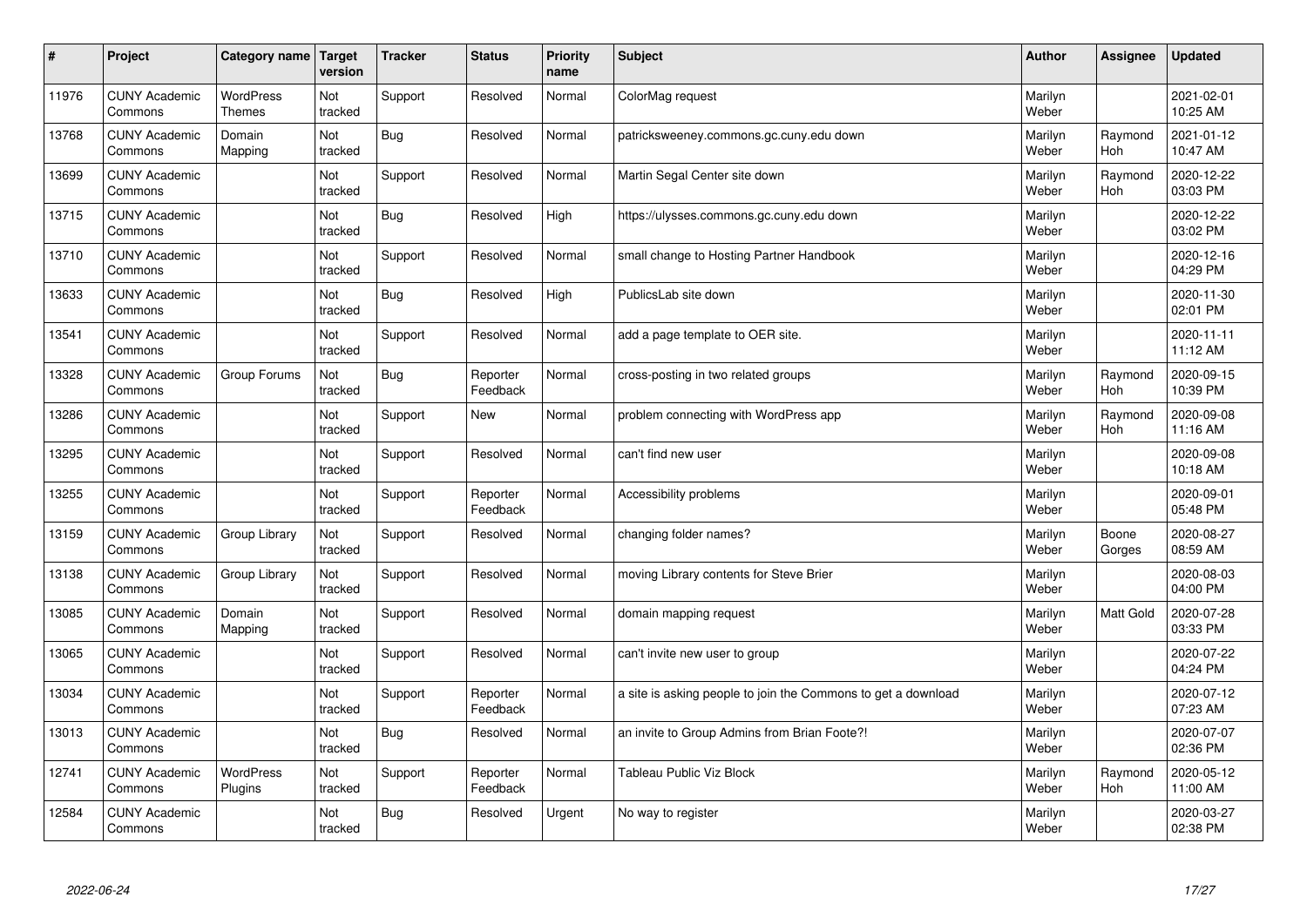| #     | Project                         | Category name   Target            | version        | <b>Tracker</b> | <b>Status</b>        | Priority<br>name | <b>Subject</b>                                                | <b>Author</b>    | <b>Assignee</b>       | <b>Updated</b>         |
|-------|---------------------------------|-----------------------------------|----------------|----------------|----------------------|------------------|---------------------------------------------------------------|------------------|-----------------------|------------------------|
| 11976 | <b>CUNY Academic</b><br>Commons | <b>WordPress</b><br><b>Themes</b> | Not<br>tracked | Support        | Resolved             | Normal           | ColorMag request                                              | Marilyn<br>Weber |                       | 2021-02-01<br>10:25 AM |
| 13768 | <b>CUNY Academic</b><br>Commons | Domain<br>Mapping                 | Not<br>tracked | Bug            | Resolved             | Normal           | patricksweeney.commons.gc.cuny.edu down                       | Marilyn<br>Weber | Raymond<br>Hoh        | 2021-01-12<br>10:47 AM |
| 13699 | <b>CUNY Academic</b><br>Commons |                                   | Not<br>tracked | Support        | Resolved             | Normal           | Martin Segal Center site down                                 | Marilyn<br>Weber | Raymond<br><b>Hoh</b> | 2020-12-22<br>03:03 PM |
| 13715 | <b>CUNY Academic</b><br>Commons |                                   | Not<br>tracked | Bug            | Resolved             | High             | https://ulysses.commons.gc.cuny.edu down                      | Marilyn<br>Weber |                       | 2020-12-22<br>03:02 PM |
| 13710 | <b>CUNY Academic</b><br>Commons |                                   | Not<br>tracked | Support        | Resolved             | Normal           | small change to Hosting Partner Handbook                      | Marilyn<br>Weber |                       | 2020-12-16<br>04:29 PM |
| 13633 | <b>CUNY Academic</b><br>Commons |                                   | Not<br>tracked | Bug            | Resolved             | High             | PublicsLab site down                                          | Marilyn<br>Weber |                       | 2020-11-30<br>02:01 PM |
| 13541 | <b>CUNY Academic</b><br>Commons |                                   | Not<br>tracked | Support        | Resolved             | Normal           | add a page template to OER site.                              | Marilyn<br>Weber |                       | 2020-11-11<br>11:12 AM |
| 13328 | <b>CUNY Academic</b><br>Commons | Group Forums                      | Not<br>tracked | Bug            | Reporter<br>Feedback | Normal           | cross-posting in two related groups                           | Marilyn<br>Weber | Raymond<br><b>Hoh</b> | 2020-09-15<br>10:39 PM |
| 13286 | <b>CUNY Academic</b><br>Commons |                                   | Not<br>tracked | Support        | New                  | Normal           | problem connecting with WordPress app                         | Marilyn<br>Weber | Raymond<br>Hoh        | 2020-09-08<br>11:16 AM |
| 13295 | <b>CUNY Academic</b><br>Commons |                                   | Not<br>tracked | Support        | Resolved             | Normal           | can't find new user                                           | Marilyn<br>Weber |                       | 2020-09-08<br>10:18 AM |
| 13255 | <b>CUNY Academic</b><br>Commons |                                   | Not<br>tracked | Support        | Reporter<br>Feedback | Normal           | Accessibility problems                                        | Marilyn<br>Weber |                       | 2020-09-01<br>05:48 PM |
| 13159 | <b>CUNY Academic</b><br>Commons | Group Library                     | Not<br>tracked | Support        | Resolved             | Normal           | changing folder names?                                        | Marilyn<br>Weber | Boone<br>Gorges       | 2020-08-27<br>08:59 AM |
| 13138 | <b>CUNY Academic</b><br>Commons | Group Library                     | Not<br>tracked | Support        | Resolved             | Normal           | moving Library contents for Steve Brier                       | Marilyn<br>Weber |                       | 2020-08-03<br>04:00 PM |
| 13085 | <b>CUNY Academic</b><br>Commons | Domain<br>Mapping                 | Not<br>tracked | Support        | Resolved             | Normal           | domain mapping request                                        | Marilyn<br>Weber | Matt Gold             | 2020-07-28<br>03:33 PM |
| 13065 | <b>CUNY Academic</b><br>Commons |                                   | Not<br>tracked | Support        | Resolved             | Normal           | can't invite new user to group                                | Marilyn<br>Weber |                       | 2020-07-22<br>04:24 PM |
| 13034 | <b>CUNY Academic</b><br>Commons |                                   | Not<br>tracked | Support        | Reporter<br>Feedback | Normal           | a site is asking people to join the Commons to get a download | Marilyn<br>Weber |                       | 2020-07-12<br>07:23 AM |
| 13013 | <b>CUNY Academic</b><br>Commons |                                   | Not<br>tracked | Bug            | Resolved             | Normal           | an invite to Group Admins from Brian Foote?!                  | Marilyn<br>Weber |                       | 2020-07-07<br>02:36 PM |
| 12741 | <b>CUNY Academic</b><br>Commons | <b>WordPress</b><br>Plugins       | Not<br>tracked | Support        | Reporter<br>Feedback | Normal           | Tableau Public Viz Block                                      | Marilyn<br>Weber | Raymond<br>Hoh        | 2020-05-12<br>11:00 AM |
| 12584 | <b>CUNY Academic</b><br>Commons |                                   | Not<br>tracked | Bug            | Resolved             | Urgent           | No way to register                                            | Marilyn<br>Weber |                       | 2020-03-27<br>02:38 PM |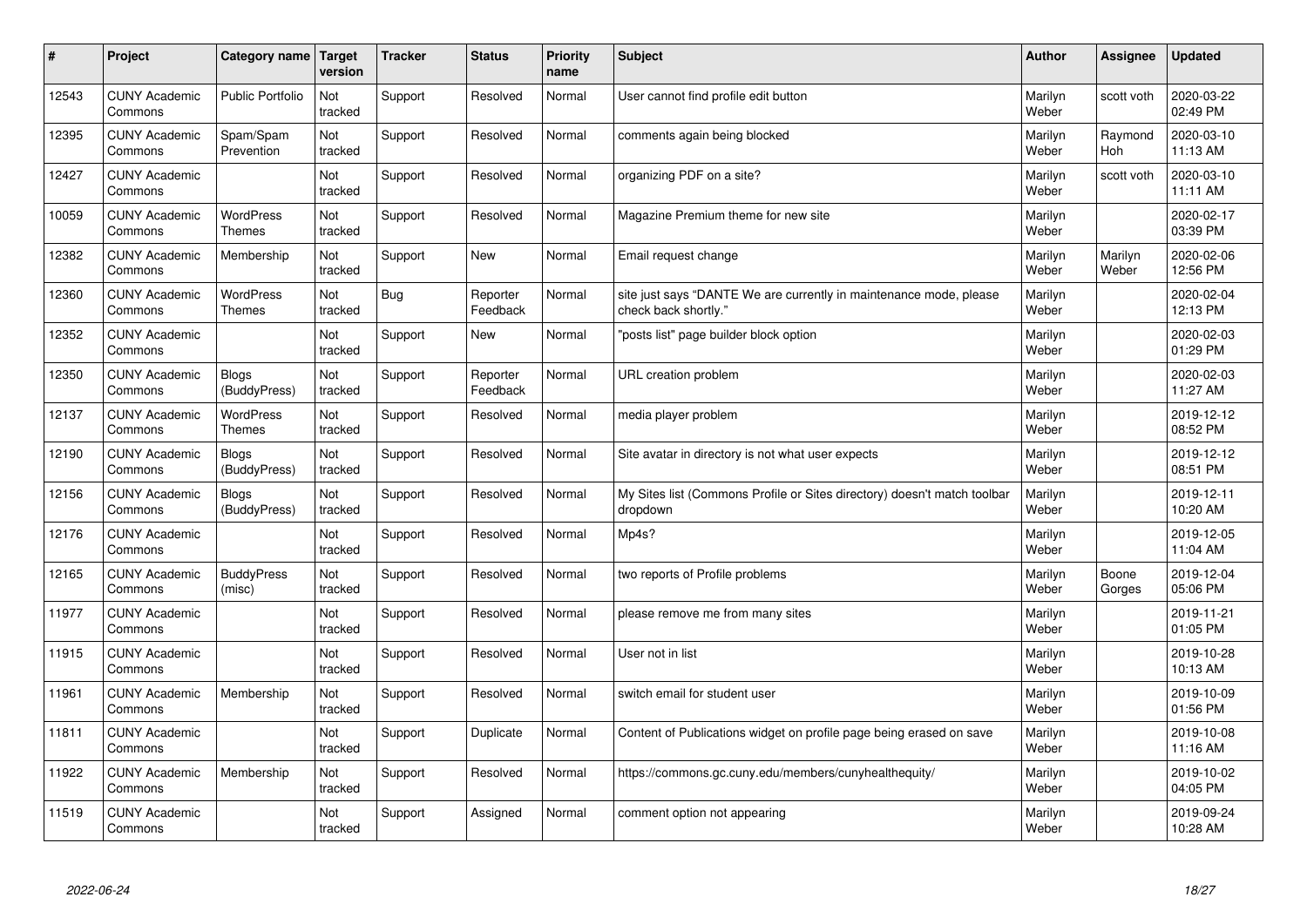| #     | Project                         | Category name   Target            | version        | <b>Tracker</b> | <b>Status</b>        | <b>Priority</b><br>name | <b>Subject</b>                                                                             | <b>Author</b>    | Assignee         | Updated                |
|-------|---------------------------------|-----------------------------------|----------------|----------------|----------------------|-------------------------|--------------------------------------------------------------------------------------------|------------------|------------------|------------------------|
| 12543 | <b>CUNY Academic</b><br>Commons | <b>Public Portfolio</b>           | Not<br>tracked | Support        | Resolved             | Normal                  | User cannot find profile edit button                                                       | Marilyn<br>Weber | scott voth       | 2020-03-22<br>02:49 PM |
| 12395 | <b>CUNY Academic</b><br>Commons | Spam/Spam<br>Prevention           | Not<br>tracked | Support        | Resolved             | Normal                  | comments again being blocked                                                               | Marilyn<br>Weber | Raymond<br>Hoh   | 2020-03-10<br>11:13 AM |
| 12427 | <b>CUNY Academic</b><br>Commons |                                   | Not<br>tracked | Support        | Resolved             | Normal                  | organizing PDF on a site?                                                                  | Marilyn<br>Weber | scott voth       | 2020-03-10<br>11:11 AM |
| 10059 | <b>CUNY Academic</b><br>Commons | <b>WordPress</b><br>Themes        | Not<br>tracked | Support        | Resolved             | Normal                  | Magazine Premium theme for new site                                                        | Marilyn<br>Weber |                  | 2020-02-17<br>03:39 PM |
| 12382 | <b>CUNY Academic</b><br>Commons | Membership                        | Not<br>tracked | Support        | <b>New</b>           | Normal                  | Email request change                                                                       | Marilyn<br>Weber | Marilyn<br>Weber | 2020-02-06<br>12:56 PM |
| 12360 | <b>CUNY Academic</b><br>Commons | <b>WordPress</b><br><b>Themes</b> | Not<br>tracked | Bug            | Reporter<br>Feedback | Normal                  | site just says "DANTE We are currently in maintenance mode, please<br>check back shortly." | Marilyn<br>Weber |                  | 2020-02-04<br>12:13 PM |
| 12352 | <b>CUNY Academic</b><br>Commons |                                   | Not<br>tracked | Support        | <b>New</b>           | Normal                  | posts list" page builder block option                                                      | Marilyn<br>Weber |                  | 2020-02-03<br>01:29 PM |
| 12350 | <b>CUNY Academic</b><br>Commons | <b>Blogs</b><br>(BuddyPress)      | Not<br>tracked | Support        | Reporter<br>Feedback | Normal                  | URL creation problem                                                                       | Marilyn<br>Weber |                  | 2020-02-03<br>11:27 AM |
| 12137 | <b>CUNY Academic</b><br>Commons | <b>WordPress</b><br><b>Themes</b> | Not<br>tracked | Support        | Resolved             | Normal                  | media player problem                                                                       | Marilyn<br>Weber |                  | 2019-12-12<br>08:52 PM |
| 12190 | <b>CUNY Academic</b><br>Commons | <b>Blogs</b><br>(BuddyPress)      | Not<br>tracked | Support        | Resolved             | Normal                  | Site avatar in directory is not what user expects                                          | Marilyn<br>Weber |                  | 2019-12-12<br>08:51 PM |
| 12156 | <b>CUNY Academic</b><br>Commons | <b>Blogs</b><br>(BuddyPress)      | Not<br>tracked | Support        | Resolved             | Normal                  | My Sites list (Commons Profile or Sites directory) doesn't match toolbar<br>dropdown       | Marilyn<br>Weber |                  | 2019-12-11<br>10:20 AM |
| 12176 | <b>CUNY Academic</b><br>Commons |                                   | Not<br>tracked | Support        | Resolved             | Normal                  | Mp4s?                                                                                      | Marilyn<br>Weber |                  | 2019-12-05<br>11:04 AM |
| 12165 | <b>CUNY Academic</b><br>Commons | <b>BuddyPress</b><br>(misc)       | Not<br>tracked | Support        | Resolved             | Normal                  | two reports of Profile problems                                                            | Marilyn<br>Weber | Boone<br>Gorges  | 2019-12-04<br>05:06 PM |
| 11977 | <b>CUNY Academic</b><br>Commons |                                   | Not<br>tracked | Support        | Resolved             | Normal                  | please remove me from many sites                                                           | Marilyn<br>Weber |                  | 2019-11-21<br>01:05 PM |
| 11915 | <b>CUNY Academic</b><br>Commons |                                   | Not<br>tracked | Support        | Resolved             | Normal                  | User not in list                                                                           | Marilyn<br>Weber |                  | 2019-10-28<br>10:13 AM |
| 11961 | <b>CUNY Academic</b><br>Commons | Membership                        | Not<br>tracked | Support        | Resolved             | Normal                  | switch email for student user                                                              | Marilyn<br>Weber |                  | 2019-10-09<br>01:56 PM |
| 11811 | <b>CUNY Academic</b><br>Commons |                                   | Not<br>tracked | Support        | Duplicate            | Normal                  | Content of Publications widget on profile page being erased on save                        | Marilyn<br>Weber |                  | 2019-10-08<br>11:16 AM |
| 11922 | <b>CUNY Academic</b><br>Commons | Membership                        | Not<br>tracked | Support        | Resolved             | Normal                  | https://commons.gc.cuny.edu/members/cunyhealthequity/                                      | Marilyn<br>Weber |                  | 2019-10-02<br>04:05 PM |
| 11519 | <b>CUNY Academic</b><br>Commons |                                   | Not<br>tracked | Support        | Assigned             | Normal                  | comment option not appearing                                                               | Marilyn<br>Weber |                  | 2019-09-24<br>10:28 AM |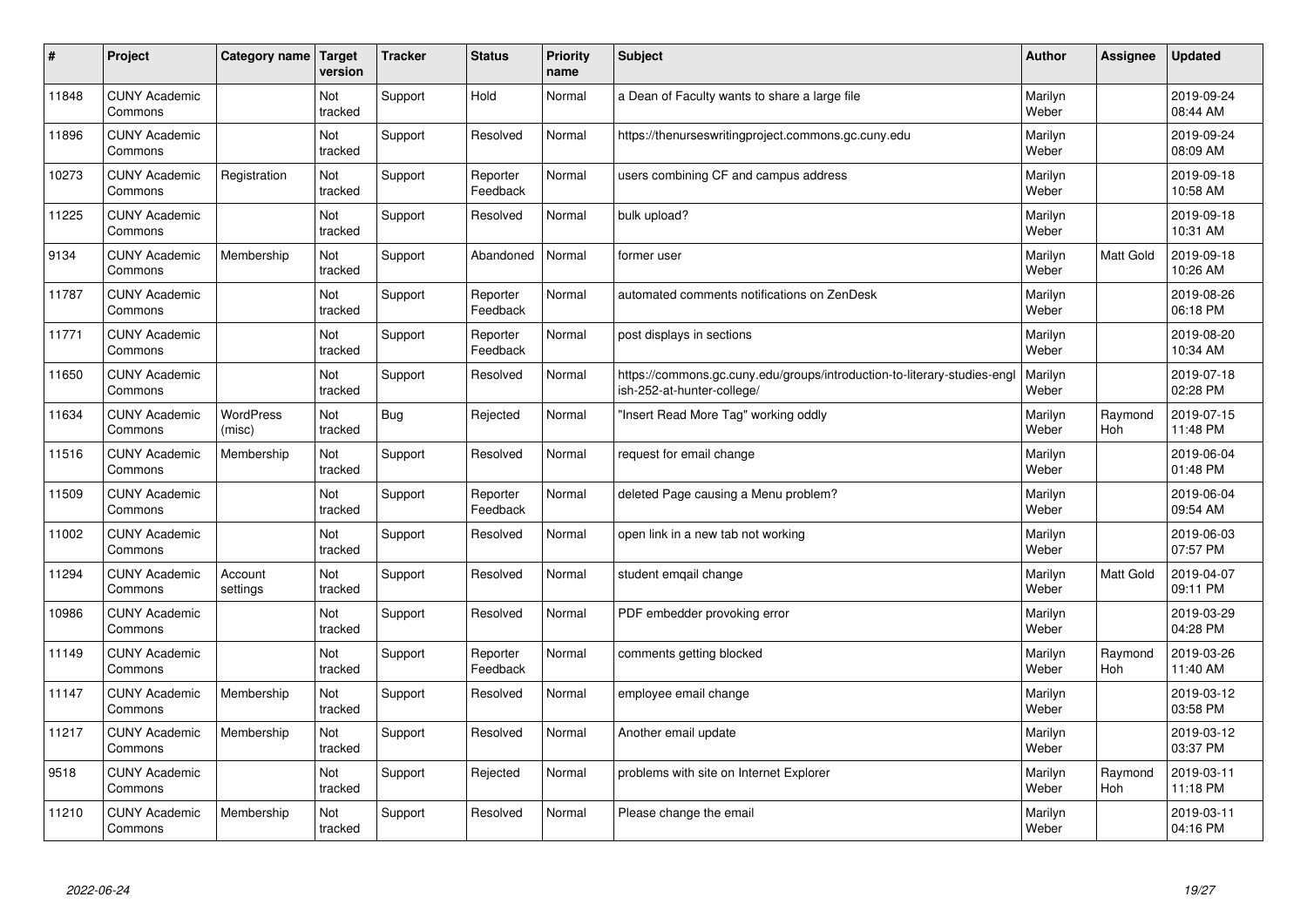| #     | Project                         | Category name       | Target<br>version | <b>Tracker</b> | <b>Status</b>        | <b>Priority</b><br>name | <b>Subject</b>                                                                                         | <b>Author</b>    | Assignee              | <b>Updated</b>         |
|-------|---------------------------------|---------------------|-------------------|----------------|----------------------|-------------------------|--------------------------------------------------------------------------------------------------------|------------------|-----------------------|------------------------|
| 11848 | <b>CUNY Academic</b><br>Commons |                     | Not<br>tracked    | Support        | Hold                 | Normal                  | a Dean of Faculty wants to share a large file                                                          | Marilyn<br>Weber |                       | 2019-09-24<br>08:44 AM |
| 11896 | <b>CUNY Academic</b><br>Commons |                     | Not<br>tracked    | Support        | Resolved             | Normal                  | https://thenurseswritingproject.commons.gc.cuny.edu                                                    | Marilyn<br>Weber |                       | 2019-09-24<br>08:09 AM |
| 10273 | <b>CUNY Academic</b><br>Commons | Registration        | Not<br>tracked    | Support        | Reporter<br>Feedback | Normal                  | users combining CF and campus address                                                                  | Marilyn<br>Weber |                       | 2019-09-18<br>10:58 AM |
| 11225 | <b>CUNY Academic</b><br>Commons |                     | Not<br>tracked    | Support        | Resolved             | Normal                  | bulk upload?                                                                                           | Marilyn<br>Weber |                       | 2019-09-18<br>10:31 AM |
| 9134  | <b>CUNY Academic</b><br>Commons | Membership          | Not<br>tracked    | Support        | Abandoned            | Normal                  | former user                                                                                            | Marilyn<br>Weber | <b>Matt Gold</b>      | 2019-09-18<br>10:26 AM |
| 11787 | <b>CUNY Academic</b><br>Commons |                     | Not<br>tracked    | Support        | Reporter<br>Feedback | Normal                  | automated comments notifications on ZenDesk                                                            | Marilyn<br>Weber |                       | 2019-08-26<br>06:18 PM |
| 11771 | <b>CUNY Academic</b><br>Commons |                     | Not<br>tracked    | Support        | Reporter<br>Feedback | Normal                  | post displays in sections                                                                              | Marilyn<br>Weber |                       | 2019-08-20<br>10:34 AM |
| 11650 | <b>CUNY Academic</b><br>Commons |                     | Not<br>tracked    | Support        | Resolved             | Normal                  | https://commons.gc.cuny.edu/groups/introduction-to-literary-studies-engl<br>ish-252-at-hunter-college/ | Marilyn<br>Weber |                       | 2019-07-18<br>02:28 PM |
| 11634 | <b>CUNY Academic</b><br>Commons | WordPress<br>(misc) | Not<br>tracked    | Bug            | Rejected             | Normal                  | "Insert Read More Tag" working oddly                                                                   | Marilyn<br>Weber | Raymond<br><b>Hoh</b> | 2019-07-15<br>11:48 PM |
| 11516 | <b>CUNY Academic</b><br>Commons | Membership          | Not<br>tracked    | Support        | Resolved             | Normal                  | request for email change                                                                               | Marilyn<br>Weber |                       | 2019-06-04<br>01:48 PM |
| 11509 | <b>CUNY Academic</b><br>Commons |                     | Not<br>tracked    | Support        | Reporter<br>Feedback | Normal                  | deleted Page causing a Menu problem?                                                                   | Marilyn<br>Weber |                       | 2019-06-04<br>09:54 AM |
| 11002 | <b>CUNY Academic</b><br>Commons |                     | Not<br>tracked    | Support        | Resolved             | Normal                  | open link in a new tab not working                                                                     | Marilyn<br>Weber |                       | 2019-06-03<br>07:57 PM |
| 11294 | <b>CUNY Academic</b><br>Commons | Account<br>settings | Not<br>tracked    | Support        | Resolved             | Normal                  | student emgail change                                                                                  | Marilyn<br>Weber | Matt Gold             | 2019-04-07<br>09:11 PM |
| 10986 | <b>CUNY Academic</b><br>Commons |                     | Not<br>tracked    | Support        | Resolved             | Normal                  | PDF embedder provoking error                                                                           | Marilyn<br>Weber |                       | 2019-03-29<br>04:28 PM |
| 11149 | <b>CUNY Academic</b><br>Commons |                     | Not<br>tracked    | Support        | Reporter<br>Feedback | Normal                  | comments getting blocked                                                                               | Marilyn<br>Weber | Raymond<br>Hoh        | 2019-03-26<br>11:40 AM |
| 11147 | <b>CUNY Academic</b><br>Commons | Membership          | Not<br>tracked    | Support        | Resolved             | Normal                  | employee email change                                                                                  | Marilyn<br>Weber |                       | 2019-03-12<br>03:58 PM |
| 11217 | <b>CUNY Academic</b><br>Commons | Membership          | Not<br>tracked    | Support        | Resolved             | Normal                  | Another email update                                                                                   | Marilyn<br>Weber |                       | 2019-03-12<br>03:37 PM |
| 9518  | <b>CUNY Academic</b><br>Commons |                     | Not<br>tracked    | Support        | Rejected             | Normal                  | problems with site on Internet Explorer                                                                | Marilyn<br>Weber | Raymond<br>Hoh        | 2019-03-11<br>11:18 PM |
| 11210 | <b>CUNY Academic</b><br>Commons | Membership          | Not<br>tracked    | Support        | Resolved             | Normal                  | Please change the email                                                                                | Marilyn<br>Weber |                       | 2019-03-11<br>04:16 PM |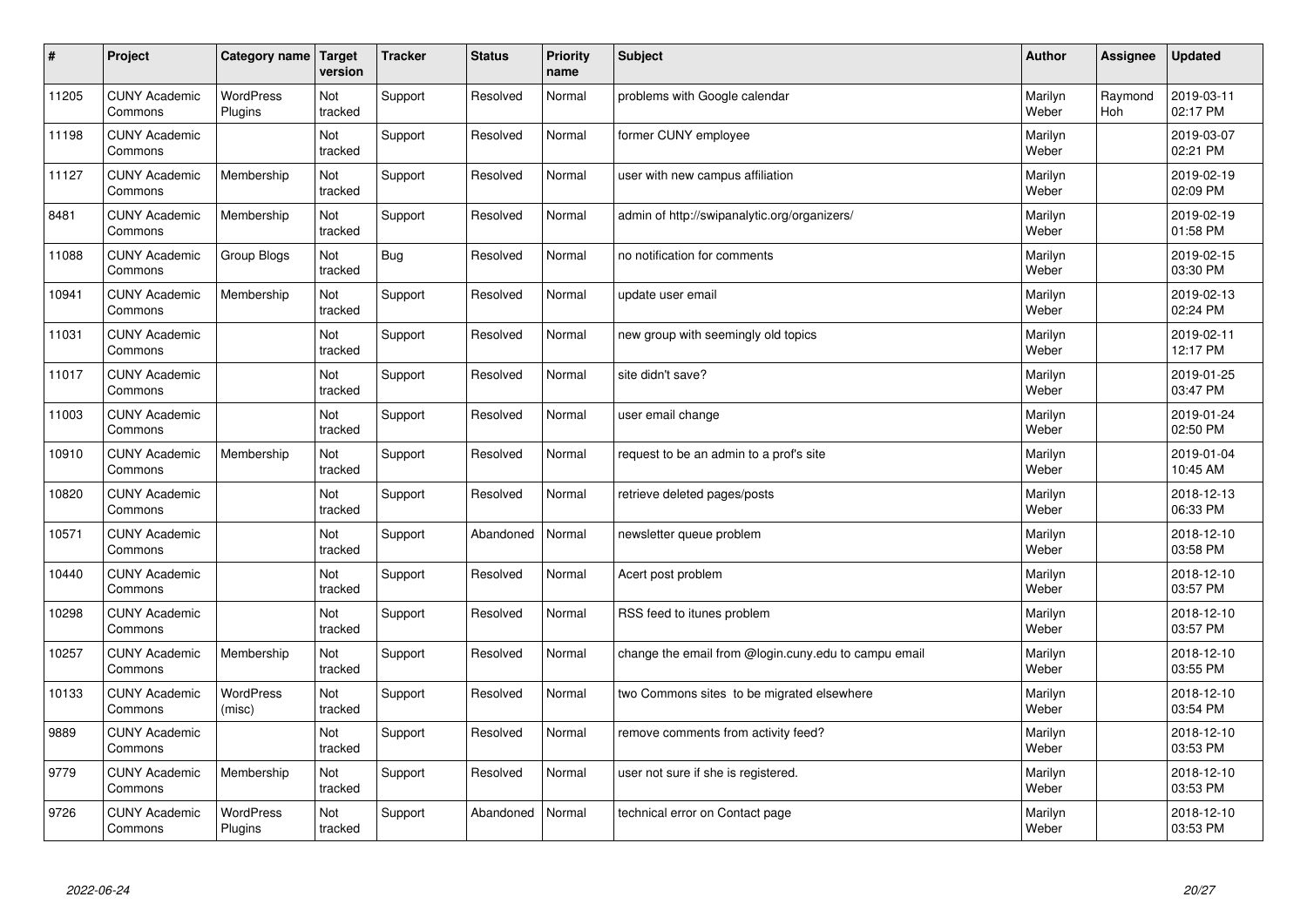| $\pmb{\sharp}$ | Project                         | Category name               | Target<br>version | <b>Tracker</b> | <b>Status</b> | <b>Priority</b><br>name | <b>Subject</b>                                       | <b>Author</b>    | Assignee       | <b>Updated</b>         |
|----------------|---------------------------------|-----------------------------|-------------------|----------------|---------------|-------------------------|------------------------------------------------------|------------------|----------------|------------------------|
| 11205          | <b>CUNY Academic</b><br>Commons | <b>WordPress</b><br>Plugins | Not<br>tracked    | Support        | Resolved      | Normal                  | problems with Google calendar                        | Marilyn<br>Weber | Raymond<br>Hoh | 2019-03-11<br>02:17 PM |
| 11198          | <b>CUNY Academic</b><br>Commons |                             | Not<br>tracked    | Support        | Resolved      | Normal                  | former CUNY employee                                 | Marilyn<br>Weber |                | 2019-03-07<br>02:21 PM |
| 11127          | <b>CUNY Academic</b><br>Commons | Membership                  | Not<br>tracked    | Support        | Resolved      | Normal                  | user with new campus affiliation                     | Marilyn<br>Weber |                | 2019-02-19<br>02:09 PM |
| 8481           | <b>CUNY Academic</b><br>Commons | Membership                  | Not<br>tracked    | Support        | Resolved      | Normal                  | admin of http://swipanalytic.org/organizers/         | Marilyn<br>Weber |                | 2019-02-19<br>01:58 PM |
| 11088          | <b>CUNY Academic</b><br>Commons | Group Blogs                 | Not<br>tracked    | <b>Bug</b>     | Resolved      | Normal                  | no notification for comments                         | Marilyn<br>Weber |                | 2019-02-15<br>03:30 PM |
| 10941          | <b>CUNY Academic</b><br>Commons | Membership                  | Not<br>tracked    | Support        | Resolved      | Normal                  | update user email                                    | Marilyn<br>Weber |                | 2019-02-13<br>02:24 PM |
| 11031          | <b>CUNY Academic</b><br>Commons |                             | Not<br>tracked    | Support        | Resolved      | Normal                  | new group with seemingly old topics                  | Marilyn<br>Weber |                | 2019-02-11<br>12:17 PM |
| 11017          | <b>CUNY Academic</b><br>Commons |                             | Not<br>tracked    | Support        | Resolved      | Normal                  | site didn't save?                                    | Marilyn<br>Weber |                | 2019-01-25<br>03:47 PM |
| 11003          | <b>CUNY Academic</b><br>Commons |                             | Not<br>tracked    | Support        | Resolved      | Normal                  | user email change                                    | Marilyn<br>Weber |                | 2019-01-24<br>02:50 PM |
| 10910          | <b>CUNY Academic</b><br>Commons | Membership                  | Not<br>tracked    | Support        | Resolved      | Normal                  | request to be an admin to a prof's site              | Marilyn<br>Weber |                | 2019-01-04<br>10:45 AM |
| 10820          | <b>CUNY Academic</b><br>Commons |                             | Not<br>tracked    | Support        | Resolved      | Normal                  | retrieve deleted pages/posts                         | Marilyn<br>Weber |                | 2018-12-13<br>06:33 PM |
| 10571          | <b>CUNY Academic</b><br>Commons |                             | Not<br>tracked    | Support        | Abandoned     | Normal                  | newsletter queue problem                             | Marilyn<br>Weber |                | 2018-12-10<br>03:58 PM |
| 10440          | <b>CUNY Academic</b><br>Commons |                             | Not<br>tracked    | Support        | Resolved      | Normal                  | Acert post problem                                   | Marilyn<br>Weber |                | 2018-12-10<br>03:57 PM |
| 10298          | <b>CUNY Academic</b><br>Commons |                             | Not<br>tracked    | Support        | Resolved      | Normal                  | RSS feed to itunes problem                           | Marilyn<br>Weber |                | 2018-12-10<br>03:57 PM |
| 10257          | <b>CUNY Academic</b><br>Commons | Membership                  | Not<br>tracked    | Support        | Resolved      | Normal                  | change the email from @login.cuny.edu to campu email | Marilyn<br>Weber |                | 2018-12-10<br>03:55 PM |
| 10133          | <b>CUNY Academic</b><br>Commons | <b>WordPress</b><br>(misc)  | Not<br>tracked    | Support        | Resolved      | Normal                  | two Commons sites to be migrated elsewhere           | Marilyn<br>Weber |                | 2018-12-10<br>03:54 PM |
| 9889           | <b>CUNY Academic</b><br>Commons |                             | Not<br>tracked    | Support        | Resolved      | Normal                  | remove comments from activity feed?                  | Marilyn<br>Weber |                | 2018-12-10<br>03:53 PM |
| 9779           | <b>CUNY Academic</b><br>Commons | Membership                  | Not<br>tracked    | Support        | Resolved      | Normal                  | user not sure if she is registered.                  | Marilyn<br>Weber |                | 2018-12-10<br>03:53 PM |
| 9726           | <b>CUNY Academic</b><br>Commons | <b>WordPress</b><br>Plugins | Not<br>tracked    | Support        | Abandoned     | Normal                  | technical error on Contact page                      | Marilyn<br>Weber |                | 2018-12-10<br>03:53 PM |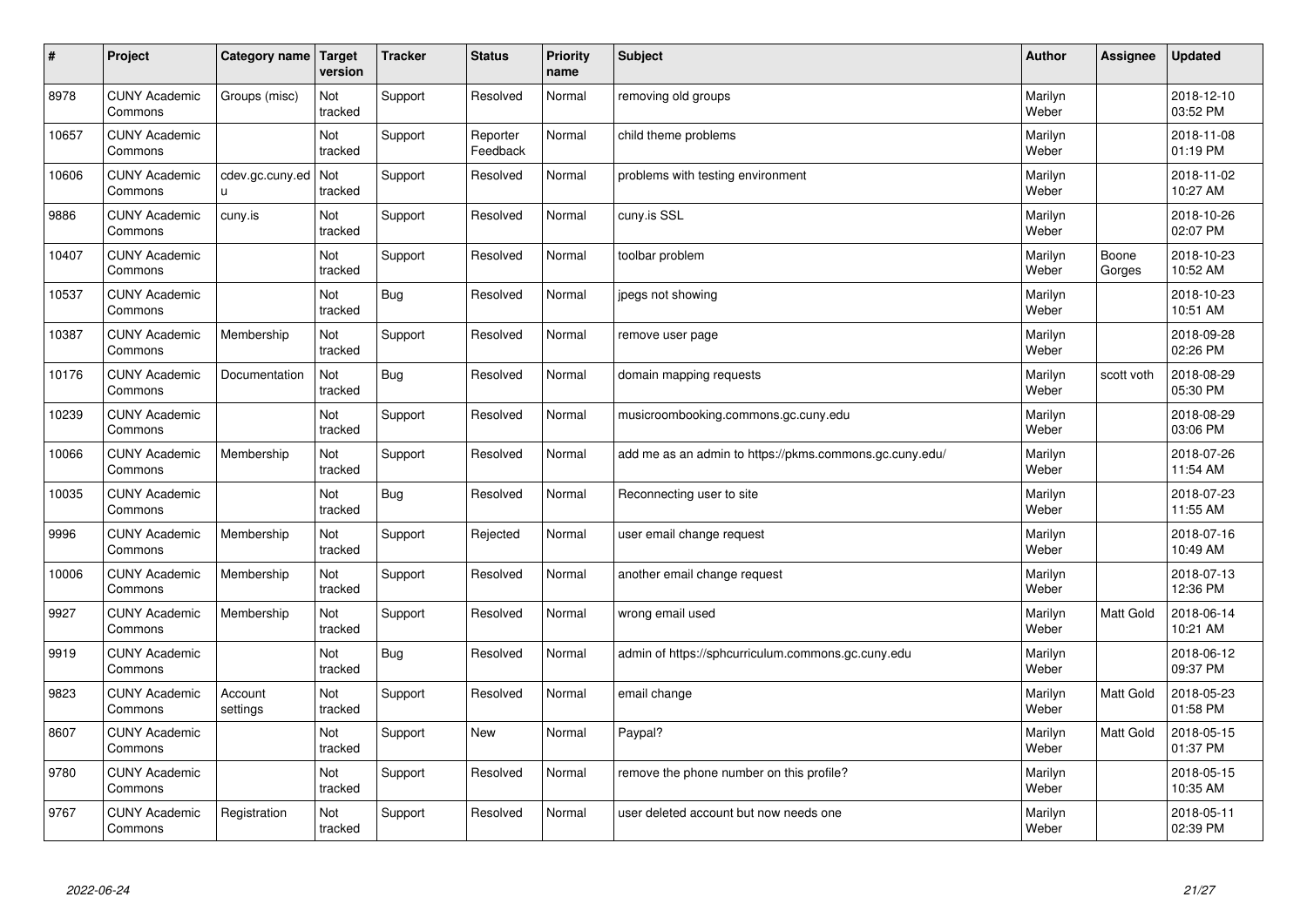| $\vert$ # | Project                         | Category name   Target | version               | <b>Tracker</b> | <b>Status</b>        | <b>Priority</b><br>name | <b>Subject</b>                                          | <b>Author</b>    | Assignee        | <b>Updated</b>         |
|-----------|---------------------------------|------------------------|-----------------------|----------------|----------------------|-------------------------|---------------------------------------------------------|------------------|-----------------|------------------------|
| 8978      | <b>CUNY Academic</b><br>Commons | Groups (misc)          | Not<br>tracked        | Support        | Resolved             | Normal                  | removing old groups                                     | Marilyn<br>Weber |                 | 2018-12-10<br>03:52 PM |
| 10657     | <b>CUNY Academic</b><br>Commons |                        | Not<br>tracked        | Support        | Reporter<br>Feedback | Normal                  | child theme problems                                    | Marilyn<br>Weber |                 | 2018-11-08<br>01:19 PM |
| 10606     | <b>CUNY Academic</b><br>Commons | cdev.gc.cuny.ed<br>ū   | Not<br>tracked        | Support        | Resolved             | Normal                  | problems with testing environment                       | Marilyn<br>Weber |                 | 2018-11-02<br>10:27 AM |
| 9886      | <b>CUNY Academic</b><br>Commons | cuny.is                | Not<br>tracked        | Support        | Resolved             | Normal                  | cuny.is SSL                                             | Marilyn<br>Weber |                 | 2018-10-26<br>02:07 PM |
| 10407     | <b>CUNY Academic</b><br>Commons |                        | <b>Not</b><br>tracked | Support        | Resolved             | Normal                  | toolbar problem                                         | Marilyn<br>Weber | Boone<br>Gorges | 2018-10-23<br>10:52 AM |
| 10537     | <b>CUNY Academic</b><br>Commons |                        | Not<br>tracked        | <b>Bug</b>     | Resolved             | Normal                  | jpegs not showing                                       | Marilyn<br>Weber |                 | 2018-10-23<br>10:51 AM |
| 10387     | <b>CUNY Academic</b><br>Commons | Membership             | Not<br>tracked        | Support        | Resolved             | Normal                  | remove user page                                        | Marilyn<br>Weber |                 | 2018-09-28<br>02:26 PM |
| 10176     | <b>CUNY Academic</b><br>Commons | Documentation          | Not<br>tracked        | <b>Bug</b>     | Resolved             | Normal                  | domain mapping requests                                 | Marilyn<br>Weber | scott voth      | 2018-08-29<br>05:30 PM |
| 10239     | <b>CUNY Academic</b><br>Commons |                        | Not<br>tracked        | Support        | Resolved             | Normal                  | musicroombooking.commons.gc.cuny.edu                    | Marilyn<br>Weber |                 | 2018-08-29<br>03:06 PM |
| 10066     | <b>CUNY Academic</b><br>Commons | Membership             | Not<br>tracked        | Support        | Resolved             | Normal                  | add me as an admin to https://pkms.commons.gc.cuny.edu/ | Marilyn<br>Weber |                 | 2018-07-26<br>11:54 AM |
| 10035     | <b>CUNY Academic</b><br>Commons |                        | Not<br>tracked        | Bug            | Resolved             | Normal                  | Reconnecting user to site                               | Marilyn<br>Weber |                 | 2018-07-23<br>11:55 AM |
| 9996      | <b>CUNY Academic</b><br>Commons | Membership             | Not<br>tracked        | Support        | Rejected             | Normal                  | user email change request                               | Marilyn<br>Weber |                 | 2018-07-16<br>10:49 AM |
| 10006     | <b>CUNY Academic</b><br>Commons | Membership             | Not<br>tracked        | Support        | Resolved             | Normal                  | another email change request                            | Marilyn<br>Weber |                 | 2018-07-13<br>12:36 PM |
| 9927      | <b>CUNY Academic</b><br>Commons | Membership             | Not<br>tracked        | Support        | Resolved             | Normal                  | wrong email used                                        | Marilyn<br>Weber | Matt Gold       | 2018-06-14<br>10:21 AM |
| 9919      | <b>CUNY Academic</b><br>Commons |                        | Not<br>tracked        | Bug            | Resolved             | Normal                  | admin of https://sphcurriculum.commons.gc.cuny.edu      | Marilyn<br>Weber |                 | 2018-06-12<br>09:37 PM |
| 9823      | <b>CUNY Academic</b><br>Commons | Account<br>settings    | Not<br>tracked        | Support        | Resolved             | Normal                  | email change                                            | Marilyn<br>Weber | Matt Gold       | 2018-05-23<br>01:58 PM |
| 8607      | <b>CUNY Academic</b><br>Commons |                        | Not<br>tracked        | Support        | <b>New</b>           | Normal                  | Paypal?                                                 | Marilyn<br>Weber | Matt Gold       | 2018-05-15<br>01:37 PM |
| 9780      | <b>CUNY Academic</b><br>Commons |                        | Not<br>tracked        | Support        | Resolved             | Normal                  | remove the phone number on this profile?                | Marilyn<br>Weber |                 | 2018-05-15<br>10:35 AM |
| 9767      | <b>CUNY Academic</b><br>Commons | Registration           | Not<br>tracked        | Support        | Resolved             | Normal                  | user deleted account but now needs one                  | Marilyn<br>Weber |                 | 2018-05-11<br>02:39 PM |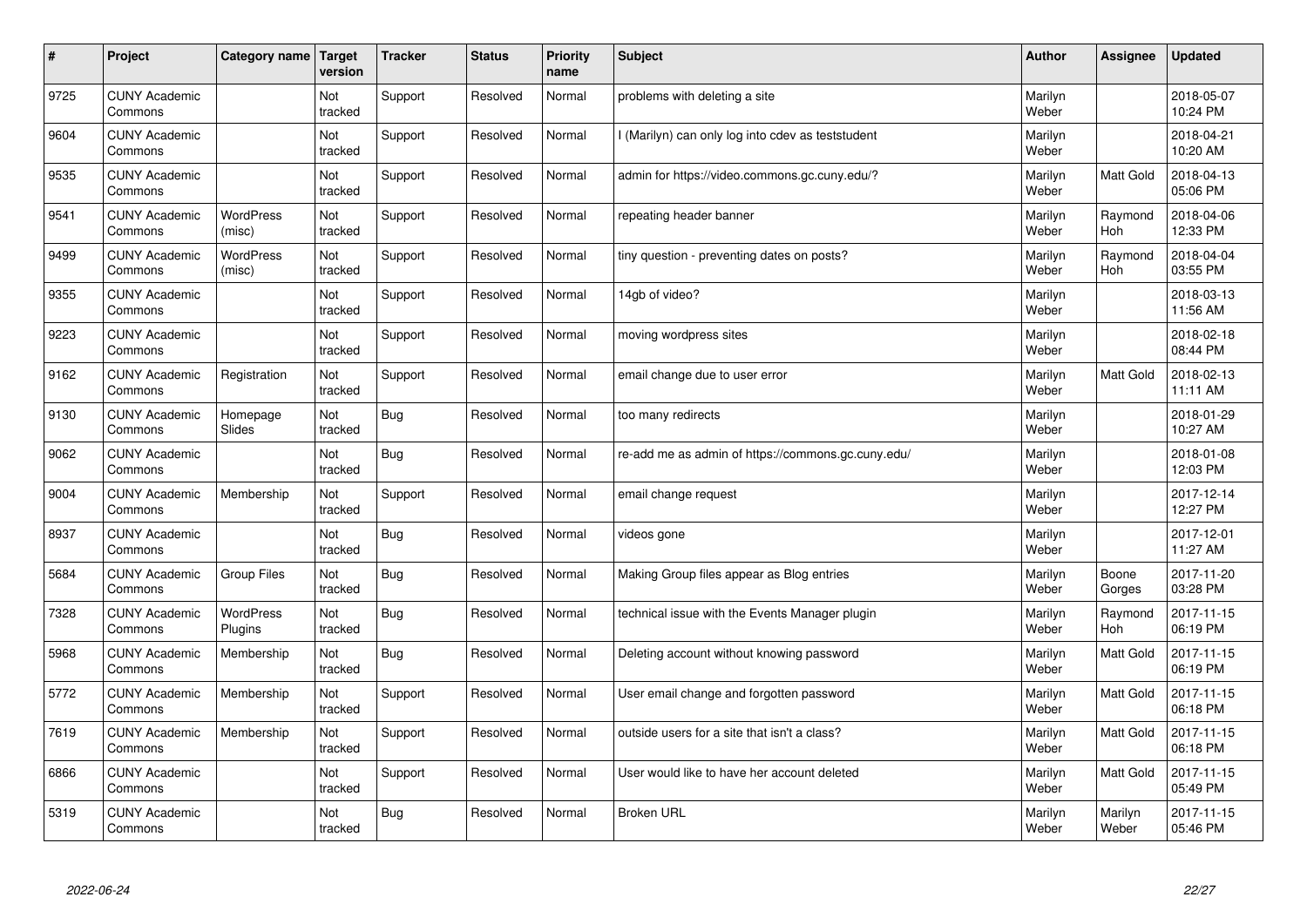| #    | Project                         | Category name              | Target<br>version | <b>Tracker</b> | <b>Status</b> | <b>Priority</b><br>name | <b>Subject</b>                                     | <b>Author</b>    | Assignee              | Updated                |
|------|---------------------------------|----------------------------|-------------------|----------------|---------------|-------------------------|----------------------------------------------------|------------------|-----------------------|------------------------|
| 9725 | <b>CUNY Academic</b><br>Commons |                            | Not<br>tracked    | Support        | Resolved      | Normal                  | problems with deleting a site                      | Marilyn<br>Weber |                       | 2018-05-07<br>10:24 PM |
| 9604 | <b>CUNY Academic</b><br>Commons |                            | Not<br>tracked    | Support        | Resolved      | Normal                  | l (Marilyn) can only log into cdev as teststudent  | Marilyn<br>Weber |                       | 2018-04-21<br>10:20 AM |
| 9535 | <b>CUNY Academic</b><br>Commons |                            | Not<br>tracked    | Support        | Resolved      | Normal                  | admin for https://video.commons.gc.cuny.edu/?      | Marilyn<br>Weber | <b>Matt Gold</b>      | 2018-04-13<br>05:06 PM |
| 9541 | <b>CUNY Academic</b><br>Commons | <b>WordPress</b><br>(misc) | Not<br>tracked    | Support        | Resolved      | Normal                  | repeating header banner                            | Marilyn<br>Weber | Raymond<br><b>Hoh</b> | 2018-04-06<br>12:33 PM |
| 9499 | <b>CUNY Academic</b><br>Commons | <b>WordPress</b><br>(misc) | Not<br>tracked    | Support        | Resolved      | Normal                  | tiny question - preventing dates on posts?         | Marilyn<br>Weber | Raymond<br>Hoh        | 2018-04-04<br>03:55 PM |
| 9355 | <b>CUNY Academic</b><br>Commons |                            | Not<br>tracked    | Support        | Resolved      | Normal                  | 14gb of video?                                     | Marilyn<br>Weber |                       | 2018-03-13<br>11:56 AM |
| 9223 | <b>CUNY Academic</b><br>Commons |                            | Not<br>tracked    | Support        | Resolved      | Normal                  | moving wordpress sites                             | Marilyn<br>Weber |                       | 2018-02-18<br>08:44 PM |
| 9162 | <b>CUNY Academic</b><br>Commons | Registration               | Not<br>tracked    | Support        | Resolved      | Normal                  | email change due to user error                     | Marilyn<br>Weber | Matt Gold             | 2018-02-13<br>11:11 AM |
| 9130 | <b>CUNY Academic</b><br>Commons | Homepage<br>Slides         | Not<br>tracked    | Bug            | Resolved      | Normal                  | too many redirects                                 | Marilyn<br>Weber |                       | 2018-01-29<br>10:27 AM |
| 9062 | <b>CUNY Academic</b><br>Commons |                            | Not<br>tracked    | Bug            | Resolved      | Normal                  | re-add me as admin of https://commons.gc.cuny.edu/ | Marilyn<br>Weber |                       | 2018-01-08<br>12:03 PM |
| 9004 | <b>CUNY Academic</b><br>Commons | Membership                 | Not<br>tracked    | Support        | Resolved      | Normal                  | email change request                               | Marilyn<br>Weber |                       | 2017-12-14<br>12:27 PM |
| 8937 | <b>CUNY Academic</b><br>Commons |                            | Not<br>tracked    | Bug            | Resolved      | Normal                  | videos gone                                        | Marilyn<br>Weber |                       | 2017-12-01<br>11:27 AM |
| 5684 | <b>CUNY Academic</b><br>Commons | Group Files                | Not<br>tracked    | Bug            | Resolved      | Normal                  | Making Group files appear as Blog entries          | Marilyn<br>Weber | Boone<br>Gorges       | 2017-11-20<br>03:28 PM |
| 7328 | <b>CUNY Academic</b><br>Commons | WordPress<br>Plugins       | Not<br>tracked    | Bug            | Resolved      | Normal                  | technical issue with the Events Manager plugin     | Marilyn<br>Weber | Raymond<br>Hoh        | 2017-11-15<br>06:19 PM |
| 5968 | <b>CUNY Academic</b><br>Commons | Membership                 | Not<br>tracked    | Bug            | Resolved      | Normal                  | Deleting account without knowing password          | Marilyn<br>Weber | Matt Gold             | 2017-11-15<br>06:19 PM |
| 5772 | <b>CUNY Academic</b><br>Commons | Membership                 | Not<br>tracked    | Support        | Resolved      | Normal                  | User email change and forgotten password           | Marilyn<br>Weber | <b>Matt Gold</b>      | 2017-11-15<br>06:18 PM |
| 7619 | <b>CUNY Academic</b><br>Commons | Membership                 | Not<br>tracked    | Support        | Resolved      | Normal                  | outside users for a site that isn't a class?       | Marilyn<br>Weber | <b>Matt Gold</b>      | 2017-11-15<br>06:18 PM |
| 6866 | <b>CUNY Academic</b><br>Commons |                            | Not<br>tracked    | Support        | Resolved      | Normal                  | User would like to have her account deleted        | Marilyn<br>Weber | <b>Matt Gold</b>      | 2017-11-15<br>05:49 PM |
| 5319 | <b>CUNY Academic</b><br>Commons |                            | Not<br>tracked    | Bug            | Resolved      | Normal                  | <b>Broken URL</b>                                  | Marilyn<br>Weber | Marilyn<br>Weber      | 2017-11-15<br>05:46 PM |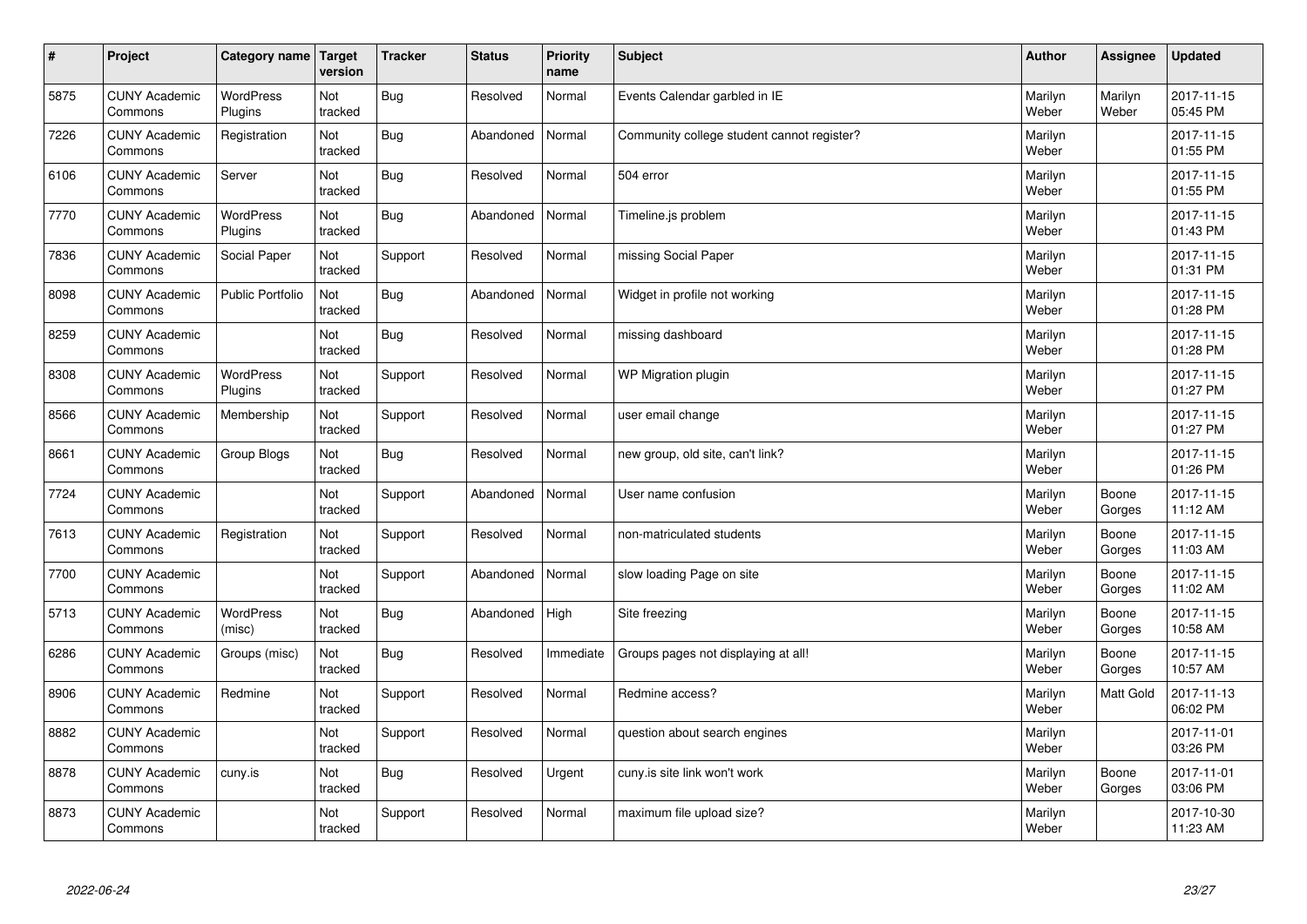| $\sharp$ | Project                         | Category name   Target      | version        | <b>Tracker</b> | <b>Status</b> | <b>Priority</b><br>name | <b>Subject</b>                             | <b>Author</b>    | Assignee         | <b>Updated</b>         |
|----------|---------------------------------|-----------------------------|----------------|----------------|---------------|-------------------------|--------------------------------------------|------------------|------------------|------------------------|
| 5875     | <b>CUNY Academic</b><br>Commons | <b>WordPress</b><br>Plugins | Not<br>tracked | Bug            | Resolved      | Normal                  | Events Calendar garbled in IE              | Marilyn<br>Weber | Marilyn<br>Weber | 2017-11-15<br>05:45 PM |
| 7226     | <b>CUNY Academic</b><br>Commons | Registration                | Not<br>tracked | Bug            | Abandoned     | Normal                  | Community college student cannot register? | Marilyn<br>Weber |                  | 2017-11-15<br>01:55 PM |
| 6106     | <b>CUNY Academic</b><br>Commons | Server                      | Not<br>tracked | Bug            | Resolved      | Normal                  | 504 error                                  | Marilyn<br>Weber |                  | 2017-11-15<br>01:55 PM |
| 7770     | <b>CUNY Academic</b><br>Commons | WordPress<br>Plugins        | Not<br>tracked | Bug            | Abandoned     | Normal                  | Timeline.js problem                        | Marilyn<br>Weber |                  | 2017-11-15<br>01:43 PM |
| 7836     | <b>CUNY Academic</b><br>Commons | Social Paper                | Not<br>tracked | Support        | Resolved      | Normal                  | missing Social Paper                       | Marilyn<br>Weber |                  | 2017-11-15<br>01:31 PM |
| 8098     | <b>CUNY Academic</b><br>Commons | <b>Public Portfolio</b>     | Not<br>tracked | <b>Bug</b>     | Abandoned     | Normal                  | Widget in profile not working              | Marilyn<br>Weber |                  | 2017-11-15<br>01:28 PM |
| 8259     | <b>CUNY Academic</b><br>Commons |                             | Not<br>tracked | Bug            | Resolved      | Normal                  | missing dashboard                          | Marilyn<br>Weber |                  | 2017-11-15<br>01:28 PM |
| 8308     | <b>CUNY Academic</b><br>Commons | WordPress<br>Plugins        | Not<br>tracked | Support        | Resolved      | Normal                  | WP Migration plugin                        | Marilyn<br>Weber |                  | 2017-11-15<br>01:27 PM |
| 8566     | <b>CUNY Academic</b><br>Commons | Membership                  | Not<br>tracked | Support        | Resolved      | Normal                  | user email change                          | Marilyn<br>Weber |                  | 2017-11-15<br>01:27 PM |
| 8661     | <b>CUNY Academic</b><br>Commons | Group Blogs                 | Not<br>tracked | Bug            | Resolved      | Normal                  | new group, old site, can't link?           | Marilyn<br>Weber |                  | 2017-11-15<br>01:26 PM |
| 7724     | <b>CUNY Academic</b><br>Commons |                             | Not<br>tracked | Support        | Abandoned     | Normal                  | User name confusion                        | Marilyn<br>Weber | Boone<br>Gorges  | 2017-11-15<br>11:12 AM |
| 7613     | <b>CUNY Academic</b><br>Commons | Registration                | Not<br>tracked | Support        | Resolved      | Normal                  | non-matriculated students                  | Marilyn<br>Weber | Boone<br>Gorges  | 2017-11-15<br>11:03 AM |
| 7700     | <b>CUNY Academic</b><br>Commons |                             | Not<br>tracked | Support        | Abandoned     | Normal                  | slow loading Page on site                  | Marilyn<br>Weber | Boone<br>Gorges  | 2017-11-15<br>11:02 AM |
| 5713     | <b>CUNY Academic</b><br>Commons | WordPress<br>(misc)         | Not<br>tracked | Bug            | Abandoned     | High                    | Site freezing                              | Marilyn<br>Weber | Boone<br>Gorges  | 2017-11-15<br>10:58 AM |
| 6286     | <b>CUNY Academic</b><br>Commons | Groups (misc)               | Not<br>tracked | Bug            | Resolved      | Immediate               | Groups pages not displaying at all!        | Marilyn<br>Weber | Boone<br>Gorges  | 2017-11-15<br>10:57 AM |
| 8906     | <b>CUNY Academic</b><br>Commons | Redmine                     | Not<br>tracked | Support        | Resolved      | Normal                  | Redmine access?                            | Marilyn<br>Weber | Matt Gold        | 2017-11-13<br>06:02 PM |
| 8882     | <b>CUNY Academic</b><br>Commons |                             | Not<br>tracked | Support        | Resolved      | Normal                  | question about search engines              | Marilyn<br>Weber |                  | 2017-11-01<br>03:26 PM |
| 8878     | <b>CUNY Academic</b><br>Commons | cuny.is                     | Not<br>tracked | <b>Bug</b>     | Resolved      | Urgent                  | cuny.is site link won't work               | Marilyn<br>Weber | Boone<br>Gorges  | 2017-11-01<br>03:06 PM |
| 8873     | <b>CUNY Academic</b><br>Commons |                             | Not<br>tracked | Support        | Resolved      | Normal                  | maximum file upload size?                  | Marilyn<br>Weber |                  | 2017-10-30<br>11:23 AM |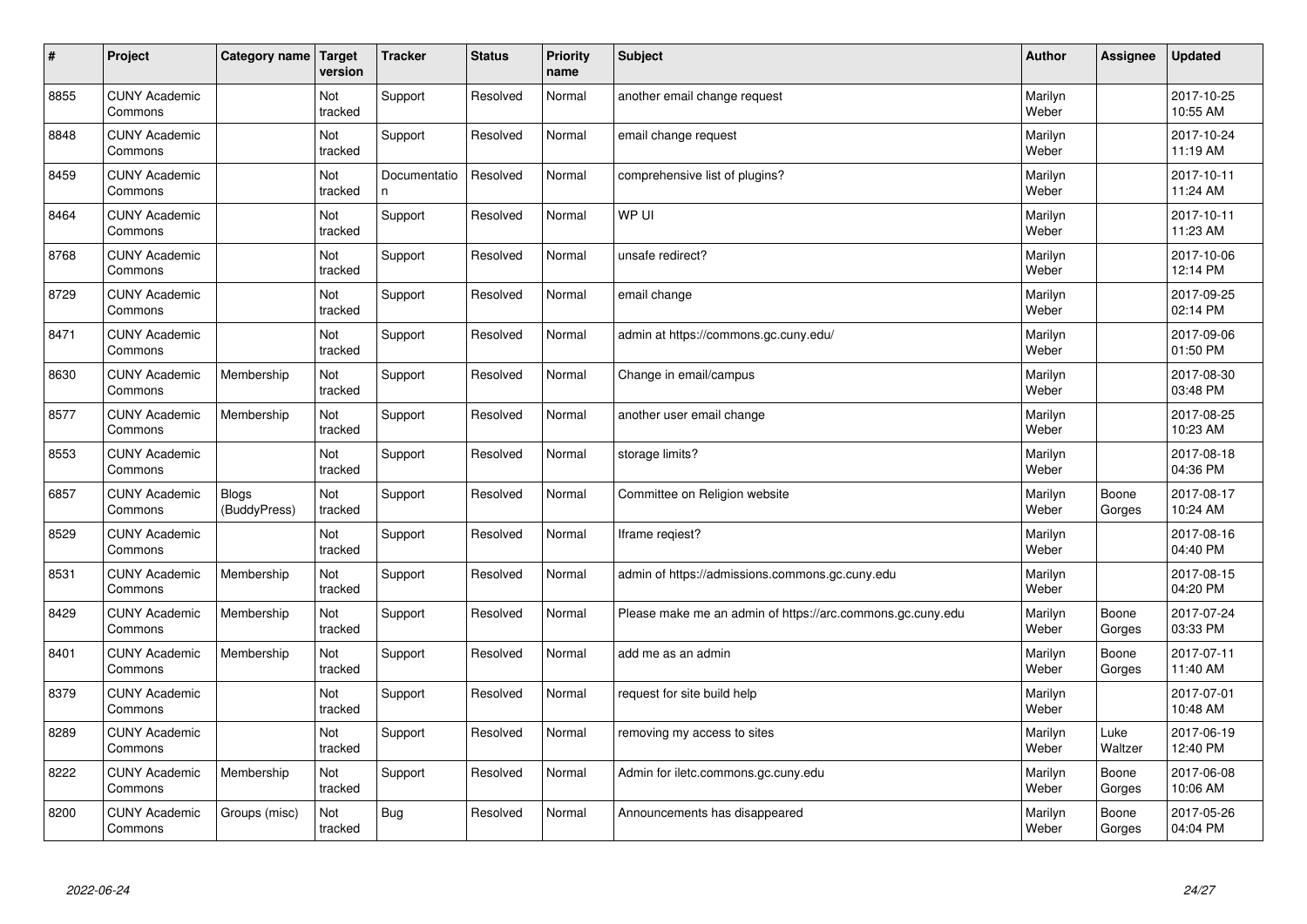| $\vert$ # | Project                         | Category name                | Target<br>version | <b>Tracker</b>    | <b>Status</b> | <b>Priority</b><br>name | <b>Subject</b>                                             | <b>Author</b>    | Assignee        | <b>Updated</b>         |
|-----------|---------------------------------|------------------------------|-------------------|-------------------|---------------|-------------------------|------------------------------------------------------------|------------------|-----------------|------------------------|
| 8855      | <b>CUNY Academic</b><br>Commons |                              | Not<br>tracked    | Support           | Resolved      | Normal                  | another email change request                               | Marilyn<br>Weber |                 | 2017-10-25<br>10:55 AM |
| 8848      | <b>CUNY Academic</b><br>Commons |                              | Not<br>tracked    | Support           | Resolved      | Normal                  | email change request                                       | Marilyn<br>Weber |                 | 2017-10-24<br>11:19 AM |
| 8459      | <b>CUNY Academic</b><br>Commons |                              | Not<br>tracked    | Documentatio<br>n | Resolved      | Normal                  | comprehensive list of plugins?                             | Marilyn<br>Weber |                 | 2017-10-11<br>11:24 AM |
| 8464      | <b>CUNY Academic</b><br>Commons |                              | Not<br>tracked    | Support           | Resolved      | Normal                  | WP UI                                                      | Marilyn<br>Weber |                 | 2017-10-11<br>11:23 AM |
| 8768      | <b>CUNY Academic</b><br>Commons |                              | Not<br>tracked    | Support           | Resolved      | Normal                  | unsafe redirect?                                           | Marilyn<br>Weber |                 | 2017-10-06<br>12:14 PM |
| 8729      | <b>CUNY Academic</b><br>Commons |                              | Not<br>tracked    | Support           | Resolved      | Normal                  | email change                                               | Marilyn<br>Weber |                 | 2017-09-25<br>02:14 PM |
| 8471      | <b>CUNY Academic</b><br>Commons |                              | Not<br>tracked    | Support           | Resolved      | Normal                  | admin at https://commons.gc.cuny.edu/                      | Marilyn<br>Weber |                 | 2017-09-06<br>01:50 PM |
| 8630      | <b>CUNY Academic</b><br>Commons | Membership                   | Not<br>tracked    | Support           | Resolved      | Normal                  | Change in email/campus                                     | Marilyn<br>Weber |                 | 2017-08-30<br>03:48 PM |
| 8577      | <b>CUNY Academic</b><br>Commons | Membership                   | Not<br>tracked    | Support           | Resolved      | Normal                  | another user email change                                  | Marilyn<br>Weber |                 | 2017-08-25<br>10:23 AM |
| 8553      | <b>CUNY Academic</b><br>Commons |                              | Not<br>tracked    | Support           | Resolved      | Normal                  | storage limits?                                            | Marilyn<br>Weber |                 | 2017-08-18<br>04:36 PM |
| 6857      | <b>CUNY Academic</b><br>Commons | <b>Blogs</b><br>(BuddyPress) | Not<br>tracked    | Support           | Resolved      | Normal                  | Committee on Religion website                              | Marilyn<br>Weber | Boone<br>Gorges | 2017-08-17<br>10:24 AM |
| 8529      | <b>CUNY Academic</b><br>Commons |                              | Not<br>tracked    | Support           | Resolved      | Normal                  | Iframe regiest?                                            | Marilyn<br>Weber |                 | 2017-08-16<br>04:40 PM |
| 8531      | <b>CUNY Academic</b><br>Commons | Membership                   | Not<br>tracked    | Support           | Resolved      | Normal                  | admin of https://admissions.commons.gc.cuny.edu            | Marilyn<br>Weber |                 | 2017-08-15<br>04:20 PM |
| 8429      | <b>CUNY Academic</b><br>Commons | Membership                   | Not<br>tracked    | Support           | Resolved      | Normal                  | Please make me an admin of https://arc.commons.gc.cuny.edu | Marilyn<br>Weber | Boone<br>Gorges | 2017-07-24<br>03:33 PM |
| 8401      | <b>CUNY Academic</b><br>Commons | Membership                   | Not<br>tracked    | Support           | Resolved      | Normal                  | add me as an admin                                         | Marilyn<br>Weber | Boone<br>Gorges | 2017-07-11<br>11:40 AM |
| 8379      | <b>CUNY Academic</b><br>Commons |                              | Not<br>tracked    | Support           | Resolved      | Normal                  | request for site build help                                | Marilyn<br>Weber |                 | 2017-07-01<br>10:48 AM |
| 8289      | <b>CUNY Academic</b><br>Commons |                              | Not<br>tracked    | Support           | Resolved      | Normal                  | removing my access to sites                                | Marilyn<br>Weber | Luke<br>Waltzer | 2017-06-19<br>12:40 PM |
| 8222      | <b>CUNY Academic</b><br>Commons | Membership                   | Not<br>tracked    | Support           | Resolved      | Normal                  | Admin for iletc.commons.gc.cuny.edu                        | Marilyn<br>Weber | Boone<br>Gorges | 2017-06-08<br>10:06 AM |
| 8200      | <b>CUNY Academic</b><br>Commons | Groups (misc)                | Not<br>tracked    | <b>Bug</b>        | Resolved      | Normal                  | Announcements has disappeared                              | Marilyn<br>Weber | Boone<br>Gorges | 2017-05-26<br>04:04 PM |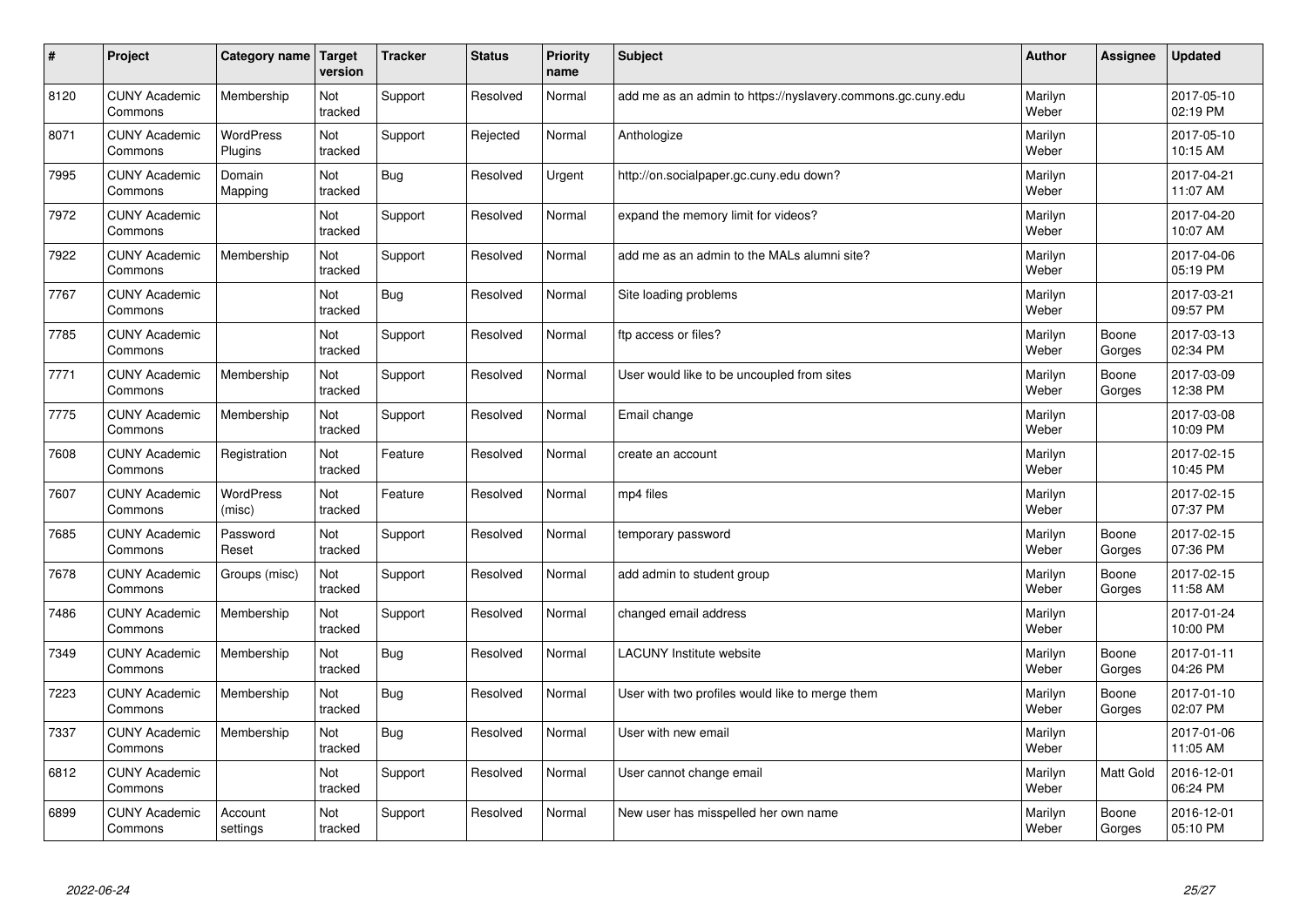| $\sharp$ | Project                         | Category name   Target      | version        | <b>Tracker</b> | <b>Status</b> | <b>Priority</b><br>name | <b>Subject</b>                                              | <b>Author</b>    | Assignee         | <b>Updated</b>         |
|----------|---------------------------------|-----------------------------|----------------|----------------|---------------|-------------------------|-------------------------------------------------------------|------------------|------------------|------------------------|
| 8120     | <b>CUNY Academic</b><br>Commons | Membership                  | Not<br>tracked | Support        | Resolved      | Normal                  | add me as an admin to https://nyslavery.commons.gc.cuny.edu | Marilyn<br>Weber |                  | 2017-05-10<br>02:19 PM |
| 8071     | <b>CUNY Academic</b><br>Commons | <b>WordPress</b><br>Plugins | Not<br>tracked | Support        | Rejected      | Normal                  | Anthologize                                                 | Marilyn<br>Weber |                  | 2017-05-10<br>10:15 AM |
| 7995     | <b>CUNY Academic</b><br>Commons | Domain<br>Mapping           | Not<br>tracked | Bug            | Resolved      | Urgent                  | http://on.socialpaper.gc.cuny.edu down?                     | Marilyn<br>Weber |                  | 2017-04-21<br>11:07 AM |
| 7972     | <b>CUNY Academic</b><br>Commons |                             | Not<br>tracked | Support        | Resolved      | Normal                  | expand the memory limit for videos?                         | Marilyn<br>Weber |                  | 2017-04-20<br>10:07 AM |
| 7922     | <b>CUNY Academic</b><br>Commons | Membership                  | Not<br>tracked | Support        | Resolved      | Normal                  | add me as an admin to the MALs alumni site?                 | Marilyn<br>Weber |                  | 2017-04-06<br>05:19 PM |
| 7767     | <b>CUNY Academic</b><br>Commons |                             | Not<br>tracked | Bug            | Resolved      | Normal                  | Site loading problems                                       | Marilyn<br>Weber |                  | 2017-03-21<br>09:57 PM |
| 7785     | <b>CUNY Academic</b><br>Commons |                             | Not<br>tracked | Support        | Resolved      | Normal                  | ftp access or files?                                        | Marilyn<br>Weber | Boone<br>Gorges  | 2017-03-13<br>02:34 PM |
| 7771     | <b>CUNY Academic</b><br>Commons | Membership                  | Not<br>tracked | Support        | Resolved      | Normal                  | User would like to be uncoupled from sites                  | Marilyn<br>Weber | Boone<br>Gorges  | 2017-03-09<br>12:38 PM |
| 7775     | <b>CUNY Academic</b><br>Commons | Membership                  | Not<br>tracked | Support        | Resolved      | Normal                  | Email change                                                | Marilyn<br>Weber |                  | 2017-03-08<br>10:09 PM |
| 7608     | <b>CUNY Academic</b><br>Commons | Registration                | Not<br>tracked | Feature        | Resolved      | Normal                  | create an account                                           | Marilyn<br>Weber |                  | 2017-02-15<br>10:45 PM |
| 7607     | <b>CUNY Academic</b><br>Commons | WordPress<br>(misc)         | Not<br>tracked | Feature        | Resolved      | Normal                  | mp4 files                                                   | Marilyn<br>Weber |                  | 2017-02-15<br>07:37 PM |
| 7685     | <b>CUNY Academic</b><br>Commons | Password<br>Reset           | Not<br>tracked | Support        | Resolved      | Normal                  | temporary password                                          | Marilyn<br>Weber | Boone<br>Gorges  | 2017-02-15<br>07:36 PM |
| 7678     | <b>CUNY Academic</b><br>Commons | Groups (misc)               | Not<br>tracked | Support        | Resolved      | Normal                  | add admin to student group                                  | Marilyn<br>Weber | Boone<br>Gorges  | 2017-02-15<br>11:58 AM |
| 7486     | <b>CUNY Academic</b><br>Commons | Membership                  | Not<br>tracked | Support        | Resolved      | Normal                  | changed email address                                       | Marilyn<br>Weber |                  | 2017-01-24<br>10:00 PM |
| 7349     | <b>CUNY Academic</b><br>Commons | Membership                  | Not<br>tracked | Bug            | Resolved      | Normal                  | <b>LACUNY Institute website</b>                             | Marilyn<br>Weber | Boone<br>Gorges  | 2017-01-11<br>04:26 PM |
| 7223     | <b>CUNY Academic</b><br>Commons | Membership                  | Not<br>tracked | Bug            | Resolved      | Normal                  | User with two profiles would like to merge them             | Marilyn<br>Weber | Boone<br>Gorges  | 2017-01-10<br>02:07 PM |
| 7337     | <b>CUNY Academic</b><br>Commons | Membership                  | Not<br>tracked | Bug            | Resolved      | Normal                  | User with new email                                         | Marilyn<br>Weber |                  | 2017-01-06<br>11:05 AM |
| 6812     | <b>CUNY Academic</b><br>Commons |                             | Not<br>tracked | Support        | Resolved      | Normal                  | User cannot change email                                    | Marilyn<br>Weber | <b>Matt Gold</b> | 2016-12-01<br>06:24 PM |
| 6899     | <b>CUNY Academic</b><br>Commons | Account<br>settings         | Not<br>tracked | Support        | Resolved      | Normal                  | New user has misspelled her own name                        | Marilyn<br>Weber | Boone<br>Gorges  | 2016-12-01<br>05:10 PM |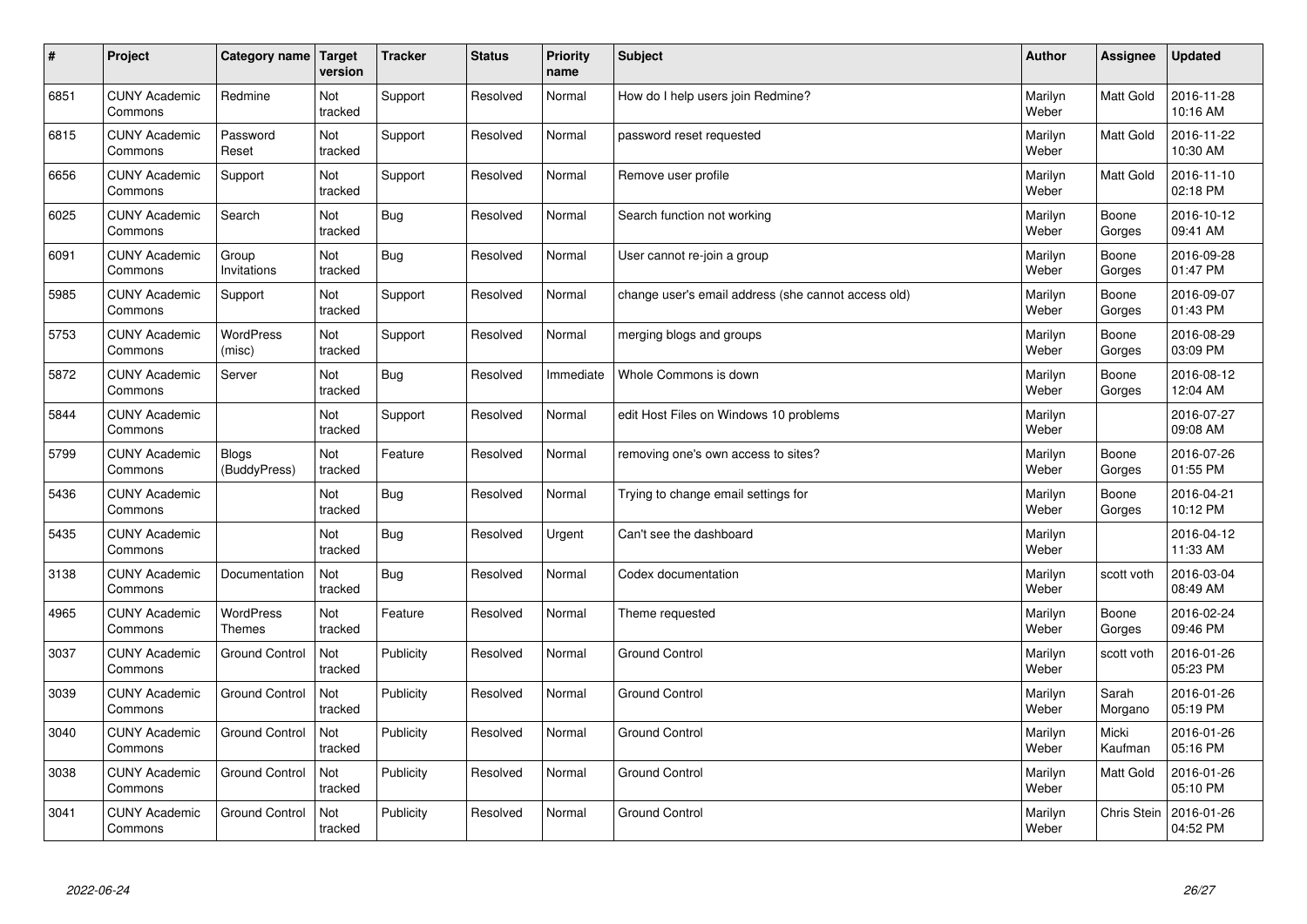| $\sharp$ | Project                         | Category name   Target     | version        | <b>Tracker</b> | <b>Status</b> | <b>Priority</b><br>name | <b>Subject</b>                                      | <b>Author</b>    | Assignee           | <b>Updated</b>         |
|----------|---------------------------------|----------------------------|----------------|----------------|---------------|-------------------------|-----------------------------------------------------|------------------|--------------------|------------------------|
| 6851     | <b>CUNY Academic</b><br>Commons | Redmine                    | Not<br>tracked | Support        | Resolved      | Normal                  | How do I help users join Redmine?                   | Marilyn<br>Weber | <b>Matt Gold</b>   | 2016-11-28<br>10:16 AM |
| 6815     | <b>CUNY Academic</b><br>Commons | Password<br>Reset          | Not<br>tracked | Support        | Resolved      | Normal                  | password reset requested                            | Marilyn<br>Weber | Matt Gold          | 2016-11-22<br>10:30 AM |
| 6656     | <b>CUNY Academic</b><br>Commons | Support                    | Not<br>tracked | Support        | Resolved      | Normal                  | Remove user profile                                 | Marilyn<br>Weber | Matt Gold          | 2016-11-10<br>02:18 PM |
| 6025     | <b>CUNY Academic</b><br>Commons | Search                     | Not<br>tracked | <b>Bug</b>     | Resolved      | Normal                  | Search function not working                         | Marilyn<br>Weber | Boone<br>Gorges    | 2016-10-12<br>09:41 AM |
| 6091     | <b>CUNY Academic</b><br>Commons | Group<br>Invitations       | Not<br>tracked | Bug            | Resolved      | Normal                  | User cannot re-join a group                         | Marilyn<br>Weber | Boone<br>Gorges    | 2016-09-28<br>01:47 PM |
| 5985     | <b>CUNY Academic</b><br>Commons | Support                    | Not<br>tracked | Support        | Resolved      | Normal                  | change user's email address (she cannot access old) | Marilyn<br>Weber | Boone<br>Gorges    | 2016-09-07<br>01:43 PM |
| 5753     | <b>CUNY Academic</b><br>Commons | <b>WordPress</b><br>(misc) | Not<br>tracked | Support        | Resolved      | Normal                  | merging blogs and groups                            | Marilyn<br>Weber | Boone<br>Gorges    | 2016-08-29<br>03:09 PM |
| 5872     | <b>CUNY Academic</b><br>Commons | Server                     | Not<br>tracked | Bug            | Resolved      | Immediate               | Whole Commons is down                               | Marilyn<br>Weber | Boone<br>Gorges    | 2016-08-12<br>12:04 AM |
| 5844     | <b>CUNY Academic</b><br>Commons |                            | Not<br>tracked | Support        | Resolved      | Normal                  | edit Host Files on Windows 10 problems              | Marilyn<br>Weber |                    | 2016-07-27<br>09:08 AM |
| 5799     | <b>CUNY Academic</b><br>Commons | Blogs<br>(BuddyPress)      | Not<br>tracked | Feature        | Resolved      | Normal                  | removing one's own access to sites?                 | Marilyn<br>Weber | Boone<br>Gorges    | 2016-07-26<br>01:55 PM |
| 5436     | <b>CUNY Academic</b><br>Commons |                            | Not<br>tracked | Bug            | Resolved      | Normal                  | Trying to change email settings for                 | Marilyn<br>Weber | Boone<br>Gorges    | 2016-04-21<br>10:12 PM |
| 5435     | <b>CUNY Academic</b><br>Commons |                            | Not<br>tracked | <b>Bug</b>     | Resolved      | Urgent                  | Can't see the dashboard                             | Marilyn<br>Weber |                    | 2016-04-12<br>11:33 AM |
| 3138     | <b>CUNY Academic</b><br>Commons | Documentation              | Not<br>tracked | Bug            | Resolved      | Normal                  | Codex documentation                                 | Marilyn<br>Weber | scott voth         | 2016-03-04<br>08:49 AM |
| 4965     | <b>CUNY Academic</b><br>Commons | WordPress<br><b>Themes</b> | Not<br>tracked | Feature        | Resolved      | Normal                  | Theme requested                                     | Marilyn<br>Weber | Boone<br>Gorges    | 2016-02-24<br>09:46 PM |
| 3037     | <b>CUNY Academic</b><br>Commons | <b>Ground Control</b>      | Not<br>tracked | Publicity      | Resolved      | Normal                  | <b>Ground Control</b>                               | Marilyn<br>Weber | scott voth         | 2016-01-26<br>05:23 PM |
| 3039     | <b>CUNY Academic</b><br>Commons | <b>Ground Control</b>      | Not<br>tracked | Publicity      | Resolved      | Normal                  | <b>Ground Control</b>                               | Marilyn<br>Weber | Sarah<br>Morgano   | 2016-01-26<br>05:19 PM |
| 3040     | <b>CUNY Academic</b><br>Commons | <b>Ground Control</b>      | Not<br>tracked | Publicity      | Resolved      | Normal                  | <b>Ground Control</b>                               | Marilyn<br>Weber | Micki<br>Kaufman   | 2016-01-26<br>05:16 PM |
| 3038     | <b>CUNY Academic</b><br>Commons | <b>Ground Control</b>      | Not<br>tracked | Publicity      | Resolved      | Normal                  | <b>Ground Control</b>                               | Marilyn<br>Weber | Matt Gold          | 2016-01-26<br>05:10 PM |
| 3041     | <b>CUNY Academic</b><br>Commons | <b>Ground Control</b>      | Not<br>tracked | Publicity      | Resolved      | Normal                  | <b>Ground Control</b>                               | Marilyn<br>Weber | <b>Chris Stein</b> | 2016-01-26<br>04:52 PM |